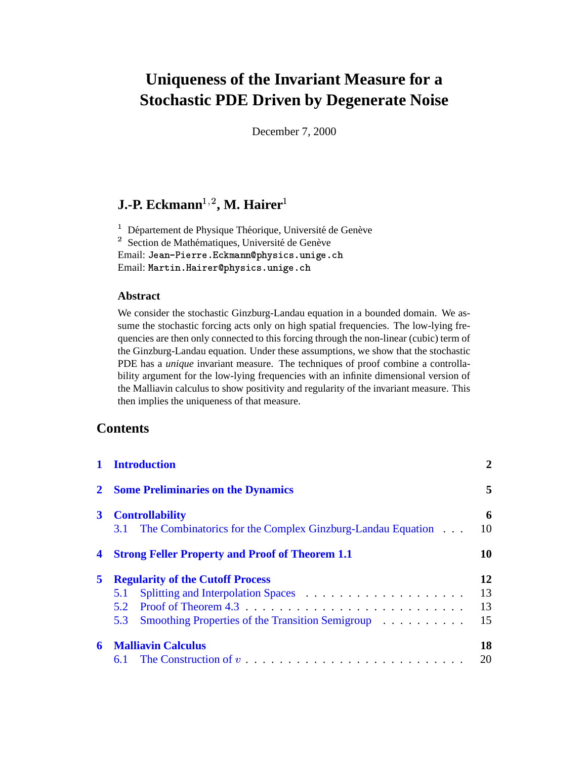# **Uniqueness of the Invariant Measure for a Stochastic PDE Driven by Degenerate Noise**

December 7, 2000

## $\mathbf{J}.\mathbf{\text{-}P.}$  **Eckmann** $^{1,2}$ **, M. Hairer**  $^{1}$

 $1$  Département de Physique Théorique, Université de Genève  $\frac{1}{2}$  Section de Mathématiques, Université de Genève Email: Jean-Pierre.Eckmann@physics.unige.ch Email: Martin.Hairer@physics.unige.ch

### **Abstract**

We consider the stochastic Ginzburg-Landau equation in a bounded domain. We assume the stochastic forcing acts only on high spatial frequencies. The low-lying frequencies are then only connected to this forcing through the non-linear (cubic) term of the Ginzburg-Landau equation. Under these assumptions, we show that the stochastic PDE has a *unique* invariant measure. The techniques of proof combine a controllability argument for the low-lying frequencies with an infinite dimensional version of the Malliavin calculus to show positivity and regularity of the invariant measure. This then implies the uniqueness of that measure.

## **Contents**

| $\mathbf{1}$   | <b>Introduction</b>                                             | $\overline{2}$ |
|----------------|-----------------------------------------------------------------|----------------|
| $\mathbf{2}^-$ | <b>Some Preliminaries on the Dynamics</b>                       |                |
| 3 <sup>1</sup> | <b>Controllability</b>                                          | 6              |
|                | 3.1 The Combinatorics for the Complex Ginzburg-Landau Equation. | 10             |
| 4              | <b>Strong Feller Property and Proof of Theorem 1.1</b>          | 10             |
| 5              | <b>Regularity of the Cutoff Process</b>                         | 12             |
|                | 5.1                                                             | 13             |
|                | $5.2^{\circ}$                                                   | 13             |
|                | Smoothing Properties of the Transition Semigroup<br>5.3         | 15             |
| 6              | <b>Malliavin Calculus</b>                                       | 18             |
|                |                                                                 | 20             |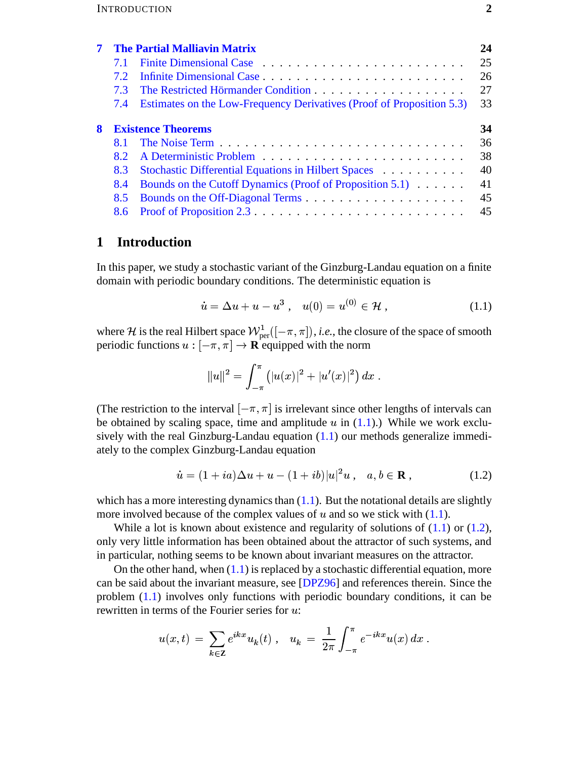|   |                           | <b>The Partial Malliavin Matrix</b>                                   | 24 |
|---|---------------------------|-----------------------------------------------------------------------|----|
|   | 7.1                       |                                                                       | 25 |
|   | 7.2 <sub>1</sub>          |                                                                       | 26 |
|   | 73                        |                                                                       | 27 |
|   | 7.4                       | Estimates on the Low-Frequency Derivatives (Proof of Proposition 5.3) | 33 |
| 8 | <b>Existence Theorems</b> |                                                                       |    |
|   | <b>8.1</b>                |                                                                       | 36 |
|   | 8.2                       |                                                                       | 38 |
|   | 8.3                       | Stochastic Differential Equations in Hilbert Spaces                   | 40 |
|   | 8.4                       | Bounds on the Cutoff Dynamics (Proof of Proposition 5.1)              | 41 |
|   | 8.5                       |                                                                       | 45 |
|   |                           |                                                                       | 45 |

#### <span id="page-1-0"></span> $\mathbf{1}$ **Introduction**

In this paper, we study a stochastic variant of the Ginzburg-Landau equation on a finite domain with periodic boundary conditions. The deterministic equation is

<span id="page-1-1"></span>
$$
\dot{u} = \Delta u + u - u^3 \,, \quad u(0) = u^{(0)} \in \mathcal{H} \,, \tag{1.1}
$$

where *H* is the real Hilbert space  $W_{\text{per}}^1([-\pi,\pi]), i.e.,$  the closure of the space of smooth periodic functions  $u : [-\pi, \pi] \to \mathbf{R}$  equipped with the norm

<span id="page-1-2"></span>
$$
||u||^2 = \int_{-\pi}^{\pi} (|u(x)|^2 + |u'(x)|^2) dx
$$

(The restriction to the interval  $[-\pi, \pi]$  is irrelevant since other lengths of intervals can be obtained by scaling space, time and amplitude  $u$  in  $(1.1)$ .) While we work exclusively with the real Ginzburg-Landau equation  $(1.1)$  our methods generalize immediately to the complex Ginzburg-Landau equation

$$
\dot{u} = (1 + ia)\Delta u + u - (1 + ib)|u|^2 u , \quad a, b \in \mathbf{R} ,
$$
 (1.2)

which has a more interesting dynamics than  $(1.1)$ . But the notational details are slightly more involved because of the complex values of  $u$  and so we stick with  $(1.1)$ .

While a lot is known about existence and regularity of solutions of  $(1.1)$  or  $(1.2)$ , only very little information has been obtained about the attractor of such systems, and in particular, nothing seems to be known about invariant measures on the attractor.

On the other hand, when  $(1.1)$  is replaced by a stochastic differential equation, more can be said about the invariant measure, see [DPZ96] and references therein. Since the problem  $(1.1)$  involves only functions with periodic boundary conditions, it can be rewritten in terms of the Fourier series for  $u$ :

$$
u(x,t) = \sum_{k \in \mathbb{Z}} e^{ikx} u_k(t) , \quad u_k = \frac{1}{2\pi} \int_{-\pi}^{\pi} e^{-ikx} u(x) dx
$$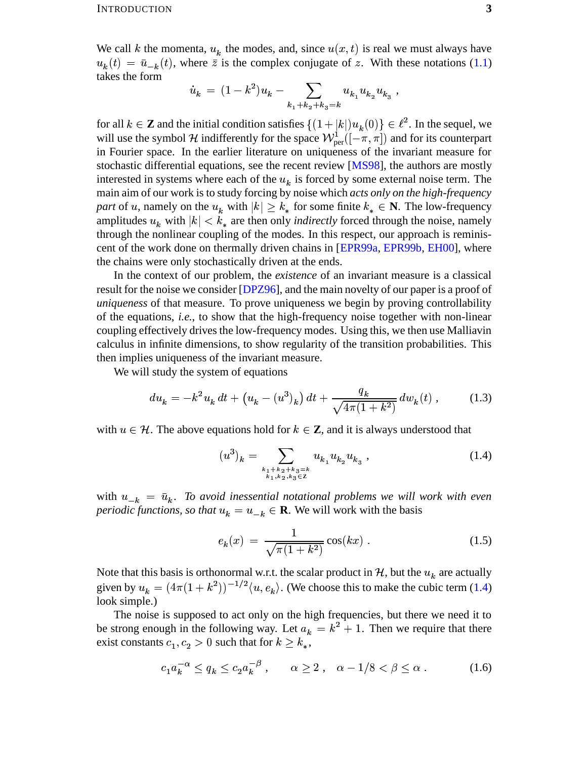We call k the momenta,  $u_k$  the modes, and, since  $u(x, t)$  is real we must always have  $u_k(t) = \bar{u}_{-k}(t)$ , where  $\bar{z}$  is the complex conjugate of z. With these notations [\(1.1\)](#page-1-1) takes the form

$$
\dot{u}_k \ = \ (1 - k^2)u_k - \sum_{k_1 + k_2 + k_3 = k} u_{k_1} u_{k_2} u_{k_3} \ ,
$$

for all  $k \in \mathbb{Z}$  and the initial condition satisfies  $\{(1+|k|)u_k(0)\} \in \ell^2$ . In the sequel, we will use the symbol H indifferently for the space  $W_{\text{per}}^1([-\pi,\pi])$  and for its counterpart in Fourier space. In the earlier literature on uniqueness of the invariant measure for stochastic differential equations, see the recent review [\[MS98\]](#page-46-0), the authors are mostly interested in systems where each of the  $u<sub>k</sub>$  is forced by some external noise term. The main aim of our work is to study forcing by noise which *acts only on the high-frequency* part of u, namely on the  $u_k$  with  $|k| \geq k_*$  for some finite  $k_* \in \mathbb{N}$ . The low-frequency part of u, namely on the  $u_k$  with  $|k| \ge k_*$  for some finite  $k_* \in \mathbb{N}$ . The low-frequency amplitudes  $u_k$  with  $|k| < k_*$  are then only *indirectly* forced through the noise, namely through the nonlinear coupling of the through the nonlinear coupling of the modes. In this respect, our approach is reminiscent of the work done on thermally driven chains in [\[EPR99a,](#page-45-1) [EPR99b,](#page-45-2) [EH00\]](#page-45-3), where the chains were only stochastically driven at the ends.

In the context of our problem, the *existence* of an invariant measure is a classical result for the noise we consider [\[DPZ96\]](#page-45-0), and the main novelty of our paper is a proof of *uniqueness* of that measure. To prove uniqueness we begin by proving controllability of the equations, *i.e.*, to show that the high-frequency noise together with non-linear coupling effectively drives the low-frequency modes. Using this, we then use Malliavin calculus in infinite dimensions, to show regularity of the transition probabilities. This then implies uniqueness of the invariant measure.

We will study the system of equations

$$
du_k = -k^2 u_k dt + (u_k - (u^3)_k) dt + \frac{q_k}{\sqrt{4\pi (1+k^2)}} dw_k(t) ,
$$
 (1.3)

with  $u \in \mathcal{H}$ . The above equations hold for  $k \in \mathbb{Z}$ , and it is always understood that

<span id="page-2-1"></span><span id="page-2-0"></span>
$$
(u^3)_k = \sum_{\substack{k_1+k_2+k_3=k \ k_1, k_2, k_3 \in \mathbb{Z}}} u_{k_1} u_{k_2} u_{k_3} ,
$$
 (1.4)

with  $u_{-k} = \bar{u}_k$ . To avoid inessential notational problems we will work with even *periodic functions, so that*  $u_k = u_{-k} \in \mathbf{R}$ . We will work with the basis

<span id="page-2-3"></span><span id="page-2-2"></span>
$$
e_k(x) = \frac{1}{\sqrt{\pi(1+k^2)}} \cos(kx) \,. \tag{1.5}
$$

Note that this basis is orthonormal w.r.t. the scalar product in  $H$ , but the  $u<sub>k</sub>$  are actually given by  $u_k = (4\pi(1+k^2))^{-1/2} \langle u, e_k \rangle$ . (We choose this to make the cubic term [\(1.4\)](#page-2-0) look simple.)

The noise is supposed to act only on the high frequencies, but there we need it to be strong enough in the following way. Let  $a_k = k^2 + 1$ . Then  $z^2+1$ . Then we require that there exist constants  $c_1, c_2 > 0$  such that for  $k \geq k_*$ ,

$$
c_1 a_k^{-\alpha} \le q_k \le c_2 a_k^{-\beta} , \qquad \alpha \ge 2 , \quad \alpha - 1/8 < \beta \le \alpha . \tag{1.6}
$$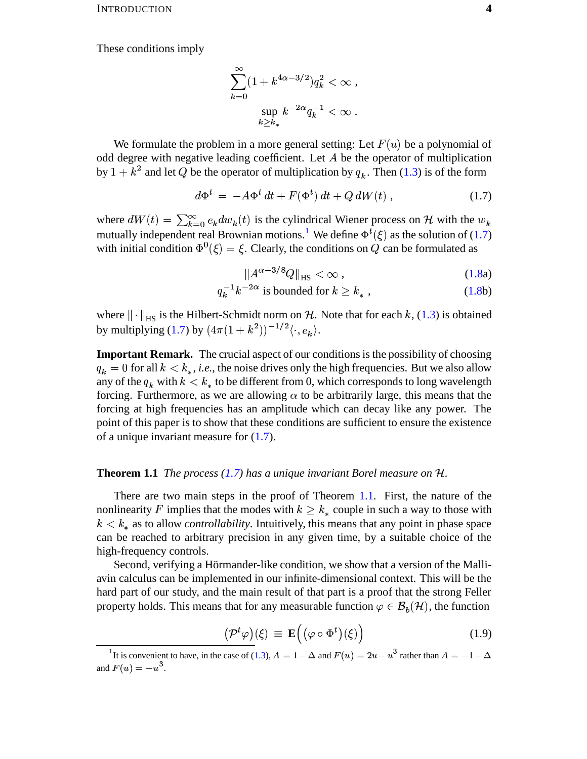These conditions imply

$$
\sum_{k=0}^{\infty} (1 + k^{4\alpha - 3/2}) q_k^2 < \infty ,
$$
\n
$$
\sup_{k \ge k_*} k^{-2\alpha} q_k^{-1} < \infty .
$$

We formulate the problem in a more general setting: Let  $F(u)$  be a polynomial of odd degree with negative leading coefficient. Let  $A$  be the operator of multiplication by  $1 + k^2$  and let Q be the operator of multiplication by  $q_k$ . Then (1.3) is of the form

$$
d\Phi^t = -A\Phi^t dt + F(\Phi^t) dt + Q dW(t) , \qquad (1.7)
$$

where  $dW(t) = \sum_{k=0}^{\infty} e_k dw_k(t)$  is the cylindrical Wiener process on H with the  $w_k$ mutually independent real Brownian motions.<sup>1</sup> We define  $\Phi^t(\xi)$  as the solution of (1.7) with initial condition  $\Phi^0(\xi) = \xi$ . Clearly, the conditions on Q can be formulated as

<span id="page-3-1"></span>
$$
\left\|A^{\alpha-3/8}Q\right\|_{\text{HS}} < \infty \,,\tag{1.8a}
$$

$$
q_k^{-1}k^{-2\alpha} \text{ is bounded for } k \ge k^*, \qquad (1.8b)
$$

where  $\|\cdot\|_{HS}$  is the Hilbert-Schmidt norm on H. Note that for each k, (1.3) is obtained by multiplying (1.7) by  $(4\pi(1+k^2))^{-1/2}\langle \cdot, e_k \rangle$ .

**Important Remark.** The crucial aspect of our conditions is the possibility of choosing  $q_k = 0$  for all  $k < k_*$ , *i.e.*, the noise drives only the high frequencies. But we also allow any of the  $q_k$  with  $k < k_*$  to be different from 0, which corresponds to long wavelength forcing. Furthermore, as we are allowing  $\alpha$  to be arbitrarily large, this means that the forcing at high frequencies has an amplitude which can decay like any power. The point of this paper is to show that these conditions are sufficient to ensure the existence of a unique invariant measure for  $(1.7)$ .

### **Theorem 1.1** The process (1.7) has a unique invariant Borel measure on  $H$ .

There are two main steps in the proof of Theorem 1.1. First, the nature of the nonlinearity F implies that the modes with  $k \geq k_*$  couple in such a way to those with  $k < k_*$  as to allow *controllability*. Intuitively, this means that any point in phase space can be reached to arbitrary precision in any given time, by a suitable choice of the high-frequency controls.

Second, verifying a Hörmander-like condition, we show that a version of the Malliavin calculus can be implemented in our infinite-dimensional context. This will be the hard part of our study, and the main result of that part is a proof that the strong Feller property holds. This means that for any measurable function  $\varphi \in \mathcal{B}_h(\mathcal{H})$ , the function

<span id="page-3-2"></span>
$$
\underline{\left(\mathcal{P}^t\varphi\right)}(\xi) \equiv \mathbf{E}\Big(\big(\varphi \circ \Phi^t\big)(\xi)\Big) \tag{1.9}
$$

<span id="page-3-0"></span><sup>&</sup>lt;sup>1</sup>It is convenient to have, in the case of (1.3),  $A = 1 - \Delta$  and  $F(u) = 2u - u^3$  rather than  $A = -1 - \Delta$ and  $F(u) = -u^3$ .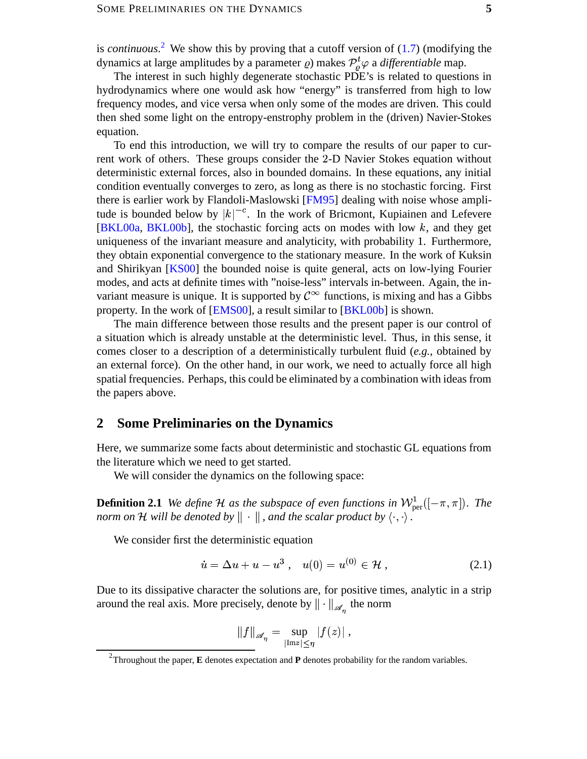is *continuous*. [2](#page-4-1) We show this by proving that a cutoff version of [\(1.7\)](#page-3-1) (modifying the dynamics at large amplitudes by a parameter  $\rho$ ) makes  $P^t_\rho\varphi$  a d  $e_a^t \varphi$  a *differentiable* map.

The interest in such highly degenerate stochastic PDE's is related to questions in hydrodynamics where one would ask how "energy" is transferred from high to low frequency modes, and vice versa when only some of the modes are driven. This could then shed some light on the entropy-enstrophy problem in the (driven) Navier-Stokes equation.

To end this introduction, we will try to compare the results of our paper to current work of others. These groups consider the 2-D Navier Stokes equation without deterministic external forces, also in bounded domains. In these equations, any initial condition eventually converges to zero, as long as there is no stochastic forcing. First there is earlier work by Flandoli-Maslowski [\[FM95\]](#page-45-4) dealing with noise whose amplitude is bounded below by  $|k|^{-c}$ . In the work of Bricmont, Kupiainen and Lefevere tude is bounded below by  $|k|^{-c}$ . In the work of Bricmont, Kupiainen and Lefevere [\[BKL00a,](#page-45-5) [BKL00b\]](#page-45-6), the stochastic forcing acts on modes with low k, and they get uniqueness of the invariant measure and analyticity, with probability 1. Furthermore, they obtain exponential convergence to the stationary measure. In the work of Kuksin and Shirikyan [\[KS00\]](#page-45-7) the bounded noise is quite general, acts on low-lying Fourier modes, and acts at definite times with "noise-less" intervals in-between. Again, the inmodes, and acts at definite times with "noise-less" intervals in-between. Again, the invariant measure is unique. It is supported by  $C^{\infty}$  functions, is mixing and has a Gibbs property. In the work of [\[EMS00\]](#page-45-8), a result similar to [\[BKL00b\]](#page-45-6) is shown.

The main difference between those results and the present paper is our control of a situation which is already unstable at the deterministic level. Thus, in this sense, it comes closer to a description of a deterministically turbulent fluid (*e.g.*, obtained by an external force). On the other hand, in our work, we need to actually force all high spatial frequencies. Perhaps, this could be eliminated by a combination with ideas from the papers above.

### <span id="page-4-0"></span>**2 Some Preliminaries on the Dynamics**

Here, we summarize some facts about deterministic and stochastic GL equations from the literature which we need to get started.

We will consider the dynamics on the following space:

**Definition 2.1** We define H as the subspace of even functions in  $\mathcal{W}_{\text{per}}^1([-\pi,\pi])$ . The *norm* on H will be denoted by  $\|\cdot\|$  , and the scalar product by  $\langle \cdot, \cdot \rangle$  .

We consider first the deterministic equation

$$
\dot{u} = \Delta u + u - u^3 \,, \quad u(0) = u^{(0)} \in \mathcal{H} \,, \tag{2.1}
$$

Due to its dissipative character the solutions are, for positive times, analytic in a strip around the real axis. More precisely, denote by  $\|\cdot\|_{\mathscr{A}_{\infty}}$  the norm

<span id="page-4-2"></span>
$$
||f||_{\mathscr{A}_{\eta}} = \sup_{|\text{Im} z| \leq \eta} |f(z)|,
$$

<span id="page-4-1"></span><sup>2</sup> Throughout the paper, **E** denotes expectation and **P** denotes probability for the random variables.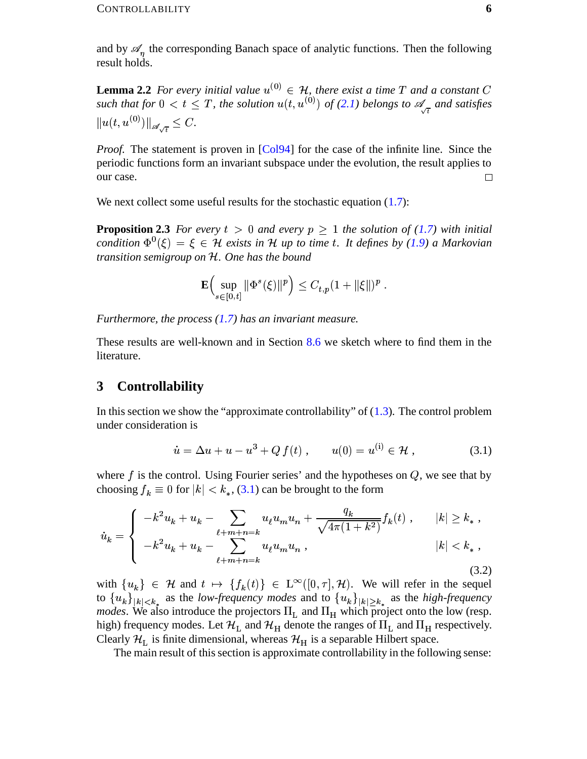and by  $\mathscr{A}_\eta$  the corresponding Banach space of analytic functions. Then the following result holds.

**Lemma 2.2** For every initial value  $u^{(0)} \in \mathcal{H}$ , there exist a time T and a constant C such that for  $0 < t \leq T$ , the solution  $u(t, u^{(0)})$  of (2.1) belongs to  $\mathscr{A}_{\pi}$  and satisfies  $||u(t, u^{(0)})||_{\mathscr{A}_{\sqrt{t}}} \leq C.$ 

*Proof.* The statement is proven in [Col94] for the case of the infinite line. Since the periodic functions form an invariant subspace under the evolution, the result applies to our case.  $\Box$ 

We next collect some useful results for the stochastic equation  $(1.7)$ :

**Proposition 2.3** For every  $t > 0$  and every  $p > 1$  the solution of (1.7) with initial condition  $\Phi^0(\xi) = \xi \in \mathcal{H}$  exists in H up to time t. It defines by (1.9) a Markovian transition semigroup on  $H$ . One has the bound

$$
\mathbf{E}\Big(\sup_{s\in[0,t]}\|\Phi^s(\xi)\|^p\Big)\leq C_{t,p}(1+\|\xi\|)^p.
$$

Furthermore, the process  $(1.7)$  has an invariant measure.

These results are well-known and in Section 8.6 we sketch where to find them in the literature.

#### <span id="page-5-0"></span>**Controllability** 3

In this section we show the "approximate controllability" of  $(1.3)$ . The control problem under consideration is

<span id="page-5-2"></span><span id="page-5-1"></span>
$$
\dot{u} = \Delta u + u - u^3 + Q f(t) , \qquad u(0) = u^{(i)} \in \mathcal{H} , \qquad (3.1)
$$

where f is the control. Using Fourier series' and the hypotheses on  $Q$ , we see that by choosing  $f_k \equiv 0$  for  $|k| < k_*, (3.1)$  can be brought to the form

$$
\dot{u}_k = \begin{cases}\n-k^2 u_k + u_k - \sum_{\ell+m+n=k} u_\ell u_m u_n + \frac{q_k}{\sqrt{4\pi(1+k^2)}} f_k(t), & |k| \ge k_* \,, \\
-k^2 u_k + u_k - \sum_{\ell+m+n=k} u_\ell u_m u_n, & |k| < k_* \,,\n\end{cases} \tag{3.2}
$$

with  $\{u_k\} \in \mathcal{H}$  and  $t \mapsto \{f_k(t)\} \in L^{\infty}([0,\tau],\mathcal{H})$ . We will refer in the sequel to  ${u_k}_{|k| \leq k_*}$  as the *low-frequency modes* and to  ${u_k}_{|k| \geq k_*}$  as the *high-frequency modes*. We also introduce the projectors  $\Pi_L$  and  $\Pi_H$  which project onto the low (resp. high) frequency modes. Let  $\mathcal{H}_L$  and  $\mathcal{H}_H$  denote the ranges of  $\Pi_L$  and  $\Pi_H$  respectively. Clearly  $\mathcal{H}_L$  is finite dimensional, whereas  $\mathcal{H}_H$  is a separable Hilbert space.

The main result of this section is approximate controllability in the following sense: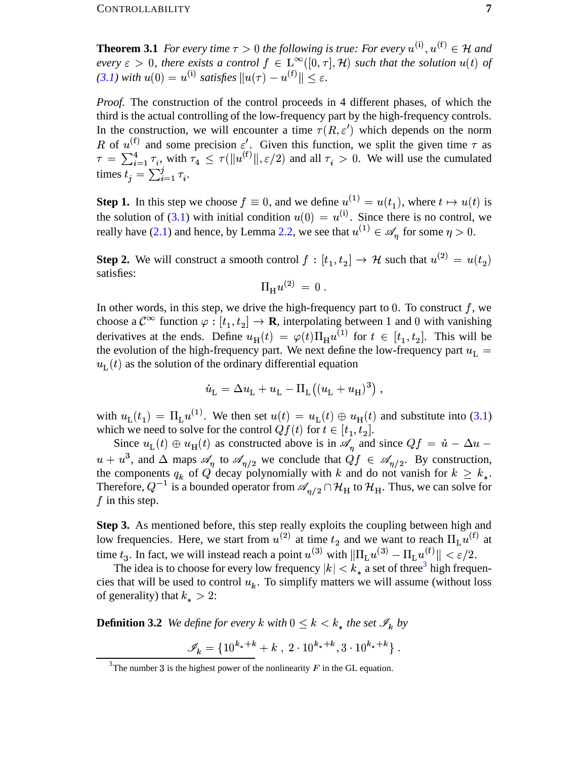**Theorem 3.1** For every time  $\tau > 0$  the following is true: For every  $u^{(i)}$ ,  $u^{(f)} \in \mathcal{H}$  and every  $\varepsilon > 0$ , there exists a control  $f \in L^{\infty}([0, \tau], \mathcal{H})$  such that the solution  $u(t)$  of  $(3.1)$  with  $u(0) = u^{(i)}$  satisfies  $||u(\tau) - u^{(f)}|| < \varepsilon$ .

*Proof.* The construction of the control proceeds in 4 different phases, of which the third is the actual controlling of the low-frequency part by the high-frequency controls. In the construction, we will encounter a time  $\tau(R,\varepsilon')$  which depends on the norm R of  $u^{(f)}$  and some precision  $\varepsilon'$ . Given this function, we split the given time  $\tau$  as  $\tau = \sum_{i=1}^4 \tau_i$ , with  $\tau_4 \leq \tau(\|u^{(f)}\|, \varepsilon/2)$  and all  $\tau_i > 0$ . We will use the cumulated times  $t_i = \sum_{i=1}^j \tau_i$ .

**Step 1.** In this step we choose  $f \equiv 0$ , and we define  $u^{(1)} = u(t_1)$ , where  $t \mapsto u(t)$  is the solution of (3.1) with initial condition  $u(0) = u^{(i)}$ . Since there is no control, we really have (2.1) and hence, by Lemma 2.2, we see that  $u^{(1)} \in \mathscr{A}_n$  for some  $\eta > 0$ .

**Step 2.** We will construct a smooth control  $f : [t_1, t_2] \to \mathcal{H}$  such that  $u^{(2)} = u(t_2)$ satisfies:

$$
\Pi_{\rm H} u^{(2)}\,=\,0
$$

In other words, in this step, we drive the high-frequency part to 0. To construct  $f$ , we choose a  $\mathcal{C}^{\infty}$  function  $\varphi : [t_1, t_2] \to \mathbf{R}$ , interpolating between 1 and 0 with vanishing derivatives at the ends. Define  $u_{\text{H}}(t) = \varphi(t) \Pi_{\text{H}} u^{(1)}$  for  $t \in [t_1, t_2]$ . This will be the evolution of the high-frequency part. We next define the low-frequency part  $u_L$  =  $u_{\rm L}(t)$  as the solution of the ordinary differential equation

$$
\dot{u}_{\rm L} = \Delta u_{\rm L} + u_{\rm L} - \Pi_{\rm L}((u_{\rm L} + u_{\rm H})^3) ,
$$

with  $u_L(t_1) = \Pi_L u^{(1)}$ . We then set  $u(t) = u_L(t) \oplus u_H(t)$  and substitute into (3.1) which we need to solve for the control  $Qf(t)$  for  $t \in [t_1, t_2]$ .

Since  $u_{\text{L}}(t) \oplus u_{\text{H}}(t)$  as constructed above is in  $\mathscr{A}_n$  and since  $Qf = \dot{u} - \Delta u$  $u + u^3$ , and  $\Delta$  maps  $\mathscr{A}_\eta$  to  $\mathscr{A}_{\eta/2}$  we conclude that  $Qf \in \mathscr{A}_{\eta/2}$ . By construction, the components  $q_k$  of Q decay polynomially with k and do not vanish for  $k \geq k_*$ . Therefore,  $Q^{-1}$  is a bounded operator from  $\mathscr{A}_{\eta/2} \cap \mathcal{H}_H$  to  $\mathcal{H}_H$ . Thus, we can solve for  $f$  in this step.

Step 3. As mentioned before, this step really exploits the coupling between high and low frequencies. Here, we start from  $u^{(2)}$  at time  $t_2$  and we want to reach  $\Pi_{\mathrm{L}} u^{(\mathrm{f})}$  at time  $t_3$ . In fact, we will instead reach a point  $u^{(3)}$  with  $\|\Pi_L u^{(3)} - \Pi_L u^{(f)}\| < \varepsilon/2$ .

The idea is to choose for every low frequency  $|k| < k_*$  a set of three<sup>3</sup> high frequencies that will be used to control  $u_k$ . To simplify matters we will assume (without loss of generality) that  $k_* > 2$ :

**Definition 3.2** We define for every k with  $0 \leq k \leq k_*$  the set  $\mathcal{I}_k$  by

$$
\mathscr{I}_k = \{10^{k_*+k} + k , 2 \cdot 10^{k_*+k}, 3 \cdot 10^{k_*+k} \}.
$$

<span id="page-6-0"></span><sup>&</sup>lt;sup>3</sup>The number 3 is the highest power of the nonlinearity  $F$  in the GL equation.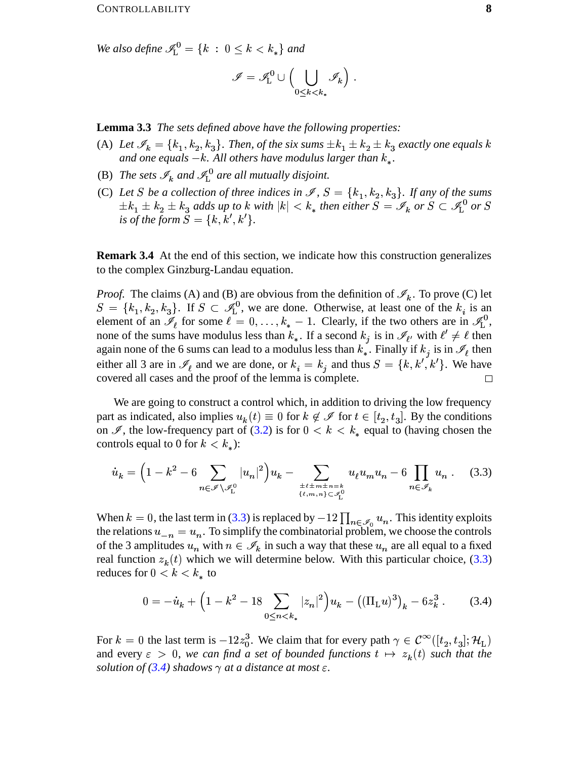We also define  $\mathcal{I}_L^0 = \{k : 0 \leq k < k_*\}$  and

$$
\mathscr{I} = \mathscr{I}_{\mathrm{L}}^0 \cup \Big( \bigcup_{0 \leq k < k_*} \mathscr{I}_k \Big) .
$$

**Lemma 3.3** The sets defined above have the following properties:

- (A) Let  $\mathscr{I}_k = \{k_1, k_2, k_3\}$ . Then, of the six sums  $\pm k_1 \pm k_2 \pm k_3$  exactly one equals k and one equals  $-k$ . All others have modulus larger than  $k_{\star}$ .
- (B) The sets  $\mathcal{I}_k$  and  $\mathcal{I}_1^0$  are all mutually disjoint.
- (C) Let S be a collection of three indices in  $\mathcal{I}, S = \{k_1, k_2, k_3\}$ . If any of the sums  $\pm k_1 \pm k_2 \pm k_3$  adds up to k with  $|k| < k_*$  then either  $S = \mathscr{I}_k$  or  $S \subset \mathscr{I}_L^0$  or  $S$ is of the form  $S = \{k, k', k'\}.$

**Remark 3.4** At the end of this section, we indicate how this construction generalizes to the complex Ginzburg-Landau equation.

*Proof.* The claims (A) and (B) are obvious from the definition of  $\mathcal{I}_k$ . To prove (C) let  $S = \{k_1, k_2, k_3\}$ . If  $S \subset \mathcal{I}_{L}^0$ , we are done. Otherwise, at least one of the  $k_i$  is an element of an  $\mathscr{I}_{\ell}$  for some  $\ell = 0, \ldots, k_{*} - 1$ . Clearly, if the two others are in  $\mathscr{I}_{L}^{0}$ , none of the sums have modulus less than  $k_*$ . If a second  $k_i$  is in  $\mathcal{I}_{\ell'}$  with  $\ell' \neq \ell$  then again none of the 6 sums can lead to a modulus less than  $k_*$ . Finally if  $k_i$  is in  $\mathcal{I}_\ell$  then either all 3 are in  $\mathcal{I}_{\ell}$  and we are done, or  $k_i = k_j$  and thus  $S = \{k, k', k'\}$ . We have covered all cases and the proof of the lemma is complete.  $\Box$ 

We are going to construct a control which, in addition to driving the low frequency part as indicated, also implies  $u_k(t) \equiv 0$  for  $k \notin \mathscr{I}$  for  $t \in [t_2, t_3]$ . By the conditions on  $\mathscr{I}$ , the low-frequency part of (3.2) is for  $0 < k < k_*$  equal to (having chosen the controls equal to 0 for  $k < k_*$ ):

$$
\dot{u}_k = \left(1 - k^2 - 6 \sum_{n \in \mathscr{I} \setminus \mathscr{I}_L^0} |u_n|^2\right) u_k - \sum_{\substack{\pm \ell \pm m \pm n = k \\ \{\ell, m, n\} \subset \mathscr{I}_L^0}} u_\ell u_m u_n - 6 \prod_{n \in \mathscr{I}_k} u_n . \tag{3.3}
$$

When  $k = 0$ , the last term in (3.3) is replaced by  $-12 \prod_{n \in \mathcal{I}_0} u_n$ . This identity exploits the relations  $u_{-n} = u_n$ . To simplify the combinatorial problem, we choose the controls of the 3 amplitudes  $u_n$  with  $n \in \mathcal{I}_k$  in such a way that these  $u_n$  are all equal to a fixed real function  $z_k(t)$  which we will determine below. With this particular choice, (3.3) reduces for  $0 < k < k_*$  to

<span id="page-7-1"></span><span id="page-7-0"></span>
$$
0 = -\dot{u}_k + \left(1 - k^2 - 18 \sum_{0 \le n < k_*} |z_n|^2\right) u_k - \left( (\Pi_L u)^3 \right)_k - 6z_k^3 \,. \tag{3.4}
$$

For  $k = 0$  the last term is  $-12z_0^3$ . We claim that for every path  $\gamma \in C^\infty([t_2, t_3]; \mathcal{H}_L)$ and every  $\varepsilon > 0$ , we can find a set of bounded functions  $t \mapsto z_k(t)$  such that the solution of (3.4) shadows  $\gamma$  at a distance at most  $\varepsilon$ .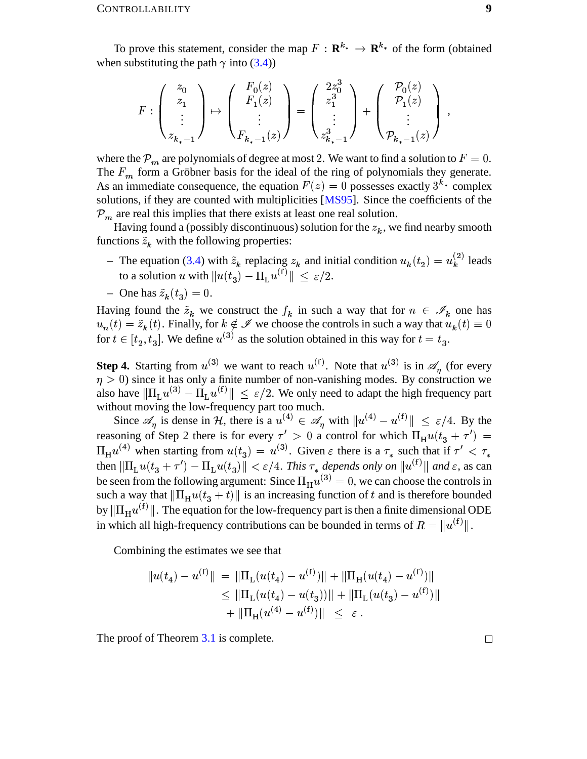To prove this statement, consider the map  $F : \mathbf{R}^{k_*} \to \mathbf{R}^{k_*}$  of the form (obtained when substituting the path  $\gamma$  into [\(3.4\)](#page-7-1))

$$
F: \left( \begin{array}{c} z_0 \\ z_1 \\ \vdots \\ z_{k_*-1} \end{array} \right) \mapsto \left( \begin{array}{c} F_0(z) \\ F_1(z) \\ \vdots \\ F_{k_*-1}(z) \end{array} \right) = \left( \begin{array}{c} 2z_0^3 \\ z_1^3 \\ \vdots \\ z_{k_*-1}^3 \end{array} \right) + \left( \begin{array}{c} \mathcal{P}_0(z) \\ \mathcal{P}_1(z) \\ \vdots \\ \mathcal{P}_{k_*-1}(z) \end{array} \right) \ ,
$$

where the  $\mathcal{P}_m$  are polynomials of degree at most 2. We want to find a solution to  $F=0$ . The  $F_m$  form a Gröbner basis for the ideal of the ring of polynomials they generate. As an immediate consequence, the equation  $F(z) = 0$  possesses exactly  $3^{k_*}$  complex solutions, if they are counted with multiplicities [\[MS95\]](#page-46-1). Since the coefficients of the  $P_m$  are real this implies that there exists at least one real solution.

Having found a (possibly discontinuous) solution for the  $z<sub>k</sub>$ , we find nearby smooth functions  $\tilde{z}_k$  with the following properties:

- The equation [\(3.4\)](#page-7-1) with  $\tilde{z}_k$  replacing  $z_k$  and initial condition  $u_k(t_2) = u_k^{(2)}$  leads to a solution u with  $||u(t_3) - \Pi_L u^{(t)}|| \leq \varepsilon/2$ .
- One has  $\tilde{z}_k(t_3) = 0$ .

Having found the  $\tilde{z}_k$  we construct the  $f_k$  in such a way that for  $n \in \mathscr{I}_k$  one has  $u_n(t) = \tilde{z}_k(t)$ . Finally, for  $k \notin \mathscr{I}$  we choose the controls in such a way that  $u_k(t) \equiv 0$ for  $t \in [t_2, t_3]$ . We . We define  $u^{(3)}$  as the solution obtained in this way for  $t=t_3$ .

**Step 4.** Starting from  $u^{(3)}$  we want to reach  $u^{(1)}$ . Note that  $u^{(3)}$  is in  $\mathscr{A}_n$  (for every  $\eta > 0$ ) since it has only a finite number of non-vanishing modes. By construction we also have  $\|\Pi_L u^{(3)} - \Pi_L u^{(1)}\| \leq \varepsilon/2$ . We only need to adapt the high frequency part without moving the low-frequency part too much.

Since  $\mathscr{A}_n$  is dense in H, there is a  $u^{(4)} \in \mathscr{A}_n$  with  $||u^{(4)} - u^{(f)}|| \leq \varepsilon/4$ . By the reasoning of Step 2 there is for every  $\tau' > 0$  a control for which  $\Pi_H u(t_3 + \tau') =$  $\Pi_H u^{(4)}$  when starting from  $u(t_3) = u^{(3)}$ . Given  $\varepsilon$  there is a  $\tau_*$  such that if  $\tau' < \tau_*$ then  $\|\Pi_{\text{L}}u(t_3+\tau')-\Pi_{\text{L}}u(t_3)\| < \varepsilon/4$ . This  $\tau_*$  depends only on  $\|u^{(\text{f})}\|$  and  $\varepsilon$ , as can be seen from the following argument: Since  $\Pi_H u^{(3)} = 0$ , we can choose the controls in such a way that  $\|\Pi_{H}u(t_3+t)\|$  is an increasing function of t and is therefore bounded by  $\|\Pi_{H}u^{(t)}\|$ . The equation for the low-frequency part is then a finite dimensional ODE in which all high-frequency contributions can be bounded in terms of  $R = ||u^{(t)}||$ .

Combining the estimates we see that

$$
||u(t_4) - u^{(f)}|| = ||\Pi_L(u(t_4) - u^{(f)})|| + ||\Pi_H(u(t_4) - u^{(f)})||
$$
  
\n
$$
\leq ||\Pi_L(u(t_4) - u(t_3))|| + ||\Pi_L(u(t_3) - u^{(f)})||
$$
  
\n
$$
+ ||\Pi_H(u^{(4)} - u^{(f)})|| \leq \varepsilon.
$$

The proof of Theorem [3.1](#page-34-0) is complete.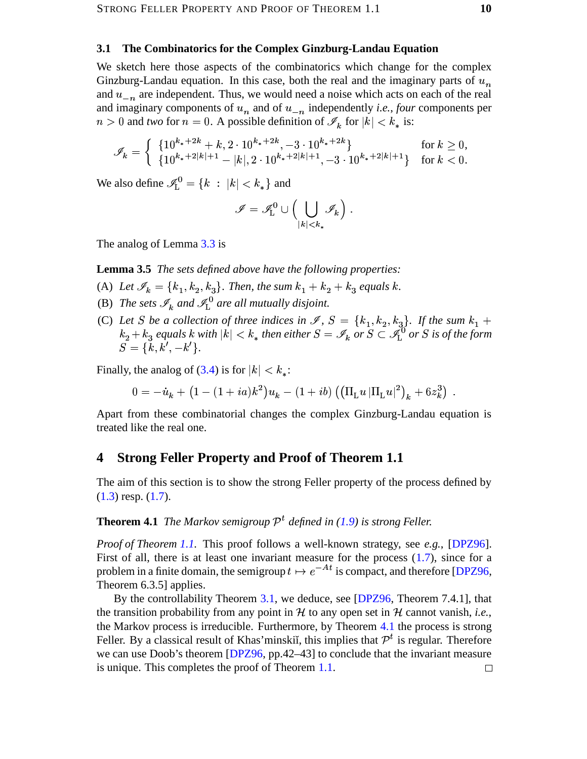### <span id="page-9-0"></span>**3.1 The Combinatorics for the Complex Ginzburg-Landau Equation**

We sketch here those aspects of the combinatorics which change for the complex Ginzburg-Landau equation. In this case, both the real and the imaginary parts of  $u_n$ and  $u_{-n}$  are independent. Thus, we would need a noise which acts on each of the real and imaginary components of  $u_n$  and of  $u_{-n}$  independently *i.e.*, *four* components per  $n > 0$  and *two* for  $n = 0$ . A possible definition of  $\mathscr{I}_k$  for  $|k|$  $|k| < k_*$  is:

$$
\mathscr{I}_k = \left\{ \begin{array}{ll} \{10^{k_*+2k} + k, 2 \cdot 10^{k_*+2k}, -3 \cdot 10^{k_*+2k} \} & \text{for } k \ge 0, \\ \{10^{k_*+2|k|+1} - |k|, 2 \cdot 10^{k_*+2|k|+1}, -3 \cdot 10^{k_*+2|k|+1} \} & \text{for } k < 0. \end{array} \right.
$$

We also define  $\mathcal{I}_{L}^{0} = \{k : |k| < k_{*}\}\$ and

$$
\mathscr{I}=\mathscr{I}^0_{\rm L}\cup\Bigl(\bigcup_{|k|
$$

The analog of Lemma [3.3](#page-35-2) is

**Lemma 3.5** *The sets defined above have the following properties:*

- (A) Let  $\mathscr{I}_k = \{k_1, k_2, k_3\}$ . Then, the sum  $k_1 + k_2 + k_3$  equals k.
- (B) The sets  $\mathscr{I}_k$  and  $\mathscr{I}_L^0$  are all mutually disjoint.
- (C) Let *S* be a collection of three indices in  $\mathscr{I}$ ,  $S = \{k_1, k_2, k_3\}$ . If the sum  $k_1 +$ Let S be a collection of three indices in  $\mathcal{S}$ ,  $S = \{k_1, k_2, k_3\}$ . If the sum  $k_1 + k_2 + k_3$  equals k with  $|k| < k_*$  then either  $S = \mathcal{I}_k$  or  $S \subset \mathcal{I}_L^{0}$  or S is of the form  $|k| < k_*$  then either  $S = \mathscr{I}_k$  or  $S \subset \mathscr{I}^0_1$  or  $S$  is of the form  $S = \{k, k', -k'\}.$

Finally, the analog of  $(3.4)$  is for

the analog of (3.4) is for 
$$
|k| < k_*
$$
:  
\n
$$
0 = -\dot{u}_k + (1 - (1 + ia)\kappa^2)u_k - (1 + ib) ((\Pi_L u |\Pi_L u|^2)_k + 6z_k^3).
$$

Apart from these combinatorial changes the complex Ginzburg-Landau equation is treated like the real one.

### <span id="page-9-1"></span>**4 Strong Feller Property and Proof of Theorem 1.1**

The aim of this section is to show the strong Feller property of the process defined by  $(1.3)$  resp.  $(1.7)$ .

### **Theorem 4.1** *The Markov semigroup*  $\mathcal{P}^t$  *defined in* [\(1.9\)](#page-3-2) *is strong Feller.*

<sup>Ø</sup> *Proof of Theorem [1.1.](#page-34-0)* This proof follows a well-known strategy, see *e.g.*, [\[DPZ96\]](#page-45-0). First of all, there is at least one invariant measure for the process [\(1.7\)](#page-3-1), since for a problem in a finite domain, the semigroup  $t \mapsto e^{-At}$  is compact, and therefore [\[DPZ96,](#page-45-0) Theorem 6.3.5] applies. Theorem 6.3.5] applies.

By the controllability Theorem [3.1,](#page-34-0) we deduce, see [\[DPZ96,](#page-45-0) Theorem 7.4.1], that the transition probability from any point in  $H$  to any open set in  $H$  cannot vanish, *i.e.*, the Markov process is irreducible. Furthermore, by Theorem [4.1](#page-34-0) the process is strong Feller. By a classical result of Khas'minskiĭ, this implies that  $\mathcal{P}^t$  is regular. Therefore we can use Doob's theorem [\[DPZ96,](#page-45-0) pp.42–43] to conclude that the invariant measure is unique. This completes the proof of Theorem [1.1.](#page-34-0) $\Box$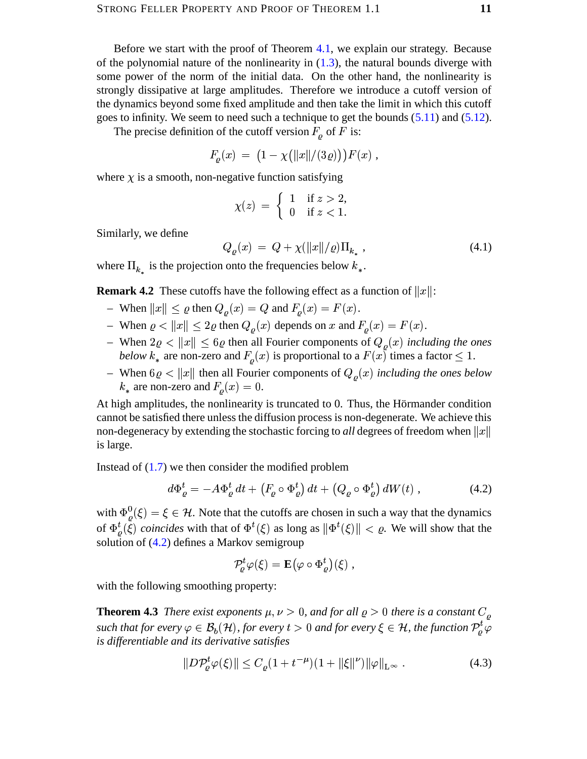Before we start with the proof of Theorem 4.1, we explain our strategy. Because of the polynomial nature of the nonlinearity in  $(1.3)$ , the natural bounds diverge with some power of the norm of the initial data. On the other hand, the nonlinearity is strongly dissipative at large amplitudes. Therefore we introduce a cutoff version of the dynamics beyond some fixed amplitude and then take the limit in which this cutoff goes to infinity. We seem to need such a technique to get the bounds  $(5.11)$  and  $(5.12)$ .

The precise definition of the cutoff version  $F<sub>o</sub>$  of F is:

$$
F_{\varrho}(x) = (1 - \chi(||x||/(3\varrho)))F(x) ,
$$

where  $\chi$  is a smooth, non-negative function satisfying

<span id="page-10-2"></span>
$$
\chi(z) = \begin{cases} 1 & \text{if } z > 2, \\ 0 & \text{if } z < 1. \end{cases}
$$

Similarly, we define

$$
Q_{\varrho}(x) \ = \ Q + \chi(\|x\|/\varrho)\Pi_{k_{*}} \ , \tag{4.1}
$$

where  $\Pi_k$  is the projection onto the frequencies below  $k_*$ .

**Remark 4.2** These cutoffs have the following effect as a function of  $||x||$ :

- When  $||x|| \le \varrho$  then  $Q_o(x) = Q$  and  $F_o(x) = F(x)$ .
- When  $\varrho < ||x|| \le 2\varrho$  then  $Q_{\rho}(x)$  depends on x and  $F_{\rho}(x) = F(x)$ .
- When  $2\varrho < ||x|| \le 6\varrho$  then all Fourier components of  $Q_{\rho}(x)$  including the ones below  $k_*$  are non-zero and  $F_{\rho}(x)$  is proportional to a  $F(x)$  times a factor  $\leq 1$ .
- When  $6\varrho < ||x||$  then all Fourier components of  $Q_{\rho}(x)$  including the ones below  $k_*$  are non-zero and  $F_o(x) = 0$ .

At high amplitudes, the nonlinearity is truncated to 0. Thus, the Hörmander condition cannot be satisfied there unless the diffusion process is non-degenerate. We achieve this non-degeneracy by extending the stochastic forcing to *all* degrees of freedom when  $||x||$ is large.

Instead of  $(1.7)$  we then consider the modified problem

$$
d\Phi_{\varrho}^{t} = -A\Phi_{\varrho}^{t} dt + \left(F_{\varrho} \circ \Phi_{\varrho}^{t}\right) dt + \left(Q_{\varrho} \circ \Phi_{\varrho}^{t}\right) dW(t) , \qquad (4.2)
$$

with  $\Phi_{\rho}^{0}(\xi) = \xi \in \mathcal{H}$ . Note that the cutoffs are chosen in such a way that the dynamics of  $\Phi_{\rho}^{t}(\xi)$  coincides with that of  $\Phi^{t}(\xi)$  as long as  $\|\Phi^{t}(\xi)\| < \rho$ . We will show that the solution of  $(4.2)$  defines a Markov semigroup

<span id="page-10-1"></span><span id="page-10-0"></span>
$$
\mathcal{P}^t_\rho \varphi(\xi) = \mathbf{E}\big(\varphi \circ \Phi^t_\rho\big)(\xi) \;,
$$

with the following smoothing property:

**Theorem 4.3** There exist exponents  $\mu, \nu > 0$ , and for all  $\varrho > 0$  there is a constant  $C_{\rho}$ such that for every  $\varphi \in \mathcal{B}_b(\mathcal{H})$ , for every  $t > 0$  and for every  $\xi \in \mathcal{H}$ , the function  $\mathcal{P}_o^t \varphi$ is differentiable and its derivative satisfies

$$
||D\mathcal{P}_{\varrho}^{t}\varphi(\xi)|| \leq C_{\varrho}(1+t^{-\mu})(1+||\xi||^{\nu})||\varphi||_{L^{\infty}}.
$$
\n(4.3)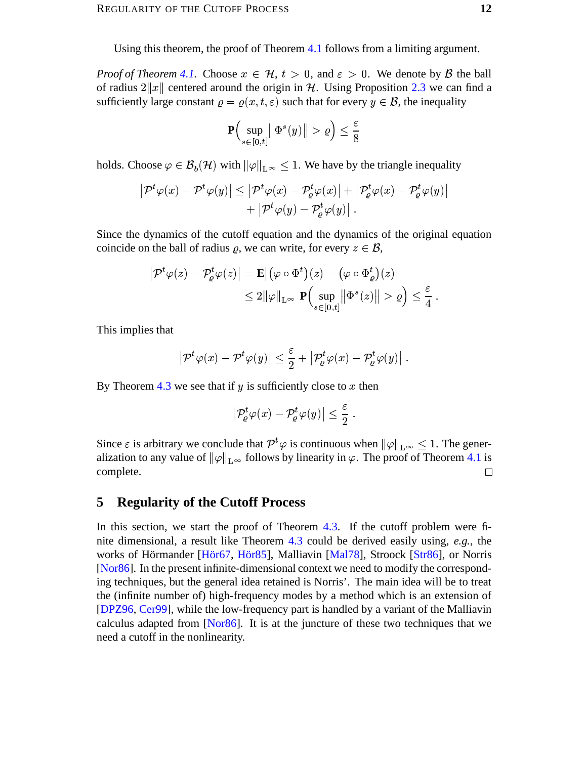Using this theorem, the proof of Theorem 4.1 follows from a limiting argument.

*Proof of Theorem 4.1.* Choose  $x \in \mathcal{H}$ ,  $t > 0$ , and  $\varepsilon > 0$ . We denote by  $\beta$  the ball of radius  $2||x||$  centered around the origin in H. Using Proposition 2.3 we can find a sufficiently large constant  $\rho = \rho(x, t, \varepsilon)$  such that for every  $y \in \mathcal{B}$ , the inequality

$$
\mathbf{P}\Big(\sup_{s\in[0,t]}\big\|\Phi^s(y)\big\| > \varrho\Big) \le \frac{\varepsilon}{8}
$$

holds. Choose  $\varphi \in \mathcal{B}_b(\mathcal{H})$  with  $\|\varphi\|_{L^\infty} \leq 1$ . We have by the triangle inequality

$$
\left| \mathcal{P}^t \varphi(x) - \mathcal{P}^t \varphi(y) \right| \le \left| \mathcal{P}^t \varphi(x) - \mathcal{P}^t_{\varrho} \varphi(x) \right| + \left| \mathcal{P}^t_{\varrho} \varphi(x) - \mathcal{P}^t_{\varrho} \varphi(y) \right|
$$
  
+ 
$$
\left| \mathcal{P}^t \varphi(y) - \mathcal{P}^t_{\varrho} \varphi(y) \right|.
$$

Since the dynamics of the cutoff equation and the dynamics of the original equation coincide on the ball of radius  $\rho$ , we can write, for every  $z \in \mathcal{B}$ ,

$$
\left| \mathcal{P}^t \varphi(z) - \mathcal{P}^t_{\varrho} \varphi(z) \right| = \mathbf{E} \left| \left( \varphi \circ \Phi^t \right)(z) - \left( \varphi \circ \Phi^t_{\varrho} \right)(z) \right|
$$
  

$$
\leq 2 \|\varphi\|_{\mathbf{L}^{\infty}} \mathbf{P} \left( \sup_{s \in [0,t]} \|\Phi^s(z)\| > \varrho \right) \leq \frac{\varepsilon}{4}
$$

This implies that

$$
\left|\mathcal{P}^t\varphi(x)-\mathcal{P}^t\varphi(y)\right|\leq \frac{\varepsilon}{2}+\left|\mathcal{P}^t_{\varrho}\varphi(x)-\mathcal{P}^t_{\varrho}\varphi(y)\right|.
$$

By Theorem 4.3 we see that if  $y$  is sufficiently close to  $x$  then

$$
\left|\mathcal{P}^t_{\varrho}\varphi(x)-\mathcal{P}^t_{\varrho}\varphi(y)\right|\leq \frac{\varepsilon}{2}
$$

Since  $\varepsilon$  is arbitrary we conclude that  $\mathcal{P}^t\varphi$  is continuous when  $\|\varphi\|_{L^{\infty}} \leq 1$ . The generalization to any value of  $\|\varphi\|_{L^{\infty}}$  follows by linearity in  $\varphi$ . The proof of Theorem 4.1 is complete.  $\Box$ 

#### <span id="page-11-0"></span>5 **Regularity of the Cutoff Process**

In this section, we start the proof of Theorem 4.3. If the cutoff problem were finite dimensional, a result like Theorem 4.3 could be derived easily using,  $e.g.,$  the works of Hörmander [Hör67, Hör85], Malliavin [Mal78], Stroock [Str86], or Norris [Nor86]. In the present infinite-dimensional context we need to modify the corresponding techniques, but the general idea retained is Norris'. The main idea will be to treat the (infinite number of) high-frequency modes by a method which is an extension of [DPZ96, Cer99], while the low-frequency part is handled by a variant of the Malliavin calculus adapted from [Nor86]. It is at the juncture of these two techniques that we need a cutoff in the nonlinearity.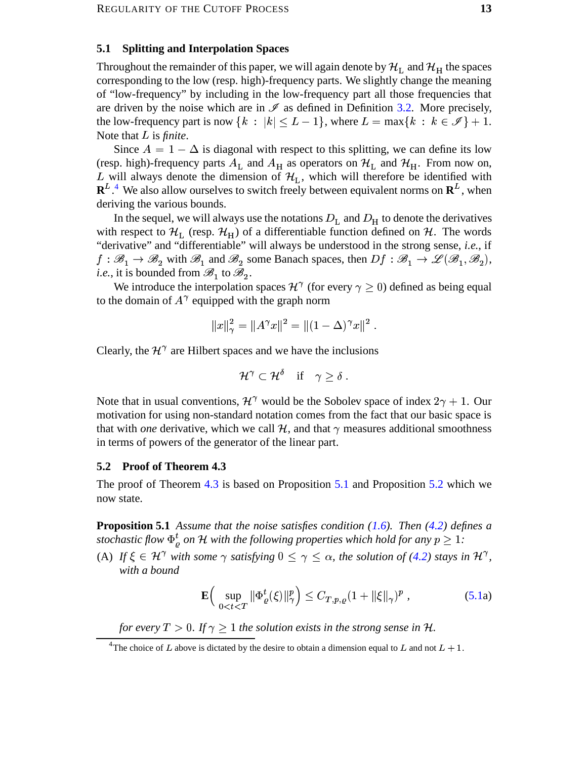#### <span id="page-12-0"></span>**5.1 Splitting and Interpolation Spaces**

Throughout the remainder of this paper, we will again denote by  $\mathcal{H}_\text{L}$  and  $\mathcal{H}_\text{H}$  the spaces corresponding to the low (resp. high)-frequency parts. We slightly change the meaning of "low-frequency" by including in the low-frequency part all those frequencies that are driven by the noise which are in  $\mathscr I$  as defined in Definition [3.2.](#page-35-1) More precisely, the low-frequency part is now  $\{k : |k| \le L - 1\}$ , where  $L = \max\{k : k \in \mathcal{I}\} + 1$ .<br>Note that L is *finite*.  $\mathbf{v} = \mathbf{v}$ Note that  $L$  is *finite*.

Since  $A = 1 - \Delta$  is diagonal with respect to this splitting, we can define its low (resp. high)-frequency parts  $A_L$  and  $A_H$  as operators on  $\mathcal{H}_L$  and  $\mathcal{H}_H$ . From now on, L will always denote the dimension of  $\mathcal{H}_L$ , which will therefore be identified with  $\mathbb{R}^{L}$ .<sup>[4](#page-12-2)</sup> We also allow ourselves to switch freely between equivalent norms on  $\mathbb{R}^{L}$ , when deriving the various bounds.

In the sequel, we will always use the notations  $D<sub>L</sub>$  and  $D<sub>H</sub>$  to denote the derivatives with respect to  $\mathcal{H}_L$  (resp.  $\mathcal{H}_H$ ) of a differentiable function defined on  $\mathcal{H}$ . The words "derivative" and "differentiable" will always be understood in the strong sense, *i.e.*, if  $f : \mathcal{B}_1 \to \mathcal{B}_2$  with  $\mathcal{B}_1$  and  $\mathcal{B}_2$  some Banach spaces, then  $Df : \mathcal{B}_1 \to \mathcal{L}(\mathcal{B}_1, \mathcal{B}_2)$ , *i.e.*, it is bounded from  $\mathscr{B}_1$  to  $\mathscr{B}_2$ .

We introduce the interpolation spaces  $\mathcal{H}^{\gamma}$  (for every  $\gamma \geq 0$ ) defined as being equal to the domain of  $A^{\gamma}$  equipped with the graph norm

$$
||x||_{\gamma}^{2} = ||A^{\gamma}x||^{2} = ||(1 - \Delta)^{\gamma}x||^{2}.
$$

Clearly, the  $\mathcal{H}^{\gamma}$  are Hilbert spaces and we have the inclusions

$$
\mathcal{H}^{\gamma} \subset \mathcal{H}^{\delta} \quad \text{if} \quad \gamma \geq \delta \; .
$$

Note that in usual conventions,  $\mathcal{H}^{\gamma}$  would be the Sobolev space of index  $2\gamma + 1$ . Our motivation for using non-standard notation comes from the fact that our basic space is that with *one* derivative, which we call  $\mathcal{H}$ , and that  $\gamma$  measures additional smoothness in terms of powers of the generator of the linear part.

#### <span id="page-12-1"></span>**5.2 Proof of Theorem 4.3**

The proof of Theorem [4.3](#page-35-2) is based on Proposition [5.1](#page-34-0) and Proposition [5.2](#page-35-1) which we now state.

**Proposition 5.1** *Assume that the noise satisfies condition [\(1.6\)](#page-2-2). Then [\(4.2\)](#page-10-0) defines a stochastic flow*  $\Phi_o^t$  *on*  $\mathcal H$  *with the following properties which hold for any*  $p \geq 1$ :

(A) If  $\xi \in \mathcal{H}^{\gamma}$  with some  $\gamma$  satisfying  $0 \leq \gamma \leq \alpha$ , the solution of [\(4.2\)](#page-10-0) stays in  $\mathcal{H}^{\gamma}$ , *with a bound*

$$
\mathbf{E}\Big(\sup_{0
$$

*for every*  $T > 0$ . If  $\gamma \geq 1$  the solution exists in the strong sense in H.

<span id="page-12-2"></span><sup>&</sup>lt;sup>4</sup>The choice of L above is dictated by the desire to obtain a dimension equal to L and not  $L + 1$ .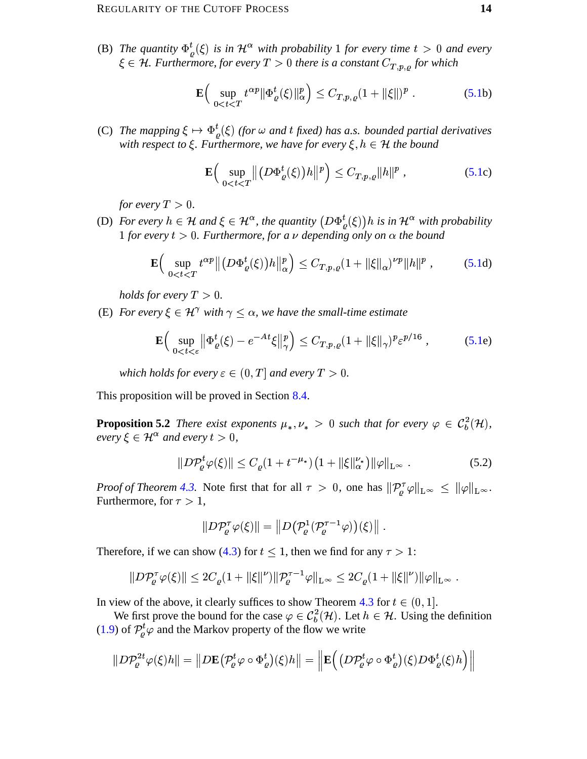(B) The quantity  $\Phi_{\varrho}^{t}(\xi)$  is in  $\mathcal{H}^{\alpha}$  with probability 1 for every time  $t > 0$  and every  $\xi \in \mathcal{H}$ . Furthermore, for every  $T > 0$  there is a constant  $C_{T,p,\rho}$  for which

$$
\mathbf{E}\Big(\sup_{0 (5.1b)
$$

(C) The mapping  $\xi \mapsto \Phi_{\rho}^{t}(\xi)$  (for  $\omega$  and t fixed) has a.s. bounded partial derivatives with respect to  $\xi$ . Furthermore, we have for every  $\xi, h \in \mathcal{H}$  the bound

<span id="page-13-1"></span><span id="page-13-0"></span>
$$
\mathbf{E}\Big(\sup_{0
$$

for every  $T > 0$ .

(D) For every  $h \in \mathcal{H}$  and  $\xi \in \mathcal{H}^{\alpha}$ , the quantity  $(D\Phi_{\rho}^{t}(\xi))h$  is in  $\mathcal{H}^{\alpha}$  with probability 1 for every  $t > 0$ . Furthermore, for a v depending only on  $\alpha$  the bound

$$
\mathbf{E}\Big(\sup_{0
$$

holds for every  $T > 0$ .

(E) For every  $\xi \in \mathcal{H}^{\gamma}$  with  $\gamma \leq \alpha$ , we have the small-time estimate

$$
\mathbf{E}\Big(\sup_{0
$$

which holds for every  $\varepsilon \in (0,T]$  and every  $T > 0$ .

This proposition will be proved in Section 8.4.

**Proposition 5.2** There exist exponents  $\mu_*, \nu_* > 0$  such that for every  $\varphi \in C_b^2(\mathcal{H})$ , every  $\xi \in \mathcal{H}^{\alpha}$  and every  $t > 0$ ,

$$
||D\mathcal{P}_{\varrho}^{t}\varphi(\xi)|| \leq C_{\varrho}(1+t^{-\mu_{*}})\big(1+\|\xi\|_{\alpha}^{\nu_{*}}\big)\|\varphi\|_{L^{\infty}}\ .
$$
\n(5.2)

*Proof of Theorem 4.3.* Note first that for all  $\tau > 0$ , one has  $\|\mathcal{P}_{\rho}^{\tau}\varphi\|_{L^{\infty}} \le \|\varphi\|_{L^{\infty}}$ . Furthermore, for  $\tau > 1$ ,

<span id="page-13-2"></span>
$$
||D\mathcal{P}_{\varrho}^{\tau}\varphi(\xi)|| = ||D(\mathcal{P}_{\varrho}^{1}(\mathcal{P}_{\varrho}^{\tau-1}\varphi))(\xi)||.
$$

Therefore, if we can show (4.3) for  $t \le 1$ , then we find for any  $\tau > 1$ :

$$
||D\mathcal{P}_{\varrho}^{\tau}\varphi(\xi)|| \leq 2C_{\varrho}(1+||\xi||^{\nu})||\mathcal{P}_{\varrho}^{\tau-1}\varphi||_{L^{\infty}} \leq 2C_{\varrho}(1+||\xi||^{\nu})||\varphi||_{L^{\infty}}.
$$

In view of the above, it clearly suffices to show Theorem 4.3 for  $t \in (0, 1]$ .

We first prove the bound for the case  $\varphi \in C_b^2(\mathcal{H})$ . Let  $h \in \mathcal{H}$ . Using the definition (1.9) of  $\mathcal{P}_{\rho}^{t} \varphi$  and the Markov property of the flow we write

$$
||D\mathcal{P}^{2t}_{\varrho}\varphi(\xi)h|| = ||D\mathbf{E}(\mathcal{P}^{t}_{\varrho}\varphi \circ \Phi^{t}_{\varrho})(\xi)h|| = \left\|\mathbf{E}((D\mathcal{P}^{t}_{\varrho}\varphi \circ \Phi^{t}_{\varrho})(\xi)D\Phi^{t}_{\varrho}(\xi)h)\right\|
$$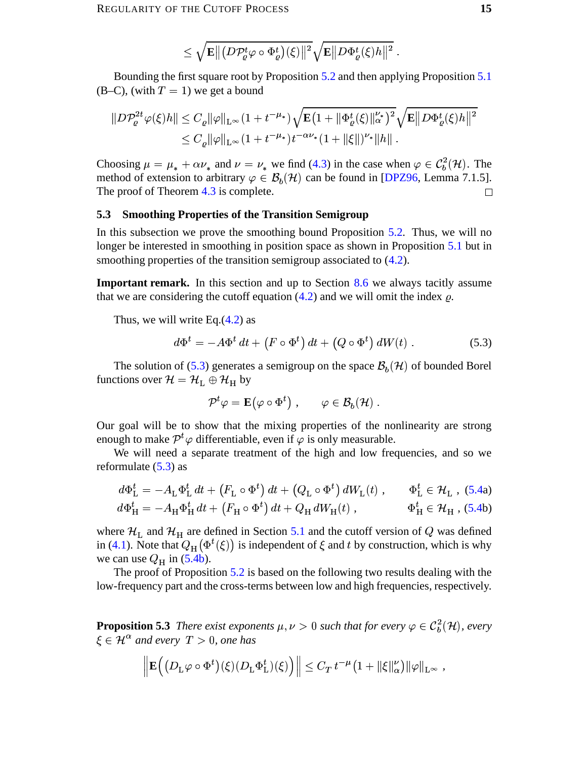$$
\leq \sqrt{\mathbf{E} \big\| \big(D \mathcal{P}^t_{\varrho} \varphi \circ \Phi_{\varrho}^t \big)(\xi) \big\|^2} \sqrt{\mathbf{E} \big\| D \Phi_{\varrho}^t(\xi) h \big\|^2} \; .
$$

Bounding the first square root by Proposition 5.2 and then applying Proposition 5.1  $(B-C)$ , (with  $T = 1$ ) we get a bound

$$
||D\mathcal{P}_{\varrho}^{2t}\varphi(\xi)h|| \leq C_{\varrho} ||\varphi||_{\mathcal{L}^{\infty}} (1+t^{-\mu_{*}}) \sqrt{\mathbf{E}(1+||\Phi_{\varrho}^{t}(\xi)||_{\alpha}^{\nu_{*}})^{2}} \sqrt{\mathbf{E}||D\Phi_{\varrho}^{t}(\xi)h||^{2}} \leq C_{\varrho} ||\varphi||_{\mathcal{L}^{\infty}} (1+t^{-\mu_{*}}) t^{-\alpha\nu_{*}} (1+||\xi||)^{\nu_{*}} ||h||.
$$

Choosing  $\mu = \mu_* + \alpha \nu_*$  and  $\nu = \nu_*$  we find (4.3) in the case when  $\varphi \in C_b^2(\mathcal{H})$ . The method of extension to arbitrary  $\varphi \in \mathcal{B}_h(\mathcal{H})$  can be found in [DPZ96, Lemma 7.1.5]. The proof of Theorem  $4.3$  is complete.  $\Box$ 

#### <span id="page-14-0"></span> $5.3$ **Smoothing Properties of the Transition Semigroup**

In this subsection we prove the smoothing bound Proposition  $5.2$ . Thus, we will no longer be interested in smoothing in position space as shown in Proposition 5.1 but in smoothing properties of the transition semigroup associated to  $(4.2)$ .

**Important remark.** In this section and up to Section 8.6 we always tacitly assume that we are considering the cutoff equation  $(4.2)$  and we will omit the index  $\rho$ .

Thus, we will write Eq.  $(4.2)$  as

$$
d\Phi^t = -A\Phi^t dt + (F \circ \Phi^t) dt + (Q \circ \Phi^t) dW(t).
$$
 (5.3)

The solution of (5.3) generates a semigroup on the space  $\mathcal{B}_h(\mathcal{H})$  of bounded Borel functions over  $\mathcal{H} = \mathcal{H}_L \oplus \mathcal{H}_H$  by

<span id="page-14-1"></span>
$$
\mathcal{P}^t \varphi = \mathbf{E}(\varphi \circ \Phi^t) , \qquad \varphi \in \mathcal{B}_b(\mathcal{H})
$$

Our goal will be to show that the mixing properties of the nonlinearity are strong enough to make  $\mathcal{P}^t\varphi$  differentiable, even if  $\varphi$  is only measurable.

We will need a separate treatment of the high and low frequencies, and so we reformulate  $(5.3)$  as

$$
d\Phi_{\mathcal{L}}^{t} = -A_{\mathcal{L}}\Phi_{\mathcal{L}}^{t} dt + (F_{\mathcal{L}} \circ \Phi^{t}) dt + (Q_{\mathcal{L}} \circ \Phi^{t}) dW_{\mathcal{L}}(t) , \qquad \Phi_{\mathcal{L}}^{t} \in \mathcal{H}_{\mathcal{L}} , (5.4a)
$$
  

$$
d\Phi_{\mathcal{H}}^{t} = -A_{\mathcal{H}}\Phi_{\mathcal{H}}^{t} dt + (F_{\mathcal{H}} \circ \Phi^{t}) dt + Q_{\mathcal{H}} dW_{\mathcal{H}}(t) , \qquad \Phi_{\mathcal{H}}^{t} \in \mathcal{H}_{\mathcal{H}} , (5.4b)
$$

where  $\mathcal{H}_L$  and  $\mathcal{H}_H$  are defined in Section 5.1 and the cutoff version of Q was defined in (4.1). Note that  $Q_H(\Phi^t(\xi))$  is independent of  $\xi$  and t by construction, which is why we can use  $Q_H$  in (5.4b).

The proof of Proposition  $5.2$  is based on the following two results dealing with the low-frequency part and the cross-terms between low and high frequencies, respectively.

**Proposition 5.3** There exist exponents  $\mu, \nu > 0$  such that for every  $\varphi \in C_h^2(\mathcal{H})$ , every  $\xi \in \mathcal{H}^{\alpha}$  and every  $T > 0$ , one has

$$
\left\| \mathbf{E}\Big( \big(D_{\mathrm{L}}\varphi \circ \Phi^t\big)(\xi) \big(D_{\mathrm{L}}\Phi_{\mathrm{L}}^t\big)(\xi) \Big) \right\| \leq C_T \, t^{-\mu} \big(1 + \|\xi\|_{\alpha}^{\nu}\big) \|\varphi\|_{\mathrm{L}^{\infty}} \, ,
$$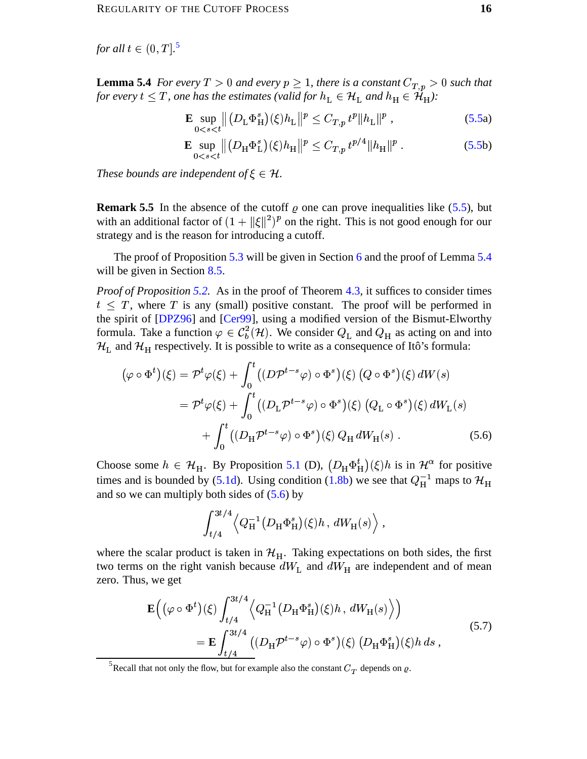for all  $t \in (0, T]$ .<sup>5</sup>

**Lemma 5.4** For every  $T > 0$  and every  $p \ge 1$ , there is a constant  $C_{T,p} > 0$  such that for every  $t \leq T$ , one has the estimates (valid for  $h_L \in \mathcal{H}_L$  and  $h_H \in \mathcal{H}_H$ ):

$$
\mathbf{E} \sup_{0 < s < t} \left\| \left( D_{\mathcal{L}} \Phi_{\mathcal{H}}^s \right) (\xi) h_{\mathcal{L}} \right\|^{p} \leq C_{T, p} \, t^p \| h_{\mathcal{L}} \|^p \;, \tag{5.5a}
$$

$$
\mathbf{E} \sup_{0 < s < t} \left\| \left( D_{\mathcal{H}} \Phi_{\mathcal{L}}^s \right) (\xi) h_{\mathcal{H}} \right\|^p \le C_{T, p} t^{p/4} \| h_{\mathcal{H}} \|^p \,. \tag{5.5b}
$$

These bounds are independent of  $\xi \in \mathcal{H}$ .

**Remark 5.5** In the absence of the cutoff  $\rho$  one can prove inequalities like (5.5), but with an additional factor of  $(1 + ||\xi||^2)^p$  on the right. This is not good enough for our strategy and is the reason for introducing a cutoff.

The proof of Proposition 5.3 will be given in Section 6 and the proof of Lemma 5.4 will be given in Section  $8.5$ .

*Proof of Proposition 5.2.* As in the proof of Theorem 4.3, it suffices to consider times  $t < T$ , where T is any (small) positive constant. The proof will be performed in the spirit of [DPZ96] and [Cer99], using a modified version of the Bismut-Elworthy formula. Take a function  $\varphi \in C_b^2(\mathcal{H})$ . We consider  $Q_L$  and  $Q_H$  as acting on and into  $\mathcal{H}_L$  and  $\mathcal{H}_H$  respectively. It is possible to write as a consequence of Itô's formula:

$$
(\varphi \circ \Phi^t)(\xi) = \mathcal{P}^t \varphi(\xi) + \int_0^t ((D\mathcal{P}^{t-s}\varphi) \circ \Phi^s)(\xi) (Q \circ \Phi^s)(\xi) dW(s)
$$
  

$$
= \mathcal{P}^t \varphi(\xi) + \int_0^t ((D_{\mathcal{L}} \mathcal{P}^{t-s}\varphi) \circ \Phi^s)(\xi) (Q_{\mathcal{L}} \circ \Phi^s)(\xi) dW_{\mathcal{L}}(s)
$$
  

$$
+ \int_0^t ((D_{\mathcal{H}} \mathcal{P}^{t-s}\varphi) \circ \Phi^s)(\xi) Q_{\mathcal{H}} dW_{\mathcal{H}}(s) .
$$
 (5.6)

Choose some  $h \in \mathcal{H}_H$ . By Proposition 5.1 (D),  $(D_H \Phi_H^t)(\xi)h$  is in  $\mathcal{H}^{\alpha}$  for positive times and is bounded by (5.1d). Using condition (1.8b) we see that  $Q_H^{-1}$  maps to  $\mathcal{H}_H$ and so we can multiply both sides of  $(5.6)$  by

<span id="page-15-2"></span><span id="page-15-1"></span>
$$
\int_{t/4}^{3t/4} \left\langle Q_{\rm H}^{-1} (D_{\rm H} \Phi_{\rm H}^s)(\xi) h \, , \, dW_{\rm H}(s) \right\rangle,
$$

where the scalar product is taken in  $\mathcal{H}_{H}$ . Taking expectations on both sides, the first two terms on the right vanish because  $dW_L$  and  $dW_H$  are independent and of mean zero. Thus, we get

$$
\mathbf{E}\left((\varphi \circ \Phi^t)(\xi)\int_{t/4}^{3t/4} \left\langle Q_{\mathcal{H}}^{-1}(D_{\mathcal{H}}\Phi_{\mathcal{H}}^s)(\xi)h, dW_{\mathcal{H}}(s)\right\rangle\right) \n= \mathbf{E}\int_{t/4}^{3t/4} \left((D_{\mathcal{H}}\mathcal{P}^{t-s}\varphi) \circ \Phi^s\right)(\xi) (D_{\mathcal{H}}\Phi_{\mathcal{H}}^s)(\xi)h ds,
$$
\n(5.7)

<span id="page-15-0"></span><sup>5</sup>Recall that not only the flow, but for example also the constant  $C_T$  depends on  $\rho$ .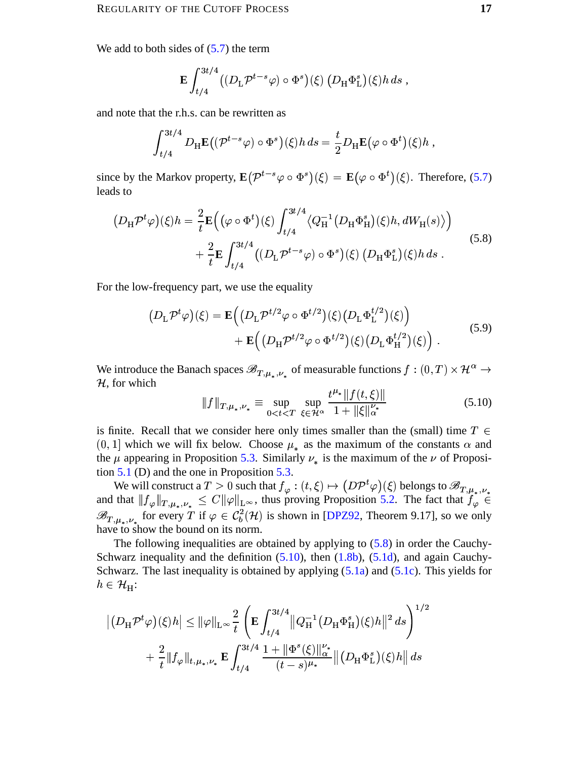We add to both sides of  $(5.7)$  the term

$$
\mathbf{E} \int_{t/4}^{3t/4} \left( (D_{\mathrm{L}} \mathcal{P}^{t-s} \varphi) \circ \Phi^s \right) (\xi) \left( D_{\mathrm{H}} \Phi_{\mathrm{L}}^s \right) (\xi) h \, ds \,,
$$

and note that the r.h.s. can be rewritten as

$$
\int_{t/4}^{3t/4} D_{\mathrm{H}} \mathbf{E} \big( (\mathcal{P}^{t-s} \varphi) \circ \Phi^s \big) (\xi) h \, ds = \frac{t}{2} D_{\mathrm{H}} \mathbf{E} \big( \varphi \circ \Phi^t \big) (\xi) h \, ,
$$

since by the Markov property,  $\mathbf{E}(\mathcal{P}^{t-s}\varphi \circ \Phi^s)(\xi) = \mathbf{E}(\varphi \circ \Phi^t)(\xi)$ . Therefore, (5.7) leads to

$$
(D_{\mathrm{H}}\mathcal{P}^{t}\varphi)(\xi)h = \frac{2}{t}\mathbf{E}\Big((\varphi \circ \Phi^{t})(\xi)\int_{t/4}^{3t/4} \langle Q_{\mathrm{H}}^{-1}(D_{\mathrm{H}}\Phi_{\mathrm{H}}^{s})(\xi)h,dW_{\mathrm{H}}(s)\rangle\Big) + \frac{2}{t}\mathbf{E}\int_{t/4}^{3t/4} \big((D_{\mathrm{L}}\mathcal{P}^{t-s}\varphi) \circ \Phi^{s}\big)(\xi)\left(D_{\mathrm{H}}\Phi_{\mathrm{L}}^{s}\right)(\xi)h ds.
$$
\n(5.8)

For the low-frequency part, we use the equality

$$
(D_{\mathcal{L}}\mathcal{P}^{t}\varphi)(\xi) = \mathbf{E}\Big((D_{\mathcal{L}}\mathcal{P}^{t/2}\varphi \circ \Phi^{t/2})(\xi)(D_{\mathcal{L}}\Phi_{\mathcal{L}}^{t/2})(\xi)\Big) +\mathbf{E}\Big((D_{\mathcal{H}}\mathcal{P}^{t/2}\varphi \circ \Phi^{t/2})(\xi)(D_{\mathcal{L}}\Phi_{\mathcal{H}}^{t/2})(\xi)\Big).
$$
\n(5.9)

We introduce the Banach spaces  $\mathscr{B}_{T,\mu_*,\nu_*}$  of measurable functions  $f:(0,T)\times\mathcal{H}^{\alpha}\to$  $H$ , for which

<span id="page-16-2"></span><span id="page-16-1"></span><span id="page-16-0"></span>
$$
\|f\|_{T,\mu_*,\nu_*} \equiv \sup_{0 < t < T} \sup_{\xi \in \mathcal{H}^\alpha} \frac{t^{\mu_*} \|f(t,\xi)\|}{1 + \|\xi\|_{\alpha}^{\nu_*}} \tag{5.10}
$$

is finite. Recall that we consider here only times smaller than the (small) time  $T \in$  $(0, 1]$  which we will fix below. Choose  $\mu_*$  as the maximum of the constants  $\alpha$  and the  $\mu$  appearing in Proposition 5.3. Similarly  $\nu_*$  is the maximum of the  $\nu$  of Proposition  $5.1$  (D) and the one in Proposition 5.3.

We will construct a  $T > 0$  such that  $f_{\varphi} : (t, \xi) \mapsto (D\mathcal{P}^t \varphi)(\xi)$  belongs to  $\mathscr{B}_{T,\mu_*,\nu_*}$ <br>and that  $||f_{\varphi}||_{T,\mu_*,\nu_*} \leq C ||\varphi||_{L^{\infty}}$ , thus proving Proposition 5.2. The fact that  $f_{\varphi} \in$  $\mathscr{B}_{T,\mu_*,\nu_*}$  for every T if  $\varphi \in C_b^2(\mathcal{H})$  is shown in [DPZ92, Theorem 9.17], so we only have to show the bound on its norm.

The following inequalities are obtained by applying to  $(5.8)$  in order the Cauchy-Schwarz inequality and the definition  $(5.10)$ , then  $(1.8b)$ ,  $(5.1d)$ , and again Cauchy-Schwarz. The last inequality is obtained by applying  $(5.1a)$  and  $(5.1c)$ . This yields for  $h \in \mathcal{H}_H$ :

$$
\left| (D_{\mathrm{H}} \mathcal{P}^{t} \varphi)(\xi) h \right| \leq \|\varphi\|_{\mathrm{L}^{\infty}} \frac{2}{t} \left( \mathbf{E} \int_{t/4}^{3t/4} \|Q_{\mathrm{H}}^{-1} (D_{\mathrm{H}} \Phi_{\mathrm{H}}^{s})(\xi) h \|^{2} ds \right)^{1/2} + \frac{2}{t} \|f_{\varphi}\|_{t, \mu_{\ast}, \nu_{\ast}} \mathbf{E} \int_{t/4}^{3t/4} \frac{1 + \|\Phi^{s}(\xi)\|_{\alpha}^{\nu_{\ast}}}{(t - s)^{\mu_{\ast}}} \| (D_{\mathrm{H}} \Phi_{\mathrm{L}}^{s})(\xi) h \| ds
$$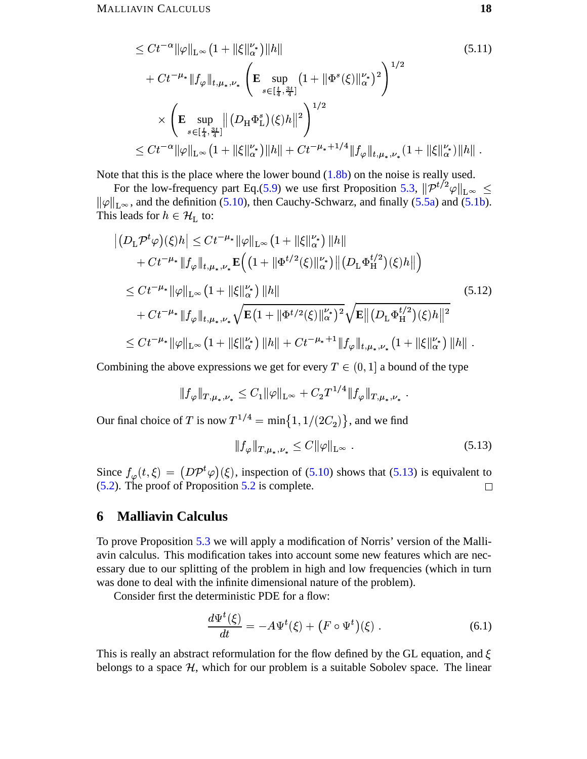<span id="page-17-1"></span>
$$
\leq Ct^{-\alpha} \|\varphi\|_{L^{\infty}} \left(1 + \|\xi\|_{\alpha}^{\nu_{*}}\right) \|h\|
$$
\n
$$
+ Ct^{-\mu_{*}} \|f_{\varphi}\|_{t,\mu_{*},\nu_{*}} \left(\mathbf{E} \sup_{s \in [\frac{t}{4},\frac{3t}{4}]} \left(1 + \|\Phi^{s}(\xi)\|_{\alpha}^{\nu_{*}}\right)^{2}\right)^{1/2}
$$
\n
$$
\times \left(\mathbf{E} \sup_{s \in [\frac{t}{4},\frac{3t}{4}]} \|(D_{\mathcal{H}}\Phi_{\mathcal{L}}^{s})(\xi)h\|^{2}\right)^{1/2}
$$
\n
$$
\leq Ct^{-\alpha} \|\varphi\|_{L^{\infty}} \left(1 + \|\xi\|_{\alpha}^{\nu_{*}}\right) \|h\| + Ct^{-\mu_{*}+1/4} \|f_{\varphi}\|_{t,\mu_{*},\nu_{*}} \left(1 + \|\xi\|_{\alpha}^{\nu_{*}}\right) \|h\|.
$$
\n
$$
(5.11)
$$

Note that this is the place where the lower bound  $(1.8b)$  on the noise is really used.

For the low-frequency part Eq.(5.9) we use first Proposition 5.3,  $\|\mathcal{P}^{t/2}\varphi\|_{L^{\infty}} \leq$  $\|\varphi\|_{L^{\infty}}$ , and the definition (5.10), then Cauchy-Schwarz, and finally (5.5a) and (5.1b). This leads for  $h \in \mathcal{H}_I$  to:

$$
\left| (D_{\mathbf{L}} \mathcal{P}^{t} \varphi)(\xi) h \right| \leq C t^{-\mu_{*}} \|\varphi\|_{\mathbf{L}^{\infty}} \left( 1 + \|\xi\|_{\alpha}^{\nu_{*}} \right) \|h\| + Ct^{-\mu_{*}} \|f_{\varphi}\|_{t, \mu_{*}, \nu_{*}} \mathbf{E} \Big( \left( 1 + \|\Phi^{t/2}(\xi)\|_{\alpha}^{\nu_{*}} \right) \left\| (D_{\mathbf{L}} \Phi_{\mathbf{H}}^{t/2})(\xi) h \right\| \Big) \n\leq Ct^{-\mu_{*}} \|\varphi\|_{\mathbf{L}^{\infty}} \left( 1 + \|\xi\|_{\alpha}^{\nu_{*}} \right) \|h\| + Ct^{-\mu_{*}} \|f_{\varphi}\|_{t, \mu_{*}, \nu_{*}} \sqrt{\mathbf{E} \Big( 1 + \|\Phi^{t/2}(\xi)\|_{\alpha}^{\nu_{*}} \Big)^{2}} \sqrt{\mathbf{E} \left\| (D_{\mathbf{L}} \Phi_{\mathbf{H}}^{t/2})(\xi) h \right\|^{2}} \n\leq Ct^{-\mu_{*}} \|\varphi\|_{\mathbf{L}^{\infty}} \left( 1 + \|\xi\|_{\alpha}^{\nu_{*}} \right) \|h\| + Ct^{-\mu_{*}+1} \|f_{\varphi}\|_{t, \mu_{*}, \nu_{*}} \left( 1 + \|\xi\|_{\alpha}^{\nu_{*}} \right) \|h\|.
$$
\n
$$
(5.12)
$$

Combining the above expressions we get for every  $T \in (0, 1]$  a bound of the type

$$
||f_{\varphi}||_{T,\mu_*,\nu_*} \leq C_1 ||\varphi||_{L^{\infty}} + C_2 T^{1/4} ||f_{\varphi}||_{T,\mu_*,\nu_*}
$$

Our final choice of T is now  $T^{1/4} = \min\{1, 1/(2C_2)\}\$ , and we find

<span id="page-17-3"></span><span id="page-17-2"></span>
$$
||f_{\varphi}||_{T,\mu_*,\nu_*} \leq C ||\varphi||_{L^{\infty}}.
$$
\n(5.13)

Since  $f_{\varphi}(t,\xi) = (D\mathcal{P}^t\varphi)(\xi)$ , inspection of (5.10) shows that (5.13) is equivalent to  $(5.2)$ . The proof of Proposition 5.2 is complete.  $\Box$ 

#### <span id="page-17-0"></span>**Malliavin Calculus** 6

To prove Proposition 5.3 we will apply a modification of Norris' version of the Malliavin calculus. This modification takes into account some new features which are necessary due to our splitting of the problem in high and low frequencies (which in turn was done to deal with the infinite dimensional nature of the problem).

Consider first the deterministic PDE for a flow:

<span id="page-17-4"></span>
$$
\frac{d\Psi^t(\xi)}{dt} = -A\Psi^t(\xi) + \left(F \circ \Psi^t\right)(\xi) \,. \tag{6.1}
$$

This is really an abstract reformulation for the flow defined by the GL equation, and  $\xi$ belongs to a space  $H$ , which for our problem is a suitable Sobolev space. The linear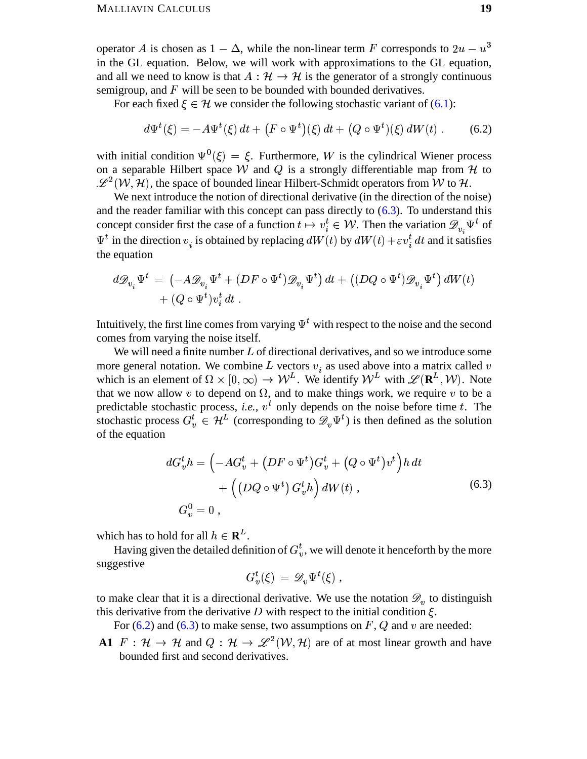operator A is chosen as  $1 - \Delta$ , while the non-linear term F corresponds to  $2u - u^3$ in the GL equation. Below, we will work with approximations to the GL equation, and all we need to know is that  $A : \mathcal{H} \to \mathcal{H}$  is the generator of a strongly continuous semigroup, and  $F$  will be seen to be bounded with bounded derivatives.

For each fixed  $\xi \in \mathcal{H}$  we consider the following stochastic variant of (6.1):

<span id="page-18-1"></span>
$$
d\Psi^{t}(\xi) = -A\Psi^{t}(\xi) dt + (F \circ \Psi^{t})(\xi) dt + (Q \circ \Psi^{t})(\xi) dW(t).
$$
 (6.2)

with initial condition  $\Psi^0(\xi) = \xi$ . Furthermore, W is the cylindrical Wiener process on a separable Hilbert space W and Q is a strongly differentiable map from  $H$  to  $\mathscr{L}^2(\mathcal{W},\mathcal{H})$ , the space of bounded linear Hilbert-Schmidt operators from W to H.

We next introduce the notion of directional derivative (in the direction of the noise) and the reader familiar with this concept can pass directly to  $(6.3)$ . To understand this concept consider first the case of a function  $t \mapsto v_i^t \in \mathcal{W}$ . Then the variation  $\mathscr{D}_{v_i} \Psi^t$  of  $\Psi^t$  in the direction  $v_i$  is obtained by replacing  $dW(t)$  by  $dW(t) + \varepsilon v_i^t dt$  and it satisfies the equation

$$
d\mathcal{D}_{v_i}\Psi^t = \left(-A\mathcal{D}_{v_i}\Psi^t + (DF \circ \Psi^t)\mathcal{D}_{v_i}\Psi^t\right)dt + \left((DQ \circ \Psi^t)\mathcal{D}_{v_i}\Psi^t\right)dW(t) + (Q \circ \Psi^t)v_i^t dt.
$$

Intuitively, the first line comes from varying  $\Psi^t$  with respect to the noise and the second comes from varying the noise itself.

We will need a finite number  $L$  of directional derivatives, and so we introduce some more general notation. We combine L vectors  $v_i$  as used above into a matrix called v which is an element of  $\Omega \times [0,\infty) \to W^L$ . We identify  $W^L$  with  $\mathscr{L}(\mathbb{R}^L, \mathcal{W})$ . Note that we now allow v to depend on  $\Omega$ , and to make things work, we require v to be a predictable stochastic process, *i.e.*,  $v^t$  only depends on the noise before time t. The stochastic process  $G_v^t \in \mathcal{H}^L$  (corresponding to  $\mathscr{D}_v \Psi^t$ ) is then defined as the solution of the equation

$$
dG_v^t h = \left(-AG_v^t + (DF \circ \Psi^t) G_v^t + (Q \circ \Psi^t) v^t\right) h dt
$$
  
+ 
$$
\left((DQ \circ \Psi^t) G_v^t h\right) dW(t),
$$
  

$$
G_v^0 = 0,
$$
 (6.3)

which has to hold for all  $h \in \mathbb{R}^L$ .

Having given the detailed definition of  $G_n^t$ , we will denote it henceforth by the more suggestive

<span id="page-18-0"></span>
$$
G_v^t(\xi) = \mathscr{D}_v \Psi^t(\xi) ,
$$

to make clear that it is a directional derivative. We use the notation  $\mathcal{D}_{v}$  to distinguish this derivative from the derivative  $D$  with respect to the initial condition  $\xi$ .

For  $(6.2)$  and  $(6.3)$  to make sense, two assumptions on F, Q and v are needed:

A1  $F: \mathcal{H} \to \mathcal{H}$  and  $Q: \mathcal{H} \to \mathcal{L}^2(\mathcal{W}, \mathcal{H})$  are of at most linear growth and have bounded first and second derivatives.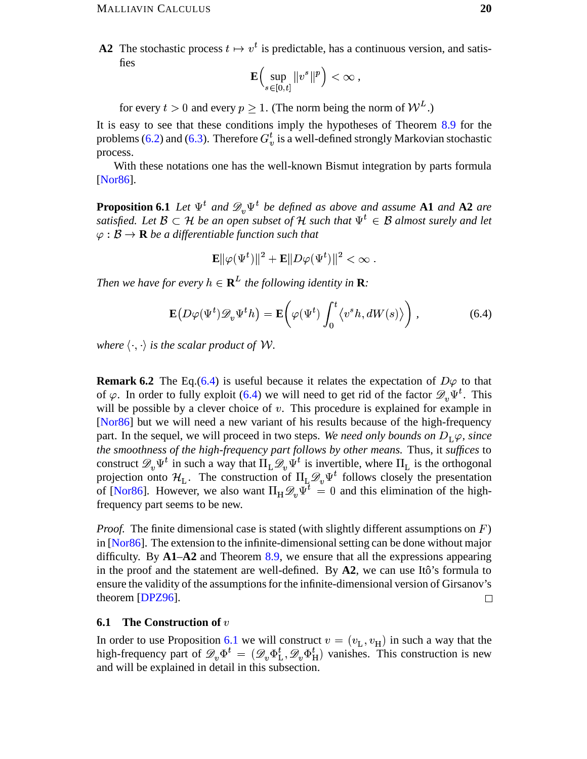**A2** The stochastic process  $t \mapsto v^t$  is predictable, has a continuous version, and satisfies

$$
\mathbf{E}\Big(\sup_{s\in[0,t]}\|v^s\|^p\Big)<\infty\;,
$$

for every  $t > 0$  and every  $p \ge 1$ . (The norm being the norm of  $W^L$ .)

It is easy to see that these conditions imply the hypotheses of Theorem  $8.9$  for the problems (6.2) and (6.3). Therefore  $G_v^t$  is a well-defined strongly Markovian stochastic process.

With these notations one has the well-known Bismut integration by parts formula [Nor86].

**Proposition 6.1** Let  $\Psi^t$  and  $\mathscr{D}_v \Psi^t$  be defined as above and assume **A1** and **A2** are satisfied. Let  $\mathcal{B} \subset \mathcal{H}$  be an open subset of  $\mathcal{H}$  such that  $\Psi^t \in \mathcal{B}$  almost surely and let  $\varphi : \mathcal{B} \to \mathbf{R}$  be a differentiable function such that

<span id="page-19-1"></span>
$$
\mathbf{E} \|\varphi(\Psi^t)\|^2 + \mathbf{E} \|D\varphi(\Psi^t)\|^2 < \infty.
$$

Then we have for every  $h \in \mathbf{R}^L$  the following identity in **R**:

$$
\mathbf{E}\big(D\varphi(\Psi^t)\mathscr{D}_v\Psi^t h\big) = \mathbf{E}\bigg(\varphi(\Psi^t)\int_0^t \langle v^s h, dW(s)\rangle\bigg)\,,\tag{6.4}
$$

where  $\langle \cdot, \cdot \rangle$  is the scalar product of W.

**Remark 6.2** The Eq. (6.4) is useful because it relates the expectation of  $D\varphi$  to that of  $\varphi$ . In order to fully exploit (6.4) we will need to get rid of the factor  $\mathscr{D}_n \Psi^t$ . This will be possible by a clever choice of  $v$ . This procedure is explained for example in [Nor86] but we will need a new variant of his results because of the high-frequency part. In the sequel, we will proceed in two steps. We need only bounds on  $D_L\varphi$ , since the smoothness of the high-frequency part follows by other means. Thus, it suffices to construct  $\mathscr{D}_{v}\Psi^{t}$  in such a way that  $\Pi_{L}\mathscr{D}_{v}\Psi^{t}$  is invertible, where  $\Pi_{L}$  is the orthogonal projection onto  $\mathcal{H}_L$ . The construction of  $\Pi_L \mathcal{D}_v \Psi^t$  follows closely the presentation of [Nor86]. However, we also want  $\Pi_H \mathcal{D}_v \Psi^{\dagger} = 0$  and this elimination of the highfrequency part seems to be new.

*Proof.* The finite dimensional case is stated (with slightly different assumptions on  $F$ ) in  $[Nor86]$ . The extension to the infinite-dimensional setting can be done without major difficulty. By  $A1-A2$  and Theorem 8.9, we ensure that all the expressions appearing in the proof and the statement are well-defined. By A2, we can use Itô's formula to ensure the validity of the assumptions for the infinite-dimensional version of Girsanov's theorem [DPZ96].  $\Box$ 

#### <span id="page-19-0"></span>**6.1** The Construction of  $v$

In order to use Proposition 6.1 we will construct  $v = (v_L, v_H)$  in such a way that the high-frequency part of  $\mathscr{D}_v \Phi^t = (\mathscr{D}_v \Phi_L^t, \mathscr{D}_v \Phi_H^t)$  vanishes. This construction is new and will be explained in detail in this subsection.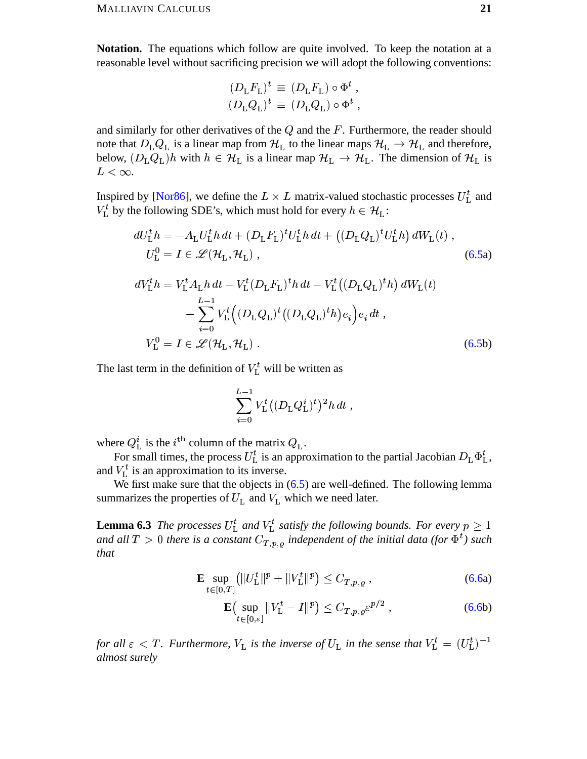**Notation.** The equations which follow are quite involved. To keep the notation at a reasonable level without sacrificing precision we will adopt the following conventions:

$$
\begin{aligned} (D_\mathrm{L} F_\mathrm{L})^t &\equiv (D_\mathrm{L} F_\mathrm{L}) \circ \Phi^t \ , \\ (D_\mathrm{L} Q_\mathrm{L})^t &\equiv (D_\mathrm{L} Q_\mathrm{L}) \circ \Phi^t \ , \end{aligned}
$$

and similarly for other derivatives of the  $Q$  and the  $F$ . Furthermore, the reader should note that  $D_{\rm L}Q_{\rm L}$  is a linear map from  $\mathcal{H}_{\rm L}$  to the linear maps  $\mathcal{H}_{\rm L} \to \mathcal{H}_{\rm L}$  and therefore, below,  $(D_L Q_L)h$  with  $h \in \mathcal{H}_L$  is a linear map  $\mathcal{H}_L \to \mathcal{H}_L$ . The dimension of  $\mathcal{H}_L$  is  $L < \infty$ .

Inspired by [Nor86], we define the  $L \times L$  matrix-valued stochastic processes  $U_L^t$  and  $V_{\text{L}}^{t}$  by the following SDE's, which must hold for every  $h \in \mathcal{H}_{\text{L}}$ :

$$
dU_{\text{L}}^{t}h = -A_{\text{L}}U_{\text{L}}^{t}h dt + (D_{\text{L}}F_{\text{L}})^{t}U_{\text{L}}^{t}h dt + ((D_{\text{L}}Q_{\text{L}})^{t}U_{\text{L}}^{t}h) dW_{\text{L}}(t) ,
$$
  
\n
$$
U_{\text{L}}^{0} = I \in \mathscr{L}(\mathcal{H}_{\text{L}}, \mathcal{H}_{\text{L}}) ,
$$
  
\n
$$
dV_{\text{L}}^{t}h = V_{\text{L}}^{t}A_{\text{L}}h dt - V_{\text{L}}^{t}(D_{\text{L}}F_{\text{L}})^{t}h dt - V_{\text{L}}^{t}((D_{\text{L}}Q_{\text{L}})^{t}h) dW_{\text{L}}(t)
$$
  
\n
$$
+ \sum_{\text{L}-1}^{L-1} V^{t}(D_{\text{L}}Q_{\text{L}})^{t}(D_{\text{L}}Q_{\text{L}})^{t}h e_{\text{L}}^{t}dt
$$

$$
+\sum_{i=0}^{+} V_{\rm L} \left( \left( D_{\rm L} Q_{\rm L} \right) \left( \left( D_{\rm L} Q_{\rm L} \right) n \right) e_i \right) e_i \, dt \,,
$$
\n
$$
V_{\rm L}^0 = I \in \mathcal{L}(\mathcal{H}_{\rm L}, \mathcal{H}_{\rm L}) \,.
$$
\n(6.5b)

The last term in the definition of  $V_L^t$  will be written as

$$
\sum_{i=0}^{L-1} V_{\rm L}^t \big( (D_{\rm L} Q_{\rm L}^i)^t \big)^2 h \, dt \ ,
$$

where  $Q_{\text{L}}^{i}$  is the *i*<sup>th</sup> column of the matrix  $Q_{\text{L}}$ .

For small times, the process  $U_L^t$  is an approximation to the partial Jacobian  $D_L \Phi_L^t$ , and  $V_{L}^{t}$  is an approximation to its inverse.

We first make sure that the objects in  $(6.5)$  are well-defined. The following lemma summarizes the properties of  $U_L$  and  $V_L$  which we need later.

**Lemma 6.3** The processes  $U_{\text{L}}^{t}$  and  $V_{\text{L}}^{t}$  satisfy the following bounds. For every  $p \geq 1$ and all  $T > 0$  there is a constant  $C_{T,p,\varrho}$  independent of the initial data (for  $\Phi^t$ ) such that

$$
\mathbf{E} \sup_{t \in [0,T]} \left( \| U_{\mathcal{L}}^t \|^p + \| V_{\mathcal{L}}^t \|^p \right) \le C_{T,p,\varrho} \,, \tag{6.6a}
$$

$$
\mathbf{E}\left(\sup_{t\in[0,\varepsilon]}||V_{\mathcal{L}}^t - I||^p\right) \le C_{T,p,\varrho}\varepsilon^{p/2},\tag{6.6b}
$$

for all  $\varepsilon < T$ . Furthermore,  $V_{\rm L}$  is the inverse of  $U_{\rm L}$  in the sense that  $V_{\rm L}^t = (U_{\rm L}^t)^{-1}$ almost surely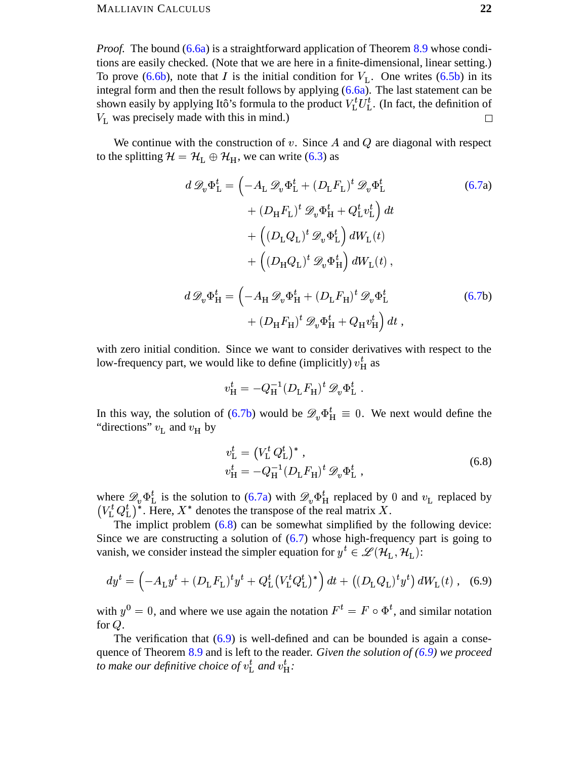#### **MALLIAVIN CALCULUS**

*Proof.* The bound (6.6a) is a straightforward application of Theorem 8.9 whose conditions are easily checked. (Note that we are here in a finite-dimensional, linear setting.) To prove (6.6b), note that I is the initial condition for  $V_L$ . One writes (6.5b) in its integral form and then the result follows by applying (6.6a). The last statement can be shown easily by applying Itô's formula to the product  $V_L^t U_L^t$ . (In fact, the definition of  $V<sub>L</sub>$  was precisely made with this in mind.)  $\Box$ 

We continue with the construction of  $v$ . Since A and  $Q$  are diagonal with respect to the splitting  $\mathcal{H} = \mathcal{H}_L \oplus \mathcal{H}_H$ , we can write (6.3) as

$$
d\mathcal{D}_{v}\Phi_{\mathrm{L}}^{t} = \left(-A_{\mathrm{L}}\mathcal{D}_{v}\Phi_{\mathrm{L}}^{t} + (D_{\mathrm{L}}F_{\mathrm{L}})^{t}\mathcal{D}_{v}\Phi_{\mathrm{L}}^{t}\right)
$$
  
+ 
$$
(D_{\mathrm{H}}F_{\mathrm{L}})^{t}\mathcal{D}_{v}\Phi_{\mathrm{H}}^{t} + Q_{\mathrm{L}}^{t}v_{\mathrm{L}}^{t}\right)dt
$$
  
+ 
$$
\left((D_{\mathrm{L}}Q_{\mathrm{L}})^{t}\mathcal{D}_{v}\Phi_{\mathrm{L}}^{t}\right)dW_{\mathrm{L}}(t)
$$
  
+ 
$$
\left((D_{\mathrm{H}}Q_{\mathrm{L}})^{t}\mathcal{D}_{v}\Phi_{\mathrm{H}}^{t}\right)dW_{\mathrm{L}}(t),
$$
  

$$
d\mathcal{D}_{v}\Phi_{\mathrm{H}}^{t} = \left(-A_{\mathrm{H}}\mathcal{D}_{v}\Phi_{\mathrm{H}}^{t} + (D_{\mathrm{L}}F_{\mathrm{H}})^{t}\mathcal{D}_{v}\Phi_{\mathrm{L}}^{t}\right)
$$
  
+ 
$$
(D_{\mathrm{H}}F_{\mathrm{H}})^{t}\mathcal{D}_{v}\Phi_{\mathrm{H}}^{t} + Q_{\mathrm{H}}v_{\mathrm{H}}^{t}\right)dt,
$$
  
(6.7b)

with zero initial condition. Since we want to consider derivatives with respect to the low-frequency part, we would like to define (implicitly)  $v_H^t$  as

$$
v_{\rm H}^t = -Q_{\rm H}^{-1} (D_{\rm L} F_{\rm H})^t \mathscr{D}_v \Phi_{\rm L}^t
$$

In this way, the solution of (6.7b) would be  $\mathscr{D}_{v} \Phi_{H}^{t} \equiv 0$ . We next would define the "directions"  $v_{\rm L}$  and  $v_{\rm H}$  by

<span id="page-21-1"></span><span id="page-21-0"></span>
$$
v_{\mathcal{L}}^{t} = (V_{\mathcal{L}}^{t} Q_{\mathcal{L}}^{t})^{*}, v_{\mathcal{H}}^{t} = -Q_{\mathcal{H}}^{-1} (D_{\mathcal{L}} F_{\mathcal{H}})^{t} \mathscr{D}_{v} \Phi_{\mathcal{L}}^{t} ,
$$
(6.8)

where  $\mathcal{D}_v \Phi_L^t$  is the solution to (6.7a) with  $\mathcal{D}_v \Phi_H^t$  replaced by 0 and  $v_L$  replaced by  $(V_L^t Q_L^t)^*$ . Here,  $X^*$  denotes the transpose of the real matrix X.

The implict problem  $(6.8)$  can be somewhat simplified by the following device: Since we are constructing a solution of  $(6.7)$  whose high-frequency part is going to vanish, we consider instead the simpler equation for  $y^t \in \mathcal{L}(\mathcal{H}_L, \mathcal{H}_L)$ :

$$
dy^{t} = \left(-A_{\mathrm{L}}y^{t} + (D_{\mathrm{L}}F_{\mathrm{L}})^{t}y^{t} + Q_{\mathrm{L}}^{t}(V_{\mathrm{L}}^{t}Q_{\mathrm{L}}^{t})^{*}\right)dt + \left((D_{\mathrm{L}}Q_{\mathrm{L}})^{t}y^{t}\right)dW_{\mathrm{L}}(t) , \quad (6.9)
$$

with  $y^0 = 0$ , and where we use again the notation  $F^t = F \circ \Phi^t$ , and similar notation for  $Q$ .

The verification that  $(6.9)$  is well-defined and can be bounded is again a consequence of Theorem 8.9 and is left to the reader. Given the solution of  $(6.9)$  we proceed to make our definitive choice of  $v_{\rm L}^{t}$  and  $v_{\rm H}^{t}$ .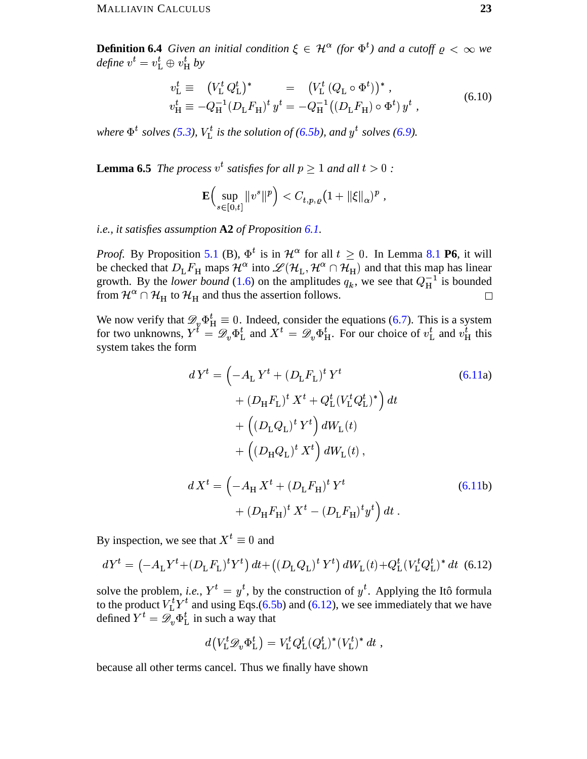**Definition 6.4** Given an initial condition  $\xi \in \mathcal{H}^{\alpha}$  (for  $\Phi^t$ ) and a cutoff  $\rho < \infty$  we define  $v^t = v^t$   $\oplus v^t$  by

$$
v_{\rm L}^{t} \equiv (V_{\rm L}^{t} Q_{\rm L}^{t})^{*} = (V_{\rm L}^{t} (Q_{\rm L} \circ \Phi^{t}))^{*},
$$
  
\n
$$
v_{\rm H}^{t} \equiv -Q_{\rm H}^{-1} (D_{\rm L} F_{\rm H})^{t} y^{t} = -Q_{\rm H}^{-1} ((D_{\rm L} F_{\rm H}) \circ \Phi^{t}) y^{t},
$$
\n(6.10)

where  $\Phi^t$  solves (5.3),  $V_L^t$  is the solution of (6.5b), and  $y^t$  solves (6.9).

**Lemma 6.5** The process  $v^t$  satisfies for all  $p \ge 1$  and all  $t > 0$ :

<span id="page-22-1"></span>
$$
\mathbf{E}\Big(\sup_{s\in[0,t]}\|v^s\|^p\Big)
$$

i.e., it satisfies assumption  $A2$  of Proposition 6.1.

*Proof.* By Proposition 5.1 (B),  $\Phi^t$  is in  $\mathcal{H}^{\alpha}$  for all  $t \geq 0$ . In Lemma 8.1 **P6**, it will be checked that  $D_{\rm L}F_{\rm H}$  maps  $\mathcal{H}^{\alpha}$  into  $\mathcal{L}(\mathcal{H}_{\rm L}, \mathcal{H}^{\alpha} \cap \mathcal{H}_{\rm H})$  and that this map has linear growth. By the lower bound (1.6) on the amplitudes  $q_k$ , we see that  $Q_H^{-1}$  is bounded from  $\mathcal{H}^{\alpha} \cap \mathcal{H}_{H}$  to  $\mathcal{H}_{H}$  and thus the assertion follows.

We now verify that  $\mathcal{D}_{v} \Phi_{H}^{t} \equiv 0$ . Indeed, consider the equations (6.7). This is a system for two unknowns,  $Y^{t} = \mathcal{D}_{v} \Phi_{L}^{t}$  and  $X^{t} = \mathcal{D}_{v} \Phi_{H}^{t}$ . For our choice of  $v_{L}^{t}$  and  $v_{H}^{t}$  this system takes the form

$$
dY^{t} = \left(-A_{L}Y^{t} + (D_{L}F_{L})^{t}Y^{t}\right)
$$
\n
$$
+ (D_{H}F_{L})^{t}X^{t} + Q_{L}^{t}(V_{L}^{t}Q_{L}^{t})^{*}\right)dt
$$
\n
$$
+ ((D_{L}Q_{L})^{t}Y^{t}) dW_{L}(t)
$$
\n
$$
+ ((D_{H}Q_{L})^{t}X^{t}) dW_{L}(t),
$$
\n
$$
dX^{t} = \left(-A_{H}X^{t} + (D_{L}F_{H})^{t}Y^{t}\right)
$$
\n
$$
+ (D_{H}F_{H})^{t}X^{t} - (D_{L}F_{H})^{t}y^{t}\right)dt.
$$
\n(6.11b)

By inspection, we see that  $X^t \equiv 0$  and

$$
dY^{t} = \left(-A_{L}Y^{t} + (D_{L}F_{L})^{t}Y^{t}\right)dt + \left((D_{L}Q_{L})^{t}Y^{t}\right)dW_{L}(t) + Q_{L}^{t}(V_{L}^{t}Q_{L}^{t})^{*} dt
$$
 (6.12)

solve the problem, *i.e.*,  $Y^t = y^t$ , by the construction of  $y^t$ . Applying the Itô formula to the product  $V_L^t Y^t$  and using Eqs. (6.5b) and (6.12), we see immediately that we have defined  $Y^t = \mathscr{D}_{n} \Phi_{\text{L}}^t$  in such a way that

<span id="page-22-0"></span>
$$
d(V_{\mathcal{L}}^t \mathscr{D}_v \Phi_{\mathcal{L}}^t) = V_{\mathcal{L}}^t Q_{\mathcal{L}}^t (Q_{\mathcal{L}}^t)^* (V_{\mathcal{L}}^t)^* dt ,
$$

because all other terms cancel. Thus we finally have shown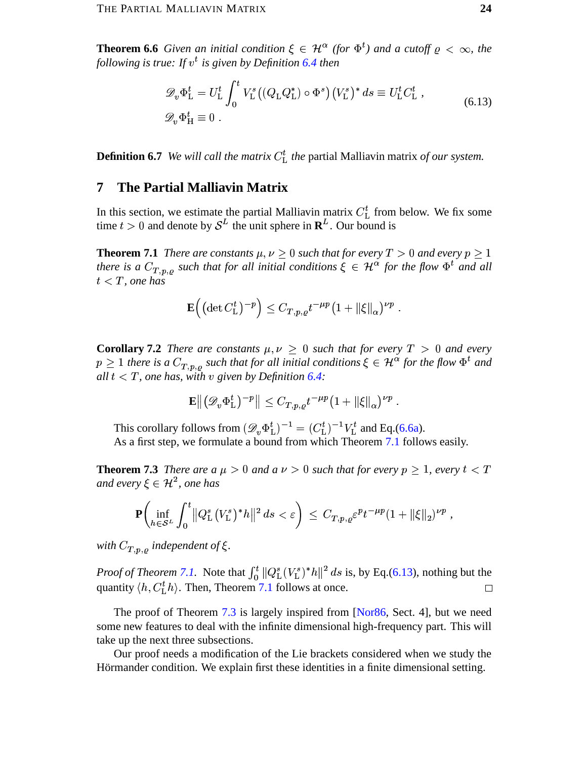**Theorem 6.6** Given an initial condition  $\xi \in \mathcal{H}^{\alpha}$  (for  $\Phi^t$ ) and a cutoff  $\rho < \infty$ , the following is true: If  $v^t$  is given by Definition 6.4 then

<span id="page-23-1"></span>
$$
\mathcal{D}_v \Phi_{\mathcal{L}}^t = U_{\mathcal{L}}^t \int_0^t V_{\mathcal{L}}^s \big( (Q_{\mathcal{L}} Q_{\mathcal{L}}^*) \circ \Phi^s \big) \big( V_{\mathcal{L}}^s \big)^* ds \equiv U_{\mathcal{L}}^t C_{\mathcal{L}}^t ,
$$
\n
$$
\mathcal{D}_v \Phi_{\mathcal{H}}^t \equiv 0 .
$$
\n(6.13)

**Definition 6.7** We will call the matrix  $C_{L}^{t}$  the partial Malliavin matrix of our system.

#### <span id="page-23-0"></span>7 **The Partial Malliavin Matrix**

In this section, we estimate the partial Malliavin matrix  $C_{\text{L}}^{t}$  from below. We fix some time  $t > 0$  and denote by  $S^{L}$  the unit sphere in  $\mathbf{R}^{L}$ . Our bound is

**Theorem 7.1** There are constants  $\mu, \nu > 0$  such that for every  $T > 0$  and every  $p > 1$ there is a  $C_{T,p,\varrho}$  such that for all initial conditions  $\xi \in \mathcal{H}^{\alpha}$  for the flow  $\Phi^t$  and all  $t < T$ , one has

$$
\mathbf{E}\Big(\big(\det C_{\mathrm{L}}^{t}\big)^{-p}\Big) \leq C_{T,p,\varrho}t^{-\mu p}\big(1+\|\xi\|_{\alpha}\big)^{\nu p}
$$

**Corollary 7.2** There are constants  $\mu, \nu \geq 0$  such that for every  $T > 0$  and every  $p \geq 1$  there is a  $C_{T,p,o}$  such that for all initial conditions  $\xi \in \mathcal{H}^{\alpha}$  for the flow  $\Phi^t$  and all  $t < T$ , one has, with v given by Definition 6.4:

$$
\mathbf{E}\left\| \left(\mathscr{D}_v \Phi_\mathbf{L}^t\right)^{-p} \right\| \leq C_{T,p,\varrho} t^{-\mu p} \big(1 + \|\xi\|_\alpha\big)^{\nu p}.
$$

This corollary follows from  $(\mathscr{D}_v \Phi_L^t)^{-1} = (C_L^t)^{-1} V_L^t$  and Eq.(6.6a). As a first step, we formulate a bound from which Theorem 7.1 follows easily.

**Theorem 7.3** There are a  $\mu > 0$  and a  $\nu > 0$  such that for every  $p \ge 1$ , every  $t < T$ and every  $\xi \in \mathcal{H}^2$ , one has

$$
\mathbf{P}\bigg(\inf_{h\in\mathcal{S}^L}\int_0^t\big\|Q_{\rm L}^s\big(V_{\rm L}^s\big)^*h\big\|^2\,ds\lt\varepsilon\bigg)\,\leq\,C_{T,p,\varrho}\varepsilon^pt^{-\mu p}(1+\|\xi\|_2)^{\nu p}\,,
$$

with  $C_{T,p,\rho}$  independent of  $\xi$ .

*Proof of Theorem 7.1.* Note that  $\int_0^t ||Q_L^s(V_L^s)^* h||^2 ds$  is, by Eq.(6.13), nothing but the quantity  $\langle h, C_{L}^{t}h \rangle$ . Then, Theorem 7.1 follows at once.  $\Box$ 

The proof of Theorem 7.3 is largely inspired from [Nor86, Sect. 4], but we need some new features to deal with the infinite dimensional high-frequency part. This will take up the next three subsections.

Our proof needs a modification of the Lie brackets considered when we study the Hörmander condition. We explain first these identities in a finite dimensional setting.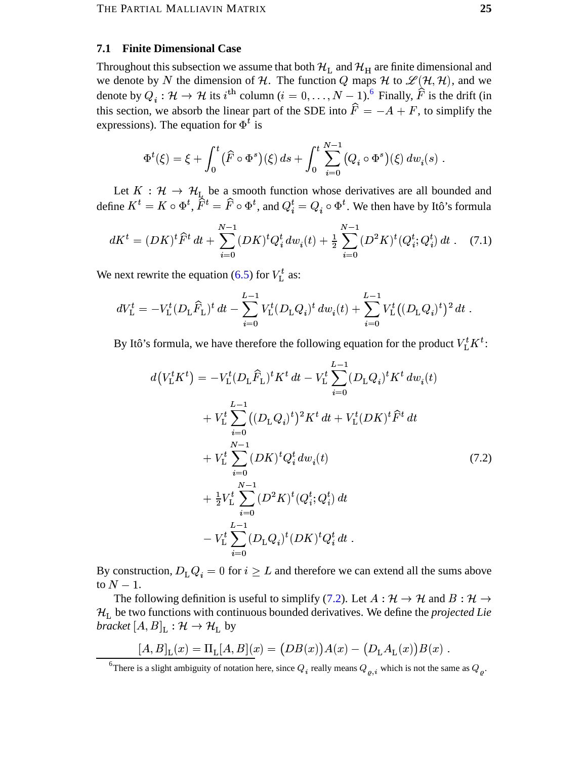#### <span id="page-24-0"></span>**7.1 Finite Dimensional Case**

Throughout this subsection we assume that both  $\mathcal{H}_L$  and  $\mathcal{H}_H$  are finite dimensional and we denote by N the dimension of H. The function Q maps H to  $\mathscr{L}(H, H)$ , and we denote by  $Q_i : \mathcal{H} \to \mathcal{H}$  its  $i^{\text{th}}$  column  $(i = 0, \ldots, N - 1)$ . Finally,  $\hat{F}$  is the drift (in this section, we absorb the linear part of the SDE into  $\hat{F} = -A + F$ , to simplify the expressions). The equation for  $\Phi^t$  is

<span id="page-24-3"></span>
$$
\Phi^t(\xi) = \xi + \int_0^t (\widehat{F} \circ \Phi^s)(\xi) \, ds + \int_0^t \sum_{i=0}^{N-1} (Q_i \circ \Phi^s)(\xi) \, dw_i(s) \, .
$$

Let  $K : \mathcal{H} \to \mathcal{H}_{L}$  be a smooth function whose derivatives are all bounded and define  $K^t = K \circ \Phi^t$ ,  $\tilde{F}^t = \hat{F} \circ \Phi^t$ , and  $Q_i^t = Q_i \circ \Phi^t$ . We then have by Itô's formula

$$
dK^{t} = (DK)^{t} \hat{F}^{t} dt + \sum_{i=0}^{N-1} (DK)^{t} Q_{i}^{t} dw_{i}(t) + \frac{1}{2} \sum_{i=0}^{N-1} (D^{2}K)^{t} (Q_{i}^{t}; Q_{i}^{t}) dt
$$
 (7.1)

We next rewrite the equation (6.5) for  $V_L^t$  as:

$$
dV_{\rm L}^t = -V_{\rm L}^t (D_{\rm L} \widehat{F}_{\rm L})^t dt - \sum_{i=0}^{L-1} V_{\rm L}^t (D_{\rm L} Q_i)^t dw_i(t) + \sum_{i=0}^{L-1} V_{\rm L}^t ((D_{\rm L} Q_i)^t)^2 dt.
$$

By Itô's formula, we have therefore the following equation for the product  $V_L^t K^t$ :

<span id="page-24-2"></span>
$$
d(V_{\rm L}^{t} K^{t}) = -V_{\rm L}^{t} (D_{\rm L} \widehat{F}_{\rm L})^{t} K^{t} dt - V_{\rm L}^{t} \sum_{i=0}^{L-1} (D_{\rm L} Q_{i})^{t} K^{t} dw_{i}(t)
$$
  
+ 
$$
V_{\rm L}^{t} \sum_{i=0}^{L-1} ((D_{\rm L} Q_{i})^{t})^{2} K^{t} dt + V_{\rm L}^{t} (D K)^{t} \widehat{F}^{t} dt
$$
  
+ 
$$
V_{\rm L}^{t} \sum_{i=0}^{N-1} (D K)^{t} Q_{i}^{t} dw_{i}(t)
$$
  
+ 
$$
\frac{1}{2} V_{\rm L}^{t} \sum_{i=0}^{N-1} (D^{2} K)^{t} (Q_{i}^{t}; Q_{i}^{t}) dt
$$
  
- 
$$
V_{\rm L}^{t} \sum_{i=0}^{L-1} (D_{\rm L} Q_{i})^{t} (D K)^{t} Q_{i}^{t} dt
$$
 (7.2)

By construction,  $D_{\rm L}Q_i = 0$  for  $i \geq L$  and therefore we can extend all the sums above to  $N-1$ .

The following definition is useful to simplify (7.2). Let  $A : \mathcal{H} \to \mathcal{H}$  and  $B : \mathcal{H} \to$  $\mathcal{H}_L$  be two functions with continuous bounded derivatives. We define the *projected Lie bracket*  $[A, B]_L : \mathcal{H} \to \mathcal{H}_L$  by

$$
[A, B]_L(x) = \Pi_L[A, B](x) = (DB(x))A(x) - (D_L A_L(x))B(x) .
$$

<span id="page-24-1"></span><sup>&</sup>lt;sup>6</sup>There is a slight ambiguity of notation here, since  $Q_i$  really means  $Q_{\rho,i}$  which is not the same as  $Q_{\rho,i}$ .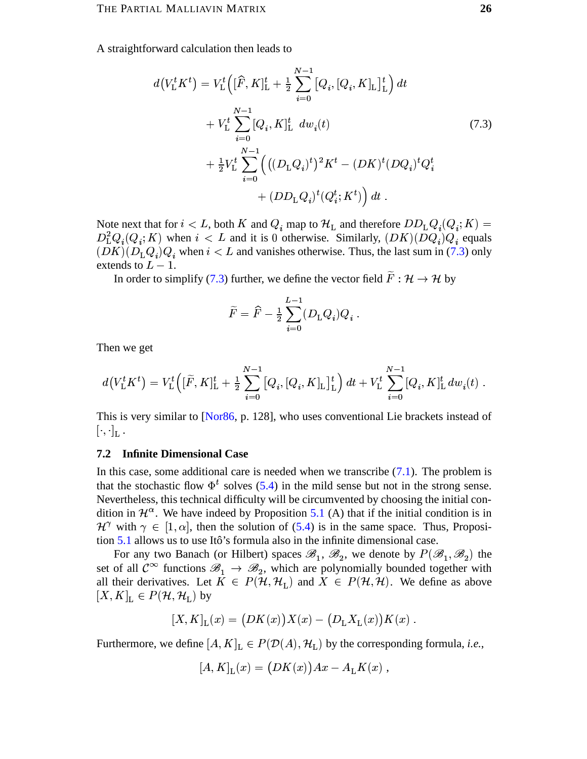A straightforward calculation then leads to

$$
d(V_{\rm L}^t K^t) = V_{\rm L}^t \Big( [\widehat{F}, K]_{\rm L}^t + \frac{1}{2} \sum_{i=0}^{N-1} [Q_i, [Q_i, K]_{\rm L}]_{\rm L}^t \Big) dt + V_{\rm L}^t \sum_{i=0}^{N-1} [Q_i, K]_{\rm L}^t dw_i(t) + \frac{1}{2} V_{\rm L}^t \sum_{i=0}^{N-1} \Big( ((D_{\rm L} Q_i)^t)^2 K^t - (DK)^t (DQ_i)^t Q_i^t + (DD_{\rm L} Q_i)^t (Q_i^t; K^t) \Big) dt .
$$
 (7.3)

Note next that for  $i < L$ , both K and  $Q_i$  map to  $\mathcal{H}_L$  and therefore  $DD_LQ_i(Q_i; K)$  =  $D_{\rm L}^2 Q_i(Q_i; K)$  when  $i < L$  and it is 0 otherwise. Similarly,  $(DK)(\overline{D}Q_i)Q_i$  equals  $(DK)(D_{\text{L}}Q_i)Q_i$  when  $i < L$  and vanishes otherwise. Thus, the last sum in (7.3) only extends to  $L-1$ .

In order to simplify (7.3) further, we define the vector field  $\widetilde{F}: \mathcal{H} \to \mathcal{H}$  by

<span id="page-25-1"></span>
$$
\widetilde{F} = \widehat{F} - \frac{1}{2} \sum_{i=0}^{L-1} (D_{\rm L} Q_i) Q_i \; .
$$

Then we get

$$
d\big(V_{\rm L}^t K^t\big)=V_{\rm L}^t\Big([\widetilde{F},K]_{\rm L}^t+\tfrac{1}{2}\sum_{i=0}^{N-1}\big[Q_i,[Q_i,K]_{\rm L}\big]_{\rm L}^t\Big)\,dt+V_{\rm L}^t\sum_{i=0}^{N-1}\big[Q_i,K]_{\rm L}^t\,dw_i(t)\;.
$$

This is very similar to [Nor86, p. 128], who uses conventional Lie brackets instead of  $[\cdot,\cdot]_{\mathbf{L}}$ .

#### <span id="page-25-0"></span>**Infinite Dimensional Case**  $7.2$

In this case, some additional care is needed when we transcribe  $(7.1)$ . The problem is that the stochastic flow  $\Phi^t$  solves (5.4) in the mild sense but not in the strong sense. Nevertheless, this technical difficulty will be circumvented by choosing the initial condition in  $\mathcal{H}^{\alpha}$ . We have indeed by Proposition 5.1 (A) that if the initial condition is in  $\mathcal{H}^{\gamma}$  with  $\gamma \in [1, \alpha]$ , then the solution of (5.4) is in the same space. Thus, Proposition 5.1 allows us to use Itô's formula also in the infinite dimensional case.

For any two Banach (or Hilbert) spaces  $\mathscr{B}_1$ ,  $\mathscr{B}_2$ , we denote by  $P(\mathscr{B}_1, \mathscr{B}_2)$  the set of all  $\mathcal{C}^{\infty}$  functions  $\mathscr{B}_1 \to \mathscr{B}_2$ , which are polynomially bounded together with all their derivatives. Let  $\tilde{K} \in P(\mathcal{H}, \mathcal{H}_L)$  and  $X \in P(\mathcal{H}, \mathcal{H})$ . We define as above  $[X, K]_{\mathcal{L}} \in P(\mathcal{H}, \mathcal{H}_{\mathcal{L}})$  by

$$
[X, K]_{\mathcal{L}}(x) = (DK(x))X(x) - (D_{\mathcal{L}}X_{\mathcal{L}}(x))K(x)
$$

Furthermore, we define  $[A, K]_{\mathcal{L}} \in P(\mathcal{D}(A), \mathcal{H}_{\mathcal{L}})$  by the corresponding formula, *i.e.*,

$$
[A, K]_{\mathcal{L}}(x) = (DK(x))Ax - A_{\mathcal{L}}K(x) ,
$$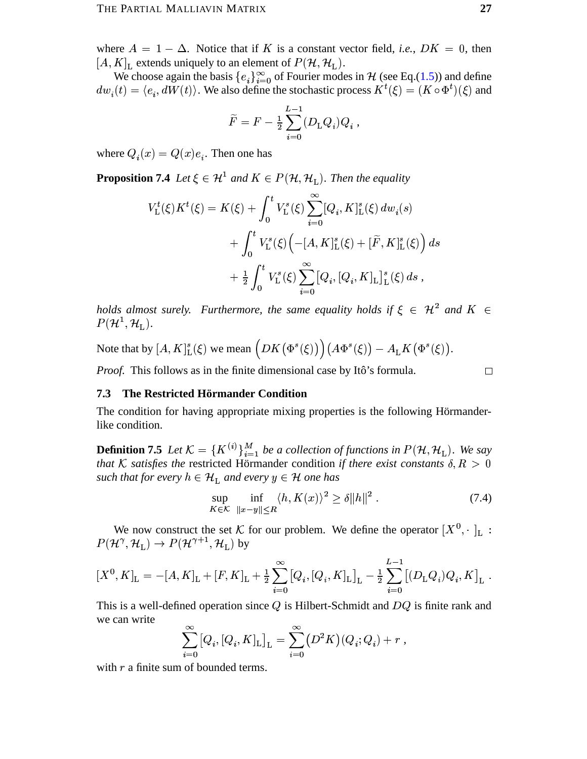where  $A = 1 - \Delta$ . Notice that if K is a constant vector field, *i.e.*,  $DK = 0$ , then  $[A, K]$ <sub>L</sub> extends uniquely to an element of  $P(H, H<sub>L</sub>)$ .

We choose again the basis  ${e_i}_{i=0}^{\infty}$  of Fourier modes in H (see Eq.(1.5)) and define  $dw_i(t) = \langle e_i, dW(t) \rangle$ . We also define the stochastic process  $K^t(\xi) = (K \circ \Phi^t)(\xi)$  and

$$
\widetilde{F}=F-\mbox{$\textstyle \frac{1}{2}$}\sum_{i=0}^{L-1}(D_{\rm L}Q_i)Q_i\;,
$$

where  $Q_i(x) = Q(x)e_i$ . Then one has

**Proposition 7.4** Let  $\xi \in \mathcal{H}^1$  and  $K \in P(\mathcal{H}, \mathcal{H}_L)$ . Then the equality

$$
V_{\mathcal{L}}^{t}(\xi) K^{t}(\xi) = K(\xi) + \int_{0}^{t} V_{\mathcal{L}}^{s}(\xi) \sum_{i=0}^{\infty} [Q_{i}, K]_{\mathcal{L}}^{s}(\xi) dw_{i}(s)
$$
  
+ 
$$
\int_{0}^{t} V_{\mathcal{L}}^{s}(\xi) \Big( -[A, K]_{\mathcal{L}}^{s}(\xi) + [\widetilde{F}, K]_{\mathcal{L}}^{s}(\xi) \Big) ds
$$
  
+ 
$$
\frac{1}{2} \int_{0}^{t} V_{\mathcal{L}}^{s}(\xi) \sum_{i=0}^{\infty} [Q_{i}, [Q_{i}, K]_{\mathcal{L}}]_{\mathcal{L}}^{s}(\xi) ds,
$$

holds almost surely. Furthermore, the same equality holds if  $\xi \in \mathcal{H}^2$  and  $K \in$  $P(\mathcal{H}^1, \mathcal{H}_\mathrm{L}).$ 

Note that by  $[A, K]_L^s(\xi)$  we mean  $\left(DK(\Phi^s(\xi))\right)(A\Phi^s(\xi)) - A_LK(\Phi^s(\xi)).$ 

<span id="page-26-0"></span>*Proof.* This follows as in the finite dimensional case by Itô's formula.

<span id="page-26-1"></span>
$$
\Box
$$

#### **7.3** The Restricted Hörmander Condition

The condition for having appropriate mixing properties is the following Hörmanderlike condition.

**Definition 7.5** Let  $K = \{K^{(i)}\}_{i=1}^M$  be a collection of functions in  $P(\mathcal{H}, \mathcal{H}_L)$ . We say that K satisfies the restricted Hörmander condition if there exist constants  $\delta, R > 0$ such that for every  $h \in \mathcal{H}_L$  and every  $y \in \mathcal{H}$  one has

$$
\sup_{K \in \mathcal{K}} \inf_{\|x - y\| \le R} \langle h, K(x) \rangle^2 \ge \delta \|h\|^2. \tag{7.4}
$$

We now construct the set K for our problem. We define the operator  $[X^0, \cdot]_{\text{L}}$ :  $P(\mathcal{H}^{\gamma}, \mathcal{H}_{\mathrm{L}}) \to P(\mathcal{H}^{\gamma+1}, \mathcal{H}_{\mathrm{L}})$  by

$$
[X^{0}, K]_{\mathcal{L}} = -[A, K]_{\mathcal{L}} + [F, K]_{\mathcal{L}} + \frac{1}{2} \sum_{i=0}^{\infty} [Q_{i}, [Q_{i}, K]_{\mathcal{L}}]_{\mathcal{L}} - \frac{1}{2} \sum_{i=0}^{L-1} [(D_{\mathcal{L}}Q_{i})Q_{i}, K]_{\mathcal{L}}
$$

This is a well-defined operation since  $Q$  is Hilbert-Schmidt and  $DQ$  is finite rank and we can write

$$
\sum_{i=0}^{\infty} [Q_i, [Q_i, K]_{\text{L}}]_{\text{L}} = \sum_{i=0}^{\infty} (D^2 K)(Q_i; Q_i) + r,
$$

with  $r$  a finite sum of bounded terms.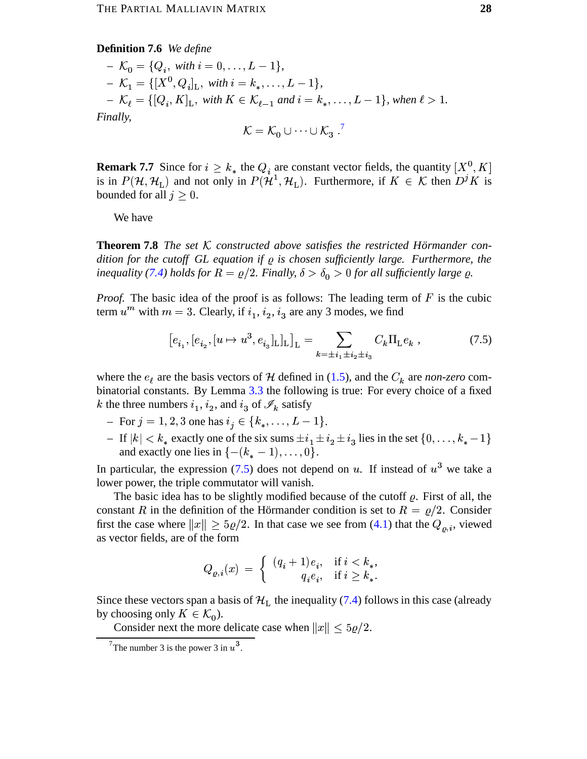#### **Definition 7.6** We define

$$
K_0 = \{Q_i, \text{ with } i = 0, \dots, L - 1\},
$$
  
\n
$$
K_1 = \{[X^0, Q_i]_L, \text{ with } i = k_*, \dots, L - 1\},
$$
  
\n
$$
K_\ell = \{[Q_i, K]_L, \text{ with } K \in \mathcal{K}_{\ell-1} \text{ and } i = k_*, \dots, L - 1\}, \text{ when } \ell > 1.
$$
  
\nFinally,  
\n
$$
\mathcal{K} = \mathcal{K}_0 \cup \dots \cup \mathcal{K}_3.
$$
<sup>7</sup>

**Remark 7.7** Since for 
$$
i \ge k_*
$$
 the  $Q_i$  are constant vector fields, the quantity  $[X^0, K]$  is in  $P(\mathcal{H}, \mathcal{H}_L)$  and not only in  $P(\mathcal{H}^1, \mathcal{H}_L)$ . Furthermore, if  $K \in \mathcal{K}$  then  $D^j K$  is

We have

bounded for all  $j \geq 0$ .

**Theorem 7.8** The set  $K$  constructed above satisfies the restricted Hörmander condition for the cutoff GL equation if  $\rho$  is chosen sufficiently large. Furthermore, the inequality (7.4) holds for  $R = \rho/2$ . Finally,  $\delta > \delta_0 > 0$  for all sufficiently large  $\varrho$ .

*Proof.* The basic idea of the proof is as follows: The leading term of  $F$  is the cubic term  $u^m$  with  $m = 3$ . Clearly, if  $i_1$ ,  $i_2$ ,  $i_3$  are any 3 modes, we find

$$
[e_{i_1}, [e_{i_2}, [u \mapsto u^3, e_{i_3}]_L]_L]_L = \sum_{k = \pm i_1 \pm i_2 \pm i_3} C_k \Pi_L e_k , \qquad (7.5)
$$

where the  $e_{\ell}$  are the basis vectors of H defined in (1.5), and the  $C_k$  are non-zero combinatorial constants. By Lemma 3.3 the following is true: For every choice of a fixed k the three numbers  $i_1$ ,  $i_2$ , and  $i_3$  of  $\mathscr{I}_k$  satisfy

- For  $j = 1, 2, 3$  one has  $i_j \in \{k_*, \dots, L-1\}$ .
- If  $|k| < k_*$  exactly one of the six sums  $\pm i_1 \pm i_2 \pm i_3$  lies in the set  $\{0, \ldots, k_*-1\}$ and exactly one lies in  $\{-(k_*-1), \ldots, 0\}.$

In particular, the expression (7.5) does not depend on u. If instead of  $u<sup>3</sup>$  we take a lower power, the triple commutator will vanish.

The basic idea has to be slightly modified because of the cutoff  $\rho$ . First of all, the constant R in the definition of the Hörmander condition is set to  $R = \rho/2$ . Consider first the case where  $||x|| \ge 5\rho/2$ . In that case we see from (4.1) that the  $Q_{\rho,i}$ , viewed as vector fields, are of the form

$$
Q_{\varrho,i}(x) \, = \, \left\{ \begin{array}{rl} (q_i+1)e_i, & \text{if } i < k_*, \\ q_i e_i, & \text{if } i \geq k_*. \end{array} \right.
$$

Since these vectors span a basis of  $\mathcal{H}_L$  the inequality (7.4) follows in this case (already by choosing only  $K \in \mathcal{K}_0$ ).

Consider next the more delicate case when  $||x|| \le 5\rho/2$ .

<span id="page-27-1"></span>is

<span id="page-27-0"></span><sup>&</sup>lt;sup>7</sup>The number 3 is the power 3 in  $u^3$ .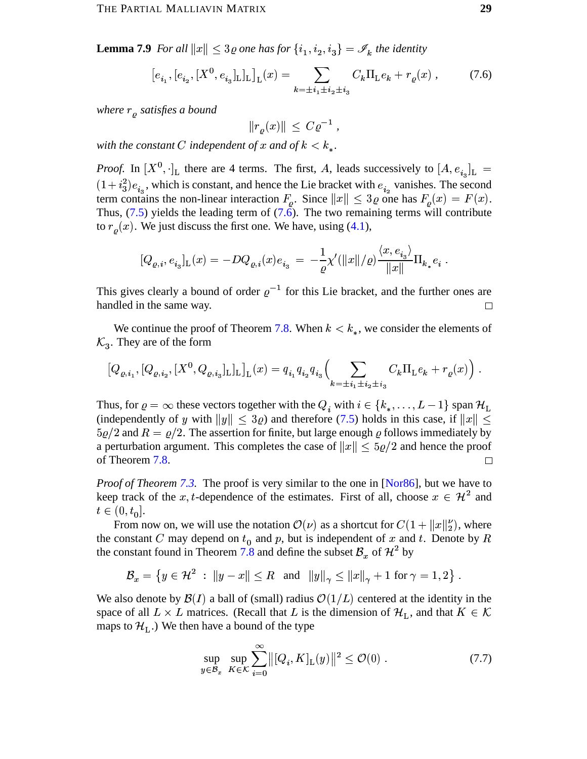**Lemma 7.9** For all  $||x|| \leq 3\varrho$  one has for  $\{i_1, i_2, i_3\} = \mathscr{I}_k$  the identity

$$
\left[e_{i_1}, [e_{i_2}, [X^0, e_{i_3}]_{\mathcal{L}}]_{\mathcal{L}}\right]_{\mathcal{L}}(x) = \sum_{k=\pm i_1 \pm i_2 \pm i_3} C_k \Pi_{\mathcal{L}} e_k + r_\varrho(x) ,\tag{7.6}
$$

where  $r<sub>o</sub>$  satisfies a bound

<span id="page-28-0"></span> $||r_o(x)|| \leq C \varrho^{-1}$ ,

with the constant C independent of x and of  $k < k_*$ .

*Proof.* In  $[X^0, \cdot]_L$  there are 4 terms. The first, A, leads successively to  $[A, e_{i_3}]_L =$  $(1+i_3^2)e_{i_3}$ , which is constant, and hence the Lie bracket with  $e_{i_2}$  vanishes. The second term contains the non-linear interaction  $F_o$ . Since  $||x|| \leq 3\varrho$  one has  $F_o(x) = F(x)$ . Thus,  $(7.5)$  yields the leading term of  $(7.6)$ . The two remaining terms will contribute to  $r_o(x)$ . We just discuss the first one. We have, using (4.1),

$$
[Q_{\varrho,i},e_{i_3}]_{\rm L}(x)=-DQ_{\varrho,i}(x)e_{i_3}\ =\ -\frac{1}{\varrho}\chi'(\|x\|/\varrho)\frac{\langle x,e_{i_3}\rangle}{\|x\|}\Pi_{k_*}e_i
$$

This gives clearly a bound of order  $\varrho^{-1}$  for this Lie bracket, and the further ones are handled in the same way.  $\Box$ 

We continue the proof of Theorem 7.8. When  $k < k_*$ , we consider the elements of  $\mathcal{K}_3$ . They are of the form

$$
[Q_{\varrho,i_1},[Q_{\varrho,i_2},[X^0,Q_{\varrho,i_3}]_L]_L]_L(x) = q_{i_1}q_{i_2}q_{i_3}\Big(\sum_{k=\pm i_1\pm i_2\pm i_3} C_k\Pi_L e_k + r_{\varrho}(x)\Big).
$$

Thus, for  $\varrho = \infty$  these vectors together with the  $Q_i$  with  $i \in \{k_*, \dots, L-1\}$  span  $\mathcal{H}_L$ (independently of y with  $||y|| \le 3\varrho$ ) and therefore (7.5) holds in this case, if  $||x|| \le$  $5\rho/2$  and  $R = \rho/2$ . The assertion for finite, but large enough  $\rho$  follows immediately by a perturbation argument. This completes the case of  $||x|| \le 5\rho/2$  and hence the proof of Theorem 7.8. П

*Proof of Theorem 7.3.* The proof is very similar to the one in [Nor86], but we have to keep track of the x, t-dependence of the estimates. First of all, choose  $x \in \mathcal{H}^2$  and  $t \in (0, t_0].$ 

From now on, we will use the notation  $\mathcal{O}(\nu)$  as a shortcut for  $C(1 + ||x||_2^{\nu})$ , where the constant C may depend on  $t_0$  and p, but is independent of x and t. Denote by R the constant found in Theorem 7.8 and define the subset  $\mathcal{B}_x$  of  $\mathcal{H}^2$  by

 $\mathcal{B}_x = \{y \in \mathcal{H}^2 : ||y - x|| \le R \text{ and } ||y||_{\gamma} \le ||x||_{\gamma} + 1 \text{ for } \gamma = 1, 2 \}$ .

We also denote by  $\mathcal{B}(I)$  a ball of (small) radius  $\mathcal{O}(1/L)$  centered at the identity in the space of all  $L \times L$  matrices. (Recall that L is the dimension of  $\mathcal{H}_L$ , and that  $K \in \mathcal{K}$ maps to  $\mathcal{H}_L$ .) We then have a bound of the type

<span id="page-28-1"></span>
$$
\sup_{y \in \mathcal{B}_x} \sup_{K \in \mathcal{K}} \sum_{i=0}^{\infty} ||[Q_i, K]_{\mathcal{L}}(y)||^2 \le \mathcal{O}(0) . \tag{7.7}
$$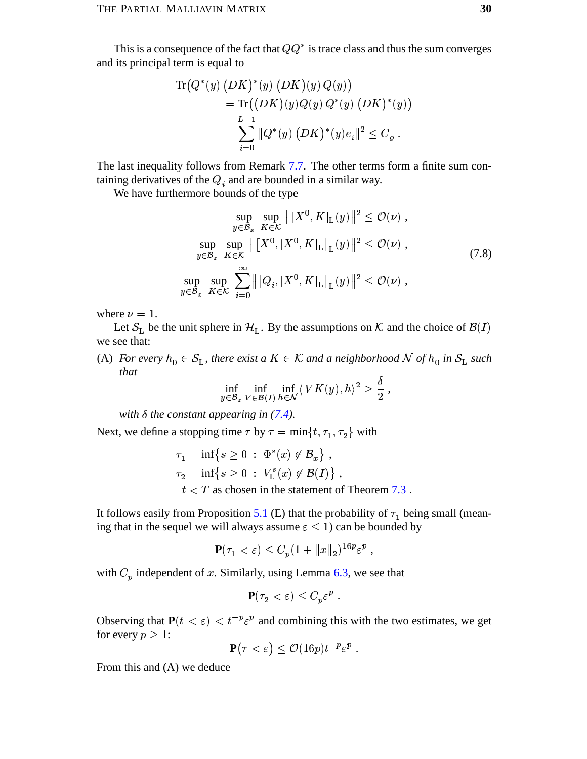This is a consequence of the fact that  $QQ^*$  is trace class and thus the sum converges and its principal term is equal to

$$
\begin{aligned} \text{Tr}\big(Q^*(y)\,\big(DK\big)^*(y)\,\big(DK\big)(y)\,Q(y)\big) \\ &= \text{Tr}\big(\big(DK\big)(y)Q(y)\,Q^*(y)\,\big(DK\big)^*(y)\big) \\ &= \sum_{i=0}^{L-1}\|Q^*(y)\,\big(DK\big)^*(y)e_i\|^2 \le C_{\varrho} \,. \end{aligned}
$$

The last inequality follows from Remark 7.7. The other terms form a finite sum containing derivatives of the  $Q_i$  and are bounded in a similar way.

We have furthermore bounds of the type

$$
\sup_{y \in \mathcal{B}_x} \sup_{K \in \mathcal{K}} \| [X^0, K]_{\mathcal{L}}(y) \|^2 \le \mathcal{O}(\nu) ,
$$
  
\n
$$
\sup_{y \in \mathcal{B}_x} \sup_{K \in \mathcal{K}} \| [X^0, [X^0, K]_{\mathcal{L}}]_{\mathcal{L}}(y) \|^2 \le \mathcal{O}(\nu) ,
$$
  
\n
$$
\sup_{y \in \mathcal{B}_x} \sup_{K \in \mathcal{K}} \sum_{i=0}^{\infty} \| [Q_i, [X^0, K]_{\mathcal{L}}]_{\mathcal{L}}(y) \|^2 \le \mathcal{O}(\nu) ,
$$
\n(7.8)

where  $\nu = 1$ .

Let  $S_{L}$  be the unit sphere in  $\mathcal{H}_{L}$ . By the assumptions on K and the choice of  $\mathcal{B}(I)$ we see that:

(A) For every  $h_0 \in S_L$ , there exist a  $K \in \mathcal{K}$  and a neighborhood  $\mathcal N$  of  $h_0$  in  $S_L$  such that

<span id="page-29-0"></span>
$$
\inf_{y \in \mathcal{B}_x} \inf_{V \in \mathcal{B}(I)} \inf_{h \in \mathcal{N}} \langle \, VK(y), h \rangle^2 \ge \frac{\delta}{2} \,,
$$

with  $\delta$  the constant appearing in (7.4).

Next, we define a stopping time  $\tau$  by  $\tau = \min\{t, \tau_1, \tau_2\}$  with

$$
\tau_1 = \inf \{ s \ge 0 \; : \; \Phi^s(x) \notin \mathcal{B}_x \},
$$
  

$$
\tau_2 = \inf \{ s \ge 0 \; : \; V^s_L(x) \notin \mathcal{B}(I) \},
$$

 $t < T$  as chosen in the statement of Theorem 7.3.

It follows easily from Proposition 5.1 (E) that the probability of  $\tau_1$  being small (meaning that in the sequel we will always assume  $\varepsilon$  < 1) can be bounded by

$$
\mathbf{P}(\tau_1 < \varepsilon) \le C_p (1 + \|x\|_2)^{16p} \varepsilon^p \;,
$$

with  $C_p$  independent of x. Similarly, using Lemma 6.3, we see that

$$
\mathbf{P}(\tau_2 < \varepsilon) \le C_p \varepsilon^p \; .
$$

Observing that  $P(t < \varepsilon) < t^{-p} \varepsilon^p$  and combining this with the two estimates, we get for every  $p \geq 1$ :

$$
\mathbf{P}(\tau < \varepsilon) \leq \mathcal{O}(16p)t^{-p}\varepsilon^p.
$$

From this and (A) we deduce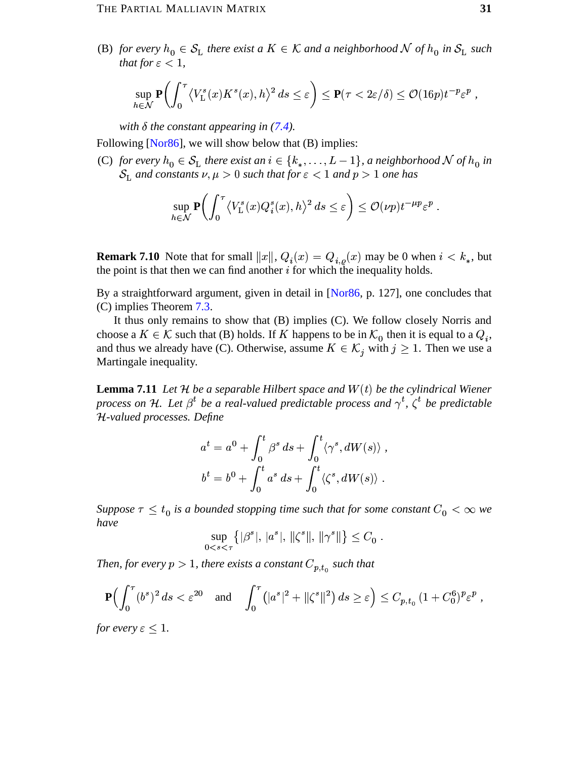(B) for every  $h_0 \in S_L$  there exist a  $K \in \mathcal{K}$  and a neighborhood  $\mathcal N$  of  $h_0$  in  $S_L$  such that for  $\varepsilon$  < 1,

$$
\sup_{h\in\mathcal{N}}\mathbf{P}\bigg(\int_0^\tau \left\langle V_{\rm L}^s(x)K^s(x),h\right\rangle^2 ds\leq \varepsilon\bigg)\leq \mathbf{P}(\tau<2\varepsilon/\delta)\leq \mathcal{O}(16p)t^{-p}\varepsilon^p\;,
$$

with  $\delta$  the constant appearing in (7.4).

Following [Nor $86$ ], we will show below that (B) implies:

(C) for every  $h_0 \in S_L$  there exist an  $i \in \{k_*, \ldots, L-1\}$ , a neighborhood N of  $h_0$  in  $S_{\text{L}}$  and constants  $\nu, \mu > 0$  such that for  $\varepsilon < 1$  and  $p > 1$  one has

$$
\sup_{h \in \mathcal{N}} \mathbf{P} \bigg( \int_0^\tau \left\langle V^s_{\mathrm{L}}(x) Q^s_i(x), h \right\rangle^2 ds \le \varepsilon \bigg) \le \mathcal{O}(\nu p) t^{-\mu p} \varepsilon^p
$$

**Remark 7.10** Note that for small  $||x||$ ,  $Q_i(x) = Q_{i,o}(x)$  may be 0 when  $i < k_*$ , but the point is that then we can find another  $i$  for which the inequality holds.

By a straightforward argument, given in detail in [Nor86, p. 127], one concludes that  $(C)$  implies Theorem 7.3.

It thus only remains to show that (B) implies (C). We follow closely Norris and choose a  $K \in \mathcal{K}$  such that (B) holds. If K happens to be in  $\mathcal{K}_0$  then it is equal to a  $Q_i$ , and thus we already have (C). Otherwise, assume  $K \in \mathcal{K}_i$  with  $j \geq 1$ . Then we use a Martingale inequality.

<span id="page-30-0"></span>**Lemma 7.11** Let  $H$  be a separable Hilbert space and  $W(t)$  be the cylindrical Wiener process on H. Let  $\beta^t$  be a real-valued predictable process and  $\gamma^t$ ,  $\zeta^t$  be predictable H-valued processes. Define

$$
a^{t} = a^{0} + \int_{0}^{t} \beta^{s} ds + \int_{0}^{t} \langle \gamma^{s}, dW(s) \rangle,
$$
  

$$
b^{t} = b^{0} + \int_{0}^{t} a^{s} ds + \int_{0}^{t} \langle \zeta^{s}, dW(s) \rangle.
$$

Suppose  $\tau \leq t_0$  is a bounded stopping time such that for some constant  $C_0 < \infty$  we have

$$
\sup_{0 < s < \tau} \{ |\beta^s|, |a^s|, \| \zeta^s \|, \| \gamma^s \| \} \leq C_0 \; .
$$

Then, for every  $p > 1$ , there exists a constant  $C_{p,t_0}$  such that

$$
\mathbf{P}\Big(\int_0^{\tau} (b^s)^2 ds < \varepsilon^{20} \quad \text{and} \quad \int_0^{\tau} (|a^s|^2 + ||\zeta^s||^2) ds \ge \varepsilon \Big) \le C_{p,t_0} \left(1 + C_0^6\right)^p \varepsilon^p \;,
$$

*for every*  $\varepsilon \leq 1$ .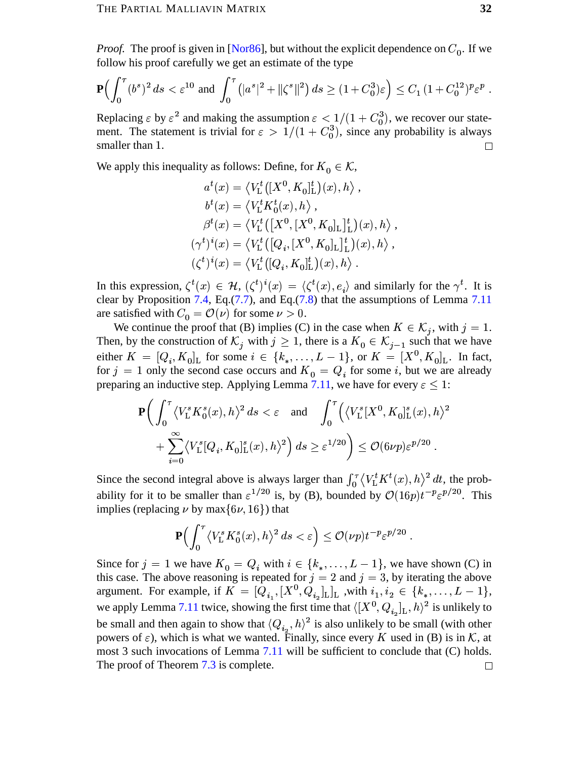*Proof.* The proof is given in [Nor86], but without the explicit dependence on  $C_0$ . If we follow his proof carefully we get an estimate of the type

$$
\mathbf{P}\Big(\int_0^{\tau} (b^s)^2 ds < \varepsilon^{10} \text{ and } \int_0^{\tau} \left(|a^s|^2 + \|\zeta^s\|^2\right) ds \ge (1 + C_0^3)\varepsilon\Big) \le C_1 \left(1 + C_0^{12}\right)^p \varepsilon^p
$$

Replacing  $\varepsilon$  by  $\varepsilon^2$  and making the assumption  $\varepsilon < 1/(1 + C_0^3)$ , we recover our statement. The statement is trivial for  $\varepsilon > 1/(1 + C_0^3)$ , since any probability is always smaller than 1.  $\Box$ 

We apply this inequality as follows: Define, for  $K_0 \in \mathcal{K}$ ,

$$
a^{t}(x) = \langle V_{L}^{t}([X^{0}, K_{0}]_{L}^{t})(x), h \rangle ,
$$
  
\n
$$
b^{t}(x) = \langle V_{L}^{t} K_{0}^{t}(x), h \rangle ,
$$
  
\n
$$
\beta^{t}(x) = \langle V_{L}^{t}([X^{0}, [X^{0}, K_{0}]_{L}]_{L}^{t})(x), h \rangle ,
$$
  
\n
$$
(\gamma^{t})^{i}(x) = \langle V_{L}^{t}([Q_{i}, [X^{0}, K_{0}]_{L}]_{L}^{t})(x), h \rangle ,
$$
  
\n
$$
(\zeta^{t})^{i}(x) = \langle V_{L}^{t}([Q_{i}, K_{0}]_{L}^{t})(x), h \rangle .
$$

In this expression,  $\zeta^t(x) \in \mathcal{H}$ ,  $(\zeta^t)^i(x) = \langle \zeta^t(x), e_i \rangle$  and similarly for the  $\gamma^t$ . It is clear by Proposition 7.4, Eq.  $(7.7)$ , and Eq.  $(7.8)$  that the assumptions of Lemma 7.11 are satisfied with  $C_0 = \mathcal{O}(\nu)$  for some  $\nu > 0$ .

We continue the proof that (B) implies (C) in the case when  $K \in \mathcal{K}_i$ , with  $j = 1$ . Then, by the construction of  $\mathcal{K}_j$  with  $j \geq 1$ , there is a  $K_0 \in \mathcal{K}_{j-1}$  such that we have either  $K = [Q_i, K_0]_L$  for some  $i \in \{k_*, \ldots, L-1\}$ , or  $K = [X^0, K_0]_L$ . In fact, for  $j = 1$  only the second case occurs and  $K_0 = Q_i$  for some i, but we are already preparing an inductive step. Applying Lemma 7.11, we have for every  $\varepsilon \leq 1$ :

$$
\mathbf{P}\bigg(\int_0^\tau \langle V_\mathrm{L}^s K_0^s(x), h \rangle^2 ds < \varepsilon \quad \text{and} \quad \int_0^\tau \Big(\langle V_\mathrm{L}^s [X^0, K_0]_\mathrm{L}^s(x), h \rangle^2 \quad + \sum_{i=0}^\infty \langle V_\mathrm{L}^s [Q_i, K_0]_\mathrm{L}^s(x), h \rangle^2\bigg) ds \ge \varepsilon^{1/20} \bigg) \le \mathcal{O}(\frac{6}{\nu p}) \varepsilon^{p/20}.
$$

Since the second integral above is always larger than  $\int_0^{\tau} \langle V_L^t K^t(x), h \rangle^2 dt$ , the probability for it to be smaller than  $\varepsilon^{1/20}$  is, by (B), bounded by  $\mathcal{O}(16p)t^{-p}\varepsilon^{p/20}$ . This implies (replacing  $\nu$  by max $\{6\nu, 16\}$ ) that

$$
\mathbf{P}\Big(\int_0^\tau \left\langle V_\mathrm{L}^s K_0^s(x), h \right\rangle^2 ds < \varepsilon\Big) \le \mathcal{O}(\nu p) t^{-p} \varepsilon^{p/20}
$$

Since for  $j = 1$  we have  $K_0 = Q_i$  with  $i \in \{k_*, \dots, L-1\}$ , we have shown (C) in this case. The above reasoning is repeated for  $j = 2$  and  $j = 3$ , by iterating the above argument. For example, if  $K = [Q_{i_1}, [X^0, Q_{i_2}]_{L}]_{L}$ , with  $i_1, i_2 \in \{k_*, \ldots, L-1\}$ , we apply Lemma 7.11 twice, showing the first time that  $\langle [X^0, Q_{i_2}]_L, h \rangle^2$  is unlikely to be small and then again to show that  $\langle Q_{i_0}, h \rangle^2$  is also unlikely to be small (with other powers of  $\varepsilon$ ), which is what we wanted. Finally, since every K used in (B) is in K, at most 3 such invocations of Lemma 7.11 will be sufficient to conclude that (C) holds. The proof of Theorem 7.3 is complete.  $\hfill \square$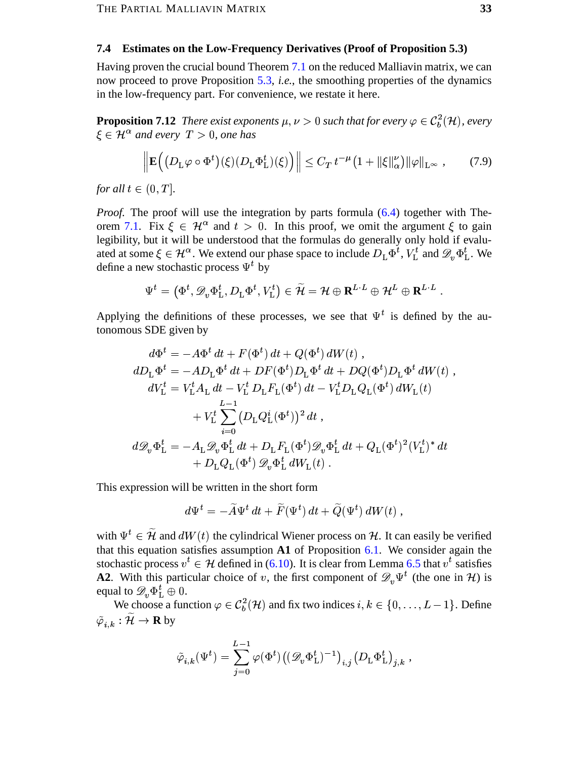#### <span id="page-32-0"></span>**Estimates on the Low-Frequency Derivatives (Proof of Proposition 5.3)**  $7.4$

Having proven the crucial bound Theorem 7.1 on the reduced Malliavin matrix, we can now proceed to prove Proposition 5.3, *i.e.*, the smoothing properties of the dynamics in the low-frequency part. For convenience, we restate it here.

**Proposition 7.12** There exist exponents  $\mu, \nu > 0$  such that for every  $\varphi \in C_b^2(\mathcal{H})$ , every  $\xi \in \mathcal{H}^{\alpha}$  and every  $T > 0$ , one has

<span id="page-32-2"></span><span id="page-32-1"></span>
$$
\left\| \mathbf{E}\Big( \big(D_{\mathcal{L}}\varphi \circ \Phi^t\big)(\xi) \big(D_{\mathcal{L}}\Phi_{\mathcal{L}}^t\big)(\xi) \Big) \right\| \leq C_T \, t^{-\mu} \big(1 + \|\xi\|_{\alpha}^{\nu}\big) \|\varphi\|_{\mathcal{L}^{\infty}} \,, \tag{7.9}
$$

for all  $t \in (0,T]$ .

*Proof.* The proof will use the integration by parts formula (6.4) together with Theorem 7.1. Fix  $\xi \in \mathcal{H}^{\alpha}$  and  $t > 0$ . In this proof, we omit the argument  $\xi$  to gain legibility, but it will be understood that the formulas do generally only hold if evaluated at some  $\xi \in \mathcal{H}^{\alpha}$ . We extend our phase space to include  $D_L \Phi^t$ ,  $V_L^t$  and  $\mathscr{D}_n \Phi^t_L$ . We define a new stochastic process  $\Psi^t$  by

$$
\Psi^t = \left( \Phi^t, \mathscr{D}_v \Phi^t_\mathrm{L}, D_\mathrm{L} \Phi^t, V^t_\mathrm{L} \right) \in \widetilde{\mathcal{H}} = \mathcal{H} \oplus \mathbf{R}^{L \cdot L} \oplus \mathcal{H}^L \oplus \mathbf{R}^{L \cdot L}
$$

Applying the definitions of these processes, we see that  $\Psi^t$  is defined by the autonomous SDE given by

$$
d\Phi^t = -A\Phi^t dt + F(\Phi^t) dt + Q(\Phi^t) dW(t) ,
$$
  
\n
$$
dD_{\mathcal{L}}\Phi^t = -AD_{\mathcal{L}}\Phi^t dt + DF(\Phi^t)D_{\mathcal{L}}\Phi^t dt + DQ(\Phi^t)D_{\mathcal{L}}\Phi^t dW(t) ,
$$
  
\n
$$
dV_{\mathcal{L}}^t = V_{\mathcal{L}}^t A_{\mathcal{L}} dt - V_{\mathcal{L}}^t D_{\mathcal{L}} F_{\mathcal{L}}(\Phi^t) dt - V_{\mathcal{L}}^t D_{\mathcal{L}} Q_{\mathcal{L}}(\Phi^t) dW_{\mathcal{L}}(t) + V_{\mathcal{L}}^t \sum_{i=0}^{L-1} (D_{\mathcal{L}} Q_{\mathcal{L}}^i (\Phi^t))^2 dt ,
$$
  
\n
$$
d\mathcal{D}_v \Phi_{\mathcal{L}}^t = -A_{\mathcal{L}} \mathcal{D}_v \Phi_{\mathcal{L}}^t dt + D_{\mathcal{L}} F_{\mathcal{L}}(\Phi^t) \mathcal{D}_v \Phi_{\mathcal{L}}^t dt + Q_{\mathcal{L}}(\Phi^t)^2 (V_{\mathcal{L}}^t)^* dt + D_{\mathcal{L}} Q_{\mathcal{L}}(\Phi^t) \mathcal{D}_v \Phi_{\mathcal{L}}^t dW_{\mathcal{L}}(t) .
$$

This expression will be written in the short form

$$
d\Psi^t = -\widetilde{A}\Psi^t dt + \widetilde{F}(\Psi^t) dt + \widetilde{Q}(\Psi^t) dW(t),
$$

with  $\Psi^t \in \tilde{\mathcal{H}}$  and  $dW(t)$  the cylindrical Wiener process on  $\mathcal{H}$ . It can easily be verified that this equation satisfies assumption  $A1$  of Proposition 6.1. We consider again the stochastic process  $v^t \in H$  defined in (6.10). It is clear from Lemma 6.5 that  $v^t$  satisfies **A2.** With this particular choice of v, the first component of  $\mathscr{D}_n \Psi^t$  (the one in H) is equal to  $\mathscr{D}_v \Phi_{\mathrm{L}}^t \oplus 0$ .

We choose a function  $\varphi \in C_b^2(\mathcal{H})$  and fix two indices  $i, k \in \{0, \ldots, L-1\}$ . Define  $\tilde{\varphi}_{i,k} : \widetilde{\mathcal{H}} \to \mathbf{R}$  by

$$
\tilde{\varphi}_{i,k}(\Psi^t) = \sum_{j=0}^{L-1} \varphi(\Phi^t) \big( (\mathscr{D}_v \Phi^t_\mathrm{L})^{-1} \big)_{i,j} \big( D_\mathrm{L} \Phi^t_\mathrm{L} \big)_{j,k} \;,
$$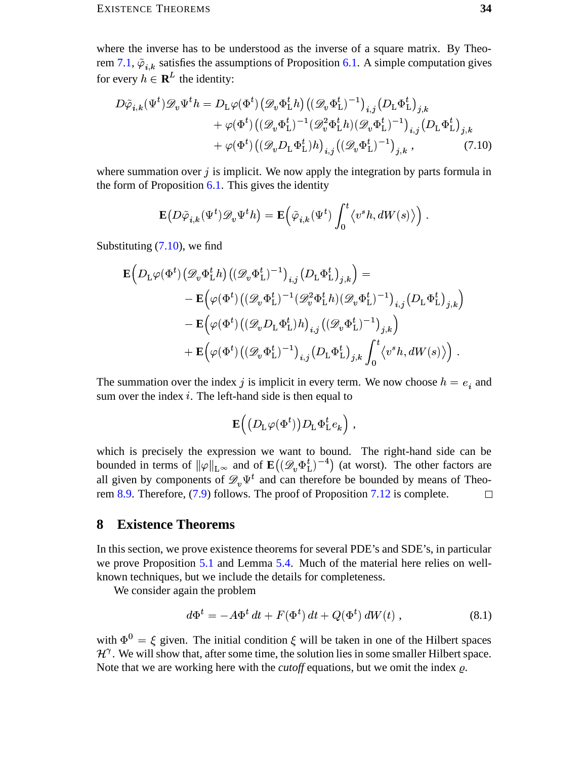where the inverse has to be understood as the inverse of a square matrix. By Theorem 7.1,  $\tilde{\varphi}_{i,k}$  satisfies the assumptions of Proposition 6.1. A simple computation gives for every  $h \in \mathbf{R}^{L}$  the identity:

$$
D\tilde{\varphi}_{i,k}(\Psi^t)\mathscr{D}_v\Psi^t h = D_{\mathcal{L}}\varphi(\Phi^t) \left(\mathscr{D}_v\Phi^t_{\mathcal{L}}h\right) \left((\mathscr{D}_v\Phi^t_{\mathcal{L}})^{-1}\right)_{i,j} \left(D_{\mathcal{L}}\Phi^t_{\mathcal{L}}\right)_{j,k} + \varphi(\Phi^t) \left((\mathscr{D}_v\Phi^t_{\mathcal{L}})^{-1}(\mathscr{D}_v^2\Phi^t_{\mathcal{L}}h)(\mathscr{D}_v\Phi^t_{\mathcal{L}})^{-1}\right)_{i,j} \left(D_{\mathcal{L}}\Phi^t_{\mathcal{L}}\right)_{j,k} + \varphi(\Phi^t) \left((\mathscr{D}_vD_{\mathcal{L}}\Phi^t_{\mathcal{L}})h\right)_{i,j} \left((\mathscr{D}_v\Phi^t_{\mathcal{L}})^{-1}\right)_{j,k},
$$
(7.10)

where summation over  $j$  is implicit. We now apply the integration by parts formula in the form of Proposition  $6.1$ . This gives the identity

<span id="page-33-1"></span>
$$
\mathbf{E}\big(D\tilde{\varphi}_{i,k}(\Psi^t)\mathscr{D}_v\Psi^t h\big)=\mathbf{E}\Big(\tilde{\varphi}_{i,k}(\Psi^t)\int_0^t\big\langle v^sh,dW(s)\big\rangle\Big)
$$

Substituting  $(7.10)$ , we find

$$
\begin{aligned} \mathbf{E} \Big(D_\mathrm{L} \varphi(\Phi^t) \big(\mathscr{D}_v \Phi^t_\mathrm{L} h\big) \big((\mathscr{D}_v \Phi^t_\mathrm{L})^{-1}\big)_{i,j} \big(D_\mathrm{L} \Phi^t_\mathrm{L}\big)_{j,k}\Big) = \\ &\quad - \mathbf{E} \Big(\varphi(\Phi^t) \big((\mathscr{D}_v \Phi^t_\mathrm{L})^{-1} (\mathscr{D}_v^2 \Phi^t_\mathrm{L} h) (\mathscr{D}_v \Phi^t_\mathrm{L})^{-1}\big)_{i,j} \big(D_\mathrm{L} \Phi^t_\mathrm{L}\big)_{j,k}\Big) \\ &\quad - \mathbf{E} \Big(\varphi(\Phi^t) \big((\mathscr{D}_v D_\mathrm{L} \Phi^t_\mathrm{L}) h\big)_{i,j} \big((\mathscr{D}_v \Phi^t_\mathrm{L})^{-1}\big)_{j,k}\Big) \\ &\quad + \mathbf{E} \Big(\varphi(\Phi^t) \big((\mathscr{D}_v \Phi^t_\mathrm{L})^{-1}\big)_{i,j} \big(D_\mathrm{L} \Phi^t_\mathrm{L}\big)_{j,k} \int_0^t \big\langle v^s h, dW(s) \big\rangle \Big) \ . \end{aligned}
$$

The summation over the index j is implicit in every term. We now choose  $h = e_i$  and sum over the index  $i$ . The left-hand side is then equal to

$$
\mathbf{E}\Big(\big(D_{\mathrm{L}}\varphi(\Phi^t)\big)D_{\mathrm{L}}\Phi^t_{\mathrm{L}}e_k\Big)\;,
$$

which is precisely the expression we want to bound. The right-hand side can be bounded in terms of  $\|\varphi\|_{L^{\infty}}$  and of  $\mathbf{E}((\mathscr{D}_{v}\Phi_{L}^{t})^{-4})$  (at worst). The other factors are all given by components of  $\mathscr{D}_n \Psi^t$  and can therefore be bounded by means of Theorem 8.9. Therefore,  $(7.9)$  follows. The proof of Proposition 7.12 is complete.  $\Box$ 

#### <span id="page-33-0"></span>8 **Existence Theorems**

In this section, we prove existence theorems for several PDE's and SDE's, in particular we prove Proposition 5.1 and Lemma 5.4. Much of the material here relies on wellknown techniques, but we include the details for completeness.

We consider again the problem

<span id="page-33-2"></span>
$$
d\Phi^t = -A\Phi^t dt + F(\Phi^t) dt + Q(\Phi^t) dW(t) , \qquad (8.1)
$$

with  $\Phi^0 = \xi$  given. The initial condition  $\xi$  will be taken in one of the Hilbert spaces  $\mathcal{H}^{\gamma}$ . We will show that, after some time, the solution lies in some smaller Hilbert space. Note that we are working here with the *cutoff* equations, but we omit the index  $\rho$ .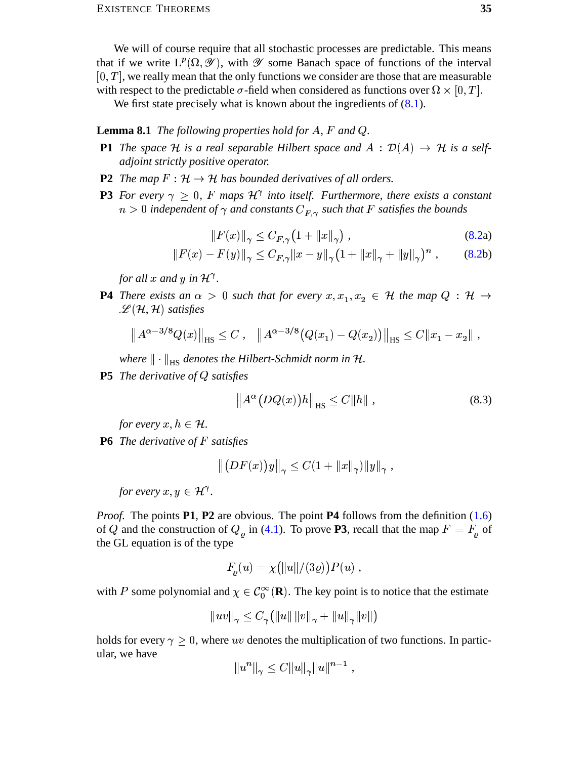We will of course require that all stochastic processes are predictable. This means that if we write  $L^p(\Omega, \mathcal{Y})$ , with  $\mathcal Y$  some Banach space of functions of the interval  $[0, T]$ , we really mean that the only functions we consider are those that are measurable with respect to the predictable  $\sigma$ -field when considered as functions over  $\Omega \times [0, T]$ .

We first state precisely what is known about the ingredients of  $(8.1)$ .

### **Lemma 8.1** The following properties hold for  $A$ ,  $F$  and  $Q$ .

- **P1** The space H is a real separable Hilbert space and  $A : \mathcal{D}(A) \to \mathcal{H}$  is a self*adjoint strictly positive operator.*
- **P2** The map  $F : \mathcal{H} \to \mathcal{H}$  has bounded derivatives of all orders.
- **P3** For every  $\gamma \geq 0$ , F maps  $\mathcal{H}^{\gamma}$  into itself. Furthermore, there exists a constant  $n > 0$  independent of  $\gamma$  and constants  $C_{F,\gamma}$  such that F satisfies the bounds

<span id="page-34-2"></span><span id="page-34-1"></span><span id="page-34-0"></span>
$$
||F(x)||_{\gamma} \le C_{F,\gamma} (1 + ||x||_{\gamma}), \qquad (8.2a)
$$

$$
||F(x) - F(y)||_{\gamma} \le C_{F,\gamma} ||x - y||_{\gamma} (1 + ||x||_{\gamma} + ||y||_{\gamma})^{n}, \qquad (8.2b)
$$

for all x and y in  $\mathcal{H}^{\gamma}$ .

**P4** There exists an  $\alpha > 0$  such that for every  $x, x_1, x_2 \in \mathcal{H}$  the map  $Q : \mathcal{H} \rightarrow$  $\mathscr{L}(\mathcal{H},\mathcal{H})$  satisfies

$$
\left\|A^{\alpha-3/8}Q(x)\right\|_{\text{HS}} \leq C \,, \quad \left\|A^{\alpha-3/8}\big(Q(x_1) - Q(x_2)\big)\right\|_{\text{HS}} \leq C\|x_1 - x_2\| \,.
$$

where  $\|\cdot\|_{\text{HS}}$  denotes the Hilbert-Schmidt norm in H.

**P5** The derivative of  $Q$  satisfies

<span id="page-34-3"></span>
$$
\left\|A^{\alpha}(DQ(x))h\right\|_{\text{HS}} \le C\|h\| \,,\tag{8.3}
$$

for every  $x, h \in \mathcal{H}$ .

**P6** The derivative of  $F$  satisfies

$$
\left\| \left( DF(x) \right) y \right\|_{\gamma} \leq C \left( 1 + \left\| x \right\|_{\gamma} \right) \left\| y \right\|_{\gamma},
$$

for every  $x, y \in \mathcal{H}^{\gamma}$ .

*Proof.* The points P1, P2 are obvious. The point P4 follows from the definition  $(1.6)$ of Q and the construction of  $Q_{\rho}$  in (4.1). To prove **P3**, recall that the map  $F = F_{\rho}$  of the GL equation is of the type

$$
F_{\rho}(u) = \chi(||u||/(3 \varrho)) P(u) ,
$$

with P some polynomial and  $\chi \in C_0^{\infty}(\mathbf{R})$ . The key point is to notice that the estimate

$$
||uv||_{\gamma} \leq C_{\gamma} (||u|| \, ||v||_{\gamma} + ||u||_{\gamma} ||v||)
$$

holds for every  $\gamma \geq 0$ , where uv denotes the multiplication of two functions. In particular, we have

$$
||u^n||_{\gamma} \leq C||u||_{\gamma}||u||^{n-1},
$$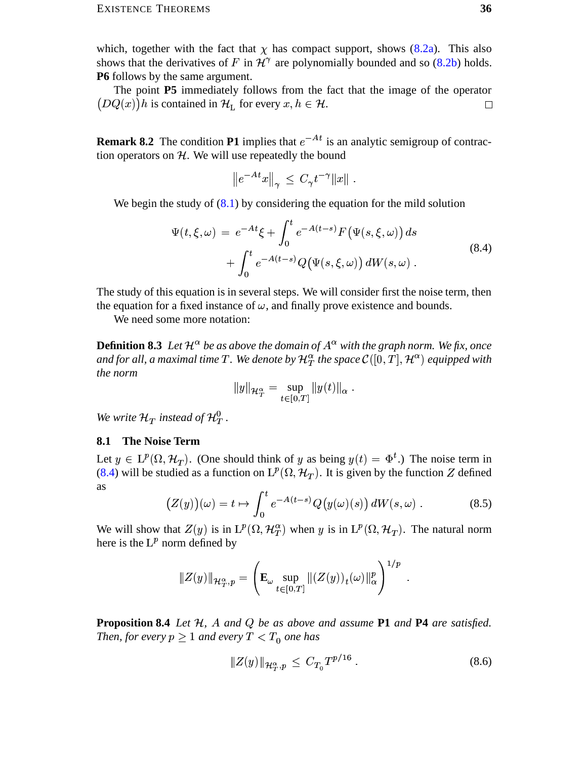which, together with the fact that  $\chi$  has compact support, shows (8.2a). This also shows that the derivatives of F in  $\mathcal{H}^{\gamma}$  are polynomially bounded and so (8.2b) holds. **P6** follows by the same argument.

The point P5 immediately follows from the fact that the image of the operator  $(DQ(x))h$  is contained in  $\mathcal{H}_L$  for every  $x, h \in \mathcal{H}$ .  $\Box$ 

<span id="page-35-1"></span>**Remark 8.2** The condition **P1** implies that  $e^{-At}$  is an analytic semigroup of contraction operators on  $H$ . We will use repeatedly the bound

<span id="page-35-4"></span>
$$
\left\|e^{-At}x\right\|_{\gamma} \,\leq\, C_{\gamma}t^{-\gamma}\|x\|
$$

We begin the study of  $(8.1)$  by considering the equation for the mild solution

$$
\Psi(t,\xi,\omega) = e^{-At}\xi + \int_0^t e^{-A(t-s)} F(\Psi(s,\xi,\omega)) ds \n+ \int_0^t e^{-A(t-s)} Q(\Psi(s,\xi,\omega)) dW(s,\omega).
$$
\n(8.4)

The study of this equation is in several steps. We will consider first the noise term, then the equation for a fixed instance of  $\omega$ , and finally prove existence and bounds.

<span id="page-35-2"></span>We need some more notation:

**Definition 8.3** Let  $\mathcal{H}^{\alpha}$  be as above the domain of  $A^{\alpha}$  with the graph norm. We fix, once and for all, a maximal time T. We denote by  $\mathcal{H}_T^{\alpha}$  the space  $\mathcal{C}([0,T],\mathcal{H}^{\alpha})$  equipped with the norm

<span id="page-35-6"></span>
$$
||y||_{\mathcal{H}_T^{\alpha}} = \sup_{t \in [0,T]} ||y(t)||_{\alpha}
$$

We write  $\mathcal{H}_T$  instead of  $\mathcal{H}_T^0$ .

### <span id="page-35-0"></span>**8.1 The Noise Term**

Let  $y \in L^p(\Omega, \mathcal{H}_T)$ . (One should think of y as being  $y(t) = \Phi^t$ .) The noise term in (8.4) will be studied as a function on  $L^p(\Omega, \mathcal{H}_T)$ . It is given by the function Z defined as

$$
(Z(y))(\omega) = t \mapsto \int_0^t e^{-A(t-s)} Q(y(\omega)(s)) dW(s, \omega) . \tag{8.5}
$$

We will show that  $Z(y)$  is in  $L^p(\Omega, \mathcal{H}_T^{\alpha})$  when y is in  $L^p(\Omega, \mathcal{H}_T)$ . The natural norm here is the  $L^p$  norm defined by

$$
\|Z(y)\|_{\mathcal{H}^{\alpha}_{T},p} = \left(\mathbf{E}_{\omega} \sup_{t \in [0,T]} \|(Z(y))_{t}(\omega)\|_{\alpha}^{p}\right)^{1/p}
$$

<span id="page-35-3"></span>**Proposition 8.4** Let  $H$ ,  $A$  and  $Q$  be as above and assume **P1** and **P4** are satisfied. Then, for every  $p \geq 1$  and every  $T < T_0$  one has

<span id="page-35-5"></span>
$$
||Z(y)||_{\mathcal{H}_T^{\alpha},p} \leq C_{T_0} T^{p/16} \,. \tag{8.6}
$$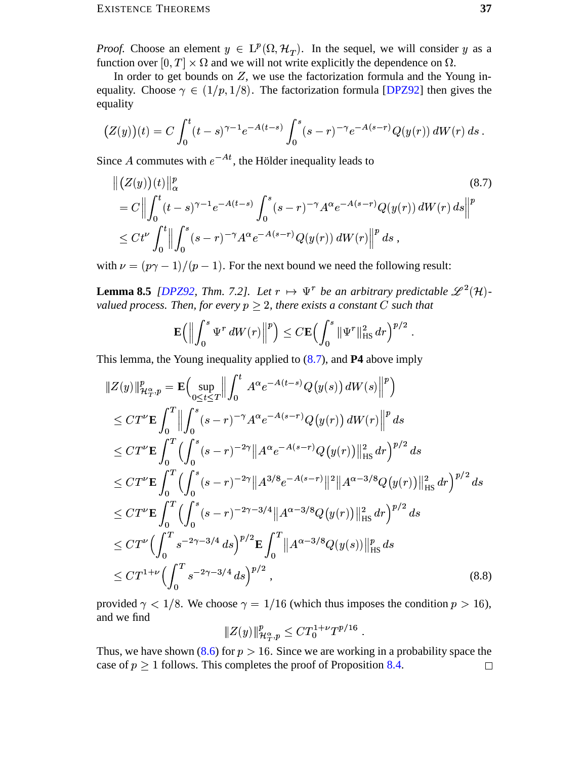*Proof.* Choose an element  $y \in L^p(\Omega, \mathcal{H}_T)$ . In the sequel, we will consider y as a function over  $[0, T] \times \Omega$  and we will not write explicitly the dependence on  $\Omega$ .

In order to get bounds on  $Z$ , we use the factorization formula and the Young inequality. Choose  $\gamma \in (1/p, 1/8)$ . The factorization formula [DPZ92] then gives the equality

$$
(Z(y))(t) = C \int_0^t (t-s)^{\gamma-1} e^{-A(t-s)} \int_0^s (s-r)^{-\gamma} e^{-A(s-r)} Q(y(r)) dW(r) ds.
$$

Since A commutes with  $e^{-At}$ , the Hölder inequality leads to

$$
\| (Z(y))(t) \|_{\alpha}^{p} \qquad (8.7)
$$
  
=  $C \Big\| \int_{0}^{t} (t-s)^{\gamma-1} e^{-A(t-s)} \int_{0}^{s} (s-r)^{-\gamma} A^{\alpha} e^{-A(s-r)} Q(y(r)) dW(r) ds \Big\|^{p}$   
\$\leq Ct^{\nu} \int\_{0}^{t} \Big\| \int\_{0}^{s} (s-r)^{-\gamma} A^{\alpha} e^{-A(s-r)} Q(y(r)) dW(r) \Big\|^{p} ds ,

with  $\nu = (p\gamma - 1)/(p - 1)$ . For the next bound we need the following result:

**Lemma 8.5** [DPZ92, Thm. 7.2]. Let  $r \mapsto \Psi^r$  be an arbitrary predictable  $\mathscr{L}^2(\mathcal{H})$ valued process. Then, for every  $p \geq 2$ , there exists a constant C such that

<span id="page-36-1"></span><span id="page-36-0"></span>
$$
\mathbf{E}\Big(\Big\|\int_0^s \Psi^r dW(r)\Big\|^p\Big) \leq C \mathbf{E}\Big(\int_0^s \|\Psi^r\|_{\text{HS}}^2 dr\Big)^{p/2}
$$

This lemma, the Young inequality applied to  $(8.7)$ , and **P4** above imply

$$
\|Z(y)\|_{\mathcal{H}_T^{\alpha,p}}^p = \mathbf{E} \Big( \sup_{0 \le t \le T} \Big\| \int_0^t A^{\alpha} e^{-A(t-s)} Q(y(s)) dW(s) \Big\|^p \Big)
$$
  
\n
$$
\le C T^{\nu} \mathbf{E} \int_0^T \Big\| \int_0^s (s-r)^{-\gamma} A^{\alpha} e^{-A(s-r)} Q(y(r)) dW(r) \Big\|^p ds
$$
  
\n
$$
\le C T^{\nu} \mathbf{E} \int_0^T \Big( \int_0^s (s-r)^{-2\gamma} \|A^{\alpha} e^{-A(s-r)} Q(y(r))\|_{\text{HS}}^2 dr \Big)^{p/2} ds
$$
  
\n
$$
\le C T^{\nu} \mathbf{E} \int_0^T \Big( \int_0^s (s-r)^{-2\gamma} \|A^{3/8} e^{-A(s-r)}\|^2 \|A^{\alpha-3/8} Q(y(r))\|_{\text{HS}}^2 dr \Big)^{p/2} ds
$$
  
\n
$$
\le C T^{\nu} \mathbf{E} \int_0^T \Big( \int_0^s (s-r)^{-2\gamma-3/4} \|A^{\alpha-3/8} Q(y(r))\|_{\text{HS}}^2 dr \Big)^{p/2} ds
$$
  
\n
$$
\le C T^{\nu} \Big( \int_0^T s^{-2\gamma-3/4} ds \Big)^{p/2} \mathbf{E} \int_0^T \|A^{\alpha-3/8} Q(y(s))\|_{\text{HS}}^p ds
$$
  
\n
$$
\le C T^{1+\nu} \Big( \int_0^T s^{-2\gamma-3/4} ds \Big)^{p/2}, \tag{8.8}
$$

provided  $\gamma < 1/8$ . We choose  $\gamma = 1/16$  (which thus imposes the condition  $p > 16$ ), and we find

<span id="page-36-2"></span>
$$
|\!|\!| Z(y)|\!|\!|^p_{\mathcal{H}^\alpha_{T},p} \leq C T_0^{1+\nu} T^{p/16}
$$

Thus, we have shown (8.6) for  $p > 16$ . Since we are working in a probability space the case of  $p \ge 1$  follows. This completes the proof of Proposition 8.4.  $\Box$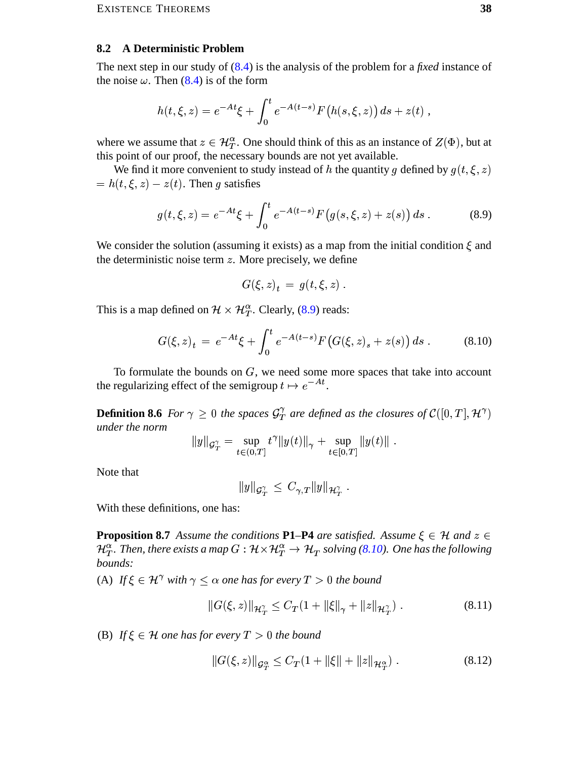#### <span id="page-37-0"></span>**A Deterministic Problem** 8.2

The next step in our study of  $(8.4)$  is the analysis of the problem for a *fixed* instance of the noise  $\omega$ . Then (8.4) is of the form

$$
h(t,\xi,z) = e^{-At}\xi + \int_0^t e^{-A(t-s)} F(h(s,\xi,z)) ds + z(t) ,
$$

where we assume that  $z \in \mathcal{H}_T^{\alpha}$ . One should think of this as an instance of  $Z(\Phi)$ , but at this point of our proof, the necessary bounds are not yet available.

We find it more convenient to study instead of h the quantity g defined by  $g(t, \xi, z)$  $= h(t, \xi, z) - z(t)$ . Then g satisfies

$$
g(t,\xi,z) = e^{-At}\xi + \int_0^t e^{-A(t-s)} F(g(s,\xi,z) + z(s)) ds . \tag{8.9}
$$

We consider the solution (assuming it exists) as a map from the initial condition  $\xi$  and the deterministic noise term  $z$ . More precisely, we define

<span id="page-37-3"></span><span id="page-37-2"></span>
$$
G(\xi, z)_t = g(t, \xi, z) .
$$

This is a map defined on  $\mathcal{H} \times \mathcal{H}_T^{\alpha}$ . Clearly, (8.9) reads:

$$
G(\xi, z)_t = e^{-At} \xi + \int_0^t e^{-A(t-s)} F\big(G(\xi, z)_s + z(s)\big) ds . \tag{8.10}
$$

To formulate the bounds on  $G$ , we need some more spaces that take into account the regularizing effect of the semigroup  $t \mapsto e^{-At}$ .

**Definition 8.6** For  $\gamma \geq 0$  the spaces  $\mathcal{G}_T^{\gamma}$  are defined as the closures of  $\mathcal{C}([0,T], \mathcal{H}^{\gamma})$ under the norm

$$
||y||_{\mathcal{G}_T^{\gamma}} = \sup_{t \in (0,T]} t^{\gamma} ||y(t)||_{\gamma} + \sup_{t \in [0,T]} ||y(t)||.
$$

Note that

<span id="page-37-1"></span>
$$
|y\|_{{\mathcal G}^\gamma_T}\,\leq\,C_{\gamma,T} \|y\|_{{\mathcal H}^\gamma_T}
$$

With these definitions, one has:

**Proposition 8.7** Assume the conditions **P1–P4** are satisfied. Assume  $\xi \in \mathcal{H}$  and  $z \in \mathcal{H}$  $\mathcal{H}_T^{\alpha}$ . Then, there exists a map  $G : \mathcal{H} \times \mathcal{H}_T^{\alpha} \to \mathcal{H}_T$  solving (8.10). One has the following bounds:

(A) If  $\xi \in \mathcal{H}^{\gamma}$  with  $\gamma < \alpha$  one has for every  $T > 0$  the bound

<span id="page-37-4"></span>
$$
||G(\xi, z)||_{\mathcal{H}^{\gamma}_{T}} \leq C_{T}(1 + ||\xi||_{\gamma} + ||z||_{\mathcal{H}^{\gamma}_{T}}).
$$
\n(8.11)

(B) If  $\xi \in \mathcal{H}$  one has for every  $T > 0$  the bound

<span id="page-37-5"></span>
$$
||G(\xi, z)||_{\mathcal{G}_T^{\alpha}} \le C_T (1 + ||\xi|| + ||z||_{\mathcal{H}_T^{\alpha}}).
$$
 (8.12)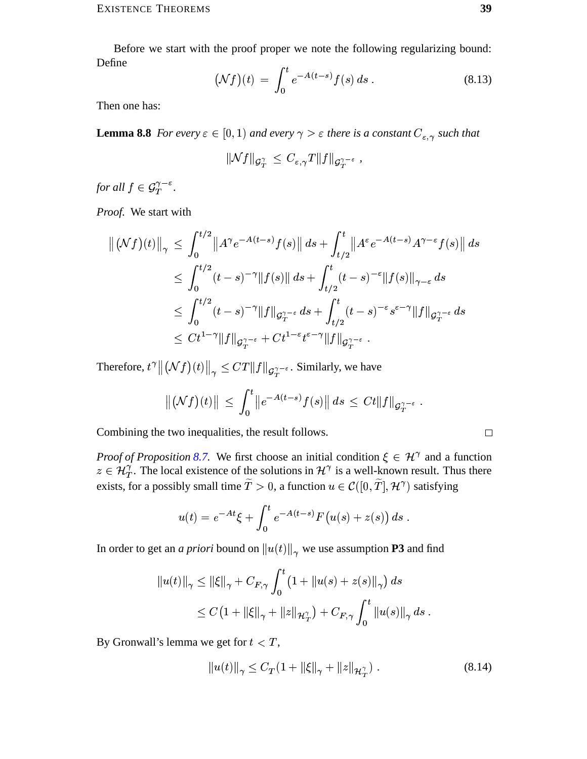Before we start with the proof proper we note the following regularizing bound: Define

<span id="page-38-2"></span>
$$
\left(\mathcal{N}f\right)(t) \ = \ \int_0^t e^{-A(t-s)} f(s) \, ds \ . \tag{8.13}
$$

<span id="page-38-0"></span>Then one has:

**Lemma 8.8** For every  $\epsilon \in [0,1)$  and every  $\gamma > \epsilon$  there is a constant  $C_{\epsilon,\gamma}$  such that

$$
\| \mathcal{N} f \|_{\mathcal{G}^\gamma_T} \, \leq \, C_{\varepsilon,\gamma} T \| f \|_{\mathcal{G}^{\gamma-\varepsilon}_T} \, ,
$$

for all  $f \in \mathcal{G}_T^{\gamma-\varepsilon}$ .

Proof. We start with

$$
\left\| (\mathcal{N}f)(t) \right\|_{\gamma} \leq \int_{0}^{t/2} \left\| A^{\gamma} e^{-A(t-s)} f(s) \right\| ds + \int_{t/2}^{t} \left\| A^{\varepsilon} e^{-A(t-s)} A^{\gamma-\varepsilon} f(s) \right\| ds
$$
  
\n
$$
\leq \int_{0}^{t/2} (t-s)^{-\gamma} \| f(s) \| ds + \int_{t/2}^{t} (t-s)^{-\varepsilon} \| f(s) \|_{\gamma-\varepsilon} ds
$$
  
\n
$$
\leq \int_{0}^{t/2} (t-s)^{-\gamma} \| f \|_{\mathcal{G}_{T}^{\gamma-\varepsilon}} ds + \int_{t/2}^{t} (t-s)^{-\varepsilon} s^{\varepsilon-\gamma} \| f \|_{\mathcal{G}_{T}^{\gamma-\varepsilon}} ds
$$
  
\n
$$
\leq C t^{1-\gamma} \| f \|_{\mathcal{G}_{T}^{\gamma-\varepsilon}} + C t^{1-\varepsilon} t^{\varepsilon-\gamma} \| f \|_{\mathcal{G}_{T}^{\gamma-\varepsilon}}.
$$

Therefore,  $t^{\gamma}$   $\left\|\left(\mathcal{N}f\right)(t)\right\|_{\gamma} \leq CT \|f\|_{\mathcal{G}_{T}^{\gamma-\epsilon}}$ . Similarly, we have

$$
\|(\mathcal{N}f)(t)\| \ \leq \ \int_0^t \|e^{-A(t-s)}f(s)\| \ ds \ \leq \ Ct \|f\|_{\mathcal{G}_T^{\gamma-\varepsilon}} \ .
$$

Combining the two inequalities, the result follows.

*Proof of Proposition 8.7.* We first choose an initial condition  $\xi \in \mathcal{H}^{\gamma}$  and a function  $z \in \mathcal{H}_T^{\gamma}$ . The local existence of the solutions in  $\mathcal{H}^{\gamma}$  is a well-known result. Thus there exists, for a possibly small time  $\widetilde{T} > 0$ , a function  $u \in \mathcal{C}([0, \widetilde{T}], \mathcal{H}^{\gamma})$  satisfying

$$
u(t) = e^{-At} \xi + \int_0^t e^{-A(t-s)} F(u(s) + z(s)) ds
$$

In order to get an *a priori* bound on  $||u(t)||_{\gamma}$  we use assumption **P3** and find

$$
||u(t)||_{\gamma} \leq ||\xi||_{\gamma} + C_{F,\gamma} \int_0^t (1 + ||u(s) + z(s)||_{\gamma}) ds
$$
  
\n
$$
\leq C (1 + ||\xi||_{\gamma} + ||z||_{\mathcal{H}^{\gamma}_T}) + C_{F,\gamma} \int_0^t ||u(s)||_{\gamma} ds.
$$

By Gronwall's lemma we get for  $t < T$ ,

<span id="page-38-1"></span>
$$
||u(t)||_{\gamma} \leq C_T (1 + ||\xi||_{\gamma} + ||z||_{\mathcal{H}_T^{\gamma}}).
$$
 (8.14)

$$
\qquad \qquad \Box
$$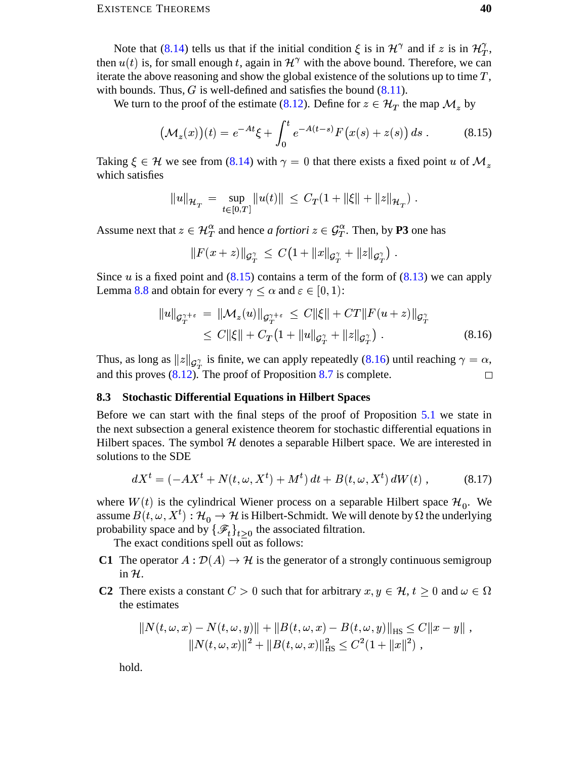Note that (8.14) tells us that if the initial condition  $\xi$  is in  $\mathcal{H}^{\gamma}$  and if z is in  $\mathcal{H}^{\gamma}_{T}$ , then  $u(t)$  is, for small enough t, again in  $\mathcal{H}^{\gamma}$  with the above bound. Therefore, we can iterate the above reasoning and show the global existence of the solutions up to time  $T$ , with bounds. Thus,  $G$  is well-defined and satisfies the bound  $(8.11)$ .

We turn to the proof of the estimate (8.12). Define for  $z \in \mathcal{H}_T$  the map  $\mathcal{M}_z$  by

$$
\left(\mathcal{M}_z(x)\right)(t) = e^{-At}\xi + \int_0^t e^{-A(t-s)}F\left(x(s) + z(s)\right)ds\,. \tag{8.15}
$$

Taking  $\xi \in \mathcal{H}$  we see from (8.14) with  $\gamma = 0$  that there exists a fixed point u of  $\mathcal{M}_{\gamma}$ which satisfies

<span id="page-39-1"></span>
$$
||u||_{\mathcal{H}_T} = \sup_{t \in [0,T]} ||u(t)|| \leq C_T (1 + ||\xi|| + ||z||_{\mathcal{H}_T}).
$$

Assume next that  $z \in \mathcal{H}_T^{\alpha}$  and hence *a fortiori*  $z \in \mathcal{G}_T^{\alpha}$ . Then, by **P3** one has

<span id="page-39-2"></span>
$$
||F(x+z)||_{\mathcal{G}_T^{\gamma}} \leq C\big(1+||x||_{\mathcal{G}_T^{\gamma}}+||z||_{\mathcal{G}_T^{\gamma}}\big).
$$

Since u is a fixed point and  $(8.15)$  contains a term of the form of  $(8.13)$  we can apply Lemma 8.8 and obtain for every  $\gamma \leq \alpha$  and  $\varepsilon \in [0, 1)$ :

$$
||u||_{\mathcal{G}_T^{\gamma+\varepsilon}} = ||\mathcal{M}_z(u)||_{\mathcal{G}_T^{\gamma+\varepsilon}} \leq C||\xi|| + CT||F(u+z)||_{\mathcal{G}_T^{\gamma}}
$$
  
\n
$$
\leq C||\xi|| + C_T \left(1 + ||u||_{\mathcal{G}_T^{\gamma}} + ||z||_{\mathcal{G}_T^{\gamma}}\right).
$$
\n(8.16)

Thus, as long as  $||z||_{\mathcal{G}_{T}^{\gamma}}$  is finite, we can apply repeatedly (8.16) until reaching  $\gamma = \alpha$ , and this proves  $(8.12)$ . The proof of Proposition 8.7 is complete.  $\Box$ 

#### <span id="page-39-0"></span>8.3 Stochastic Differential Equations in Hilbert Spaces

Before we can start with the final steps of the proof of Proposition 5.1 we state in the next subsection a general existence theorem for stochastic differential equations in Hilbert spaces. The symbol  $H$  denotes a separable Hilbert space. We are interested in solutions to the SDE

<span id="page-39-3"></span>
$$
dX^{t} = (-AX^{t} + N(t, \omega, X^{t}) + M^{t}) dt + B(t, \omega, X^{t}) dW(t), \qquad (8.17)
$$

where  $W(t)$  is the cylindrical Wiener process on a separable Hilbert space  $\mathcal{H}_0$ . We assume  $B(t, \omega, X^t): \mathcal{H}_0 \to \mathcal{H}$  is Hilbert-Schmidt. We will denote by  $\Omega$  the underlying probability space and by  $\{\mathcal{F}_t\}_{t>0}$  the associated filtration.

The exact conditions spell out as follows:

- C1 The operator  $A : \mathcal{D}(A) \to \mathcal{H}$  is the generator of a strongly continuous semigroup in  $\mathcal{H}$ .
- **C2** There exists a constant  $C > 0$  such that for arbitrary  $x, y \in \mathcal{H}, t \ge 0$  and  $\omega \in \Omega$ the estimates

$$
||N(t, \omega, x) - N(t, \omega, y)|| + ||B(t, \omega, x) - B(t, \omega, y)||_{\text{HS}} \le C||x - y||,
$$
  

$$
||N(t, \omega, x)||^2 + ||B(t, \omega, x)||_{\text{HS}}^2 \le C^2(1 + ||x||^2),
$$

hold.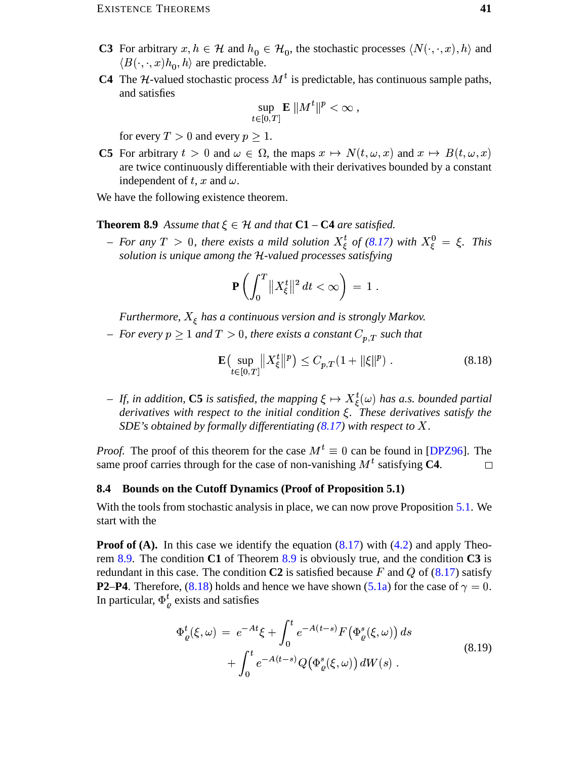- **C3** For arbitrary  $x, h \in \mathcal{H}$  and  $h_0 \in \mathcal{H}_0$ , the stochastic processes  $\langle N(\cdot, \cdot, x), h \rangle$  and  $\langle B(\cdot,\cdot,x)h_0,h\rangle$  are predictable.
- **C4** The *H*-valued stochastic process  $M<sup>t</sup>$  is predictable, has continuous sample paths, and satisfies

$$
\sup_{t\in[0,T]}\mathbf{E}\,\|M^t\|^p<\infty\;,
$$

for every  $T > 0$  and every  $p \ge 1$ .

C5 For arbitrary  $t > 0$  and  $\omega \in \Omega$ , the maps  $x \mapsto N(t, \omega, x)$  and  $x \mapsto B(t, \omega, x)$ are twice continuously differentiable with their derivatives bounded by a constant independent of t, x and  $\omega$ .

We have the following existence theorem.

### **Theorem 8.9** Assume that  $\xi \in \mathcal{H}$  and that  $C1 - C4$  are satisfied.

- For any  $T > 0$ , there exists a mild solution  $X_{\xi}^{t}$  of (8.17) with  $X_{\xi}^{0} = \xi$ . This solution is unique among the H-valued processes satisfying

<span id="page-40-1"></span>
$$
\mathbf{P}\left(\int_0^T \|X_{\xi}^t\|^2 dt < \infty\right) = 1
$$

Furthermore,  $X_{\xi}$  has a continuous version and is strongly Markov.

- For every  $p \ge 1$  and  $T > 0$ , there exists a constant  $C_{p,T}$  such that

<span id="page-40-2"></span>
$$
\mathbf{E}\left(\sup_{t\in[0,T]}\|X_{\xi}^{t}\|^{p}\right) \leq C_{p,T}(1+\|\xi\|^{p}).\tag{8.18}
$$

- If, in addition, C5 is satisfied, the mapping  $\xi \mapsto X_{\xi}^{t}(\omega)$  has a.s. bounded partial derivatives with respect to the initial condition  $\xi$ . These derivatives satisfy the SDE's obtained by formally differentiating  $(8.17)$  with respect to X.

*Proof.* The proof of this theorem for the case  $M^t \equiv 0$  can be found in [DPZ96]. The same proof carries through for the case of non-vanishing  $M<sup>t</sup>$  satisfying C4.  $\Box$ 

### <span id="page-40-0"></span>8.4 Bounds on the Cutoff Dynamics (Proof of Proposition 5.1)

With the tools from stochastic analysis in place, we can now prove Proposition 5.1. We start with the

**Proof of (A).** In this case we identify the equation  $(8.17)$  with  $(4.2)$  and apply Theorem 8.9. The condition C1 of Theorem 8.9 is obviously true, and the condition C3 is redundant in this case. The condition C2 is satisfied because F and Q of  $(8.17)$  satisfy **P2–P4.** Therefore, (8.18) holds and hence we have shown (5.1a) for the case of  $\gamma = 0$ . In particular,  $\Phi_{\rho}^{t}$  exists and satisfies

<span id="page-40-3"></span>
$$
\Phi_{\varrho}^{t}(\xi,\omega) = e^{-At}\xi + \int_{0}^{t} e^{-A(t-s)} F(\Phi_{\varrho}^{s}(\xi,\omega)) ds \n+ \int_{0}^{t} e^{-A(t-s)} Q(\Phi_{\varrho}^{s}(\xi,\omega)) dW(s) .
$$
\n(8.19)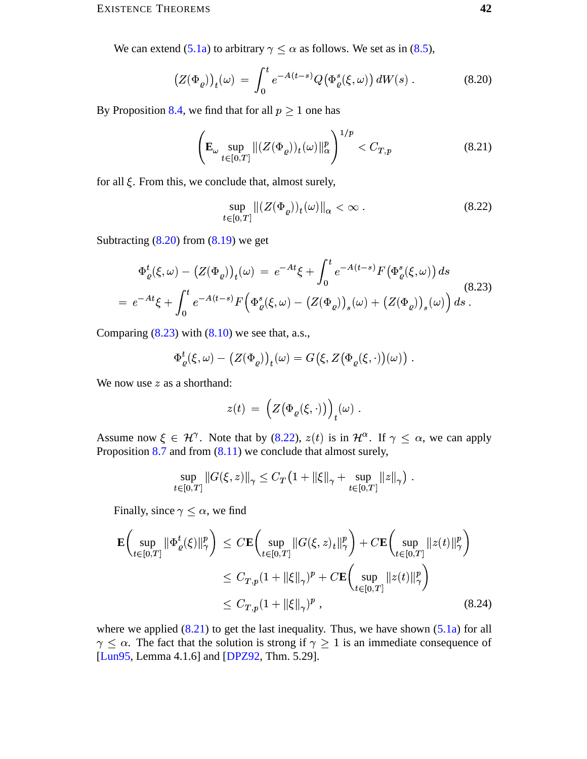We can extend (5.1a) to arbitrary  $\gamma \leq \alpha$  as follows. We set as in (8.5),

$$
\left(Z(\Phi_{\varrho})\right)_t(\omega) = \int_0^t e^{-A(t-s)} Q\big(\Phi_{\varrho}^s(\xi,\omega)\big) dW(s) \,. \tag{8.20}
$$

By Proposition 8.4, we find that for all  $p \ge 1$  one has

<span id="page-41-0"></span>
$$
\left(\mathbf{E}_{\omega}\sup_{t\in[0,T]}\|(Z(\Phi_{\varrho}))_t(\omega)\|_{\alpha}^p\right)^{1/p} < C_{T,p} \tag{8.21}
$$

for all  $\xi$ . From this, we conclude that, almost surely,

<span id="page-41-3"></span><span id="page-41-2"></span><span id="page-41-1"></span>
$$
\sup_{t\in[0,T]}\|(Z(\Phi_\varrho))_t(\omega)\|_\alpha<\infty\;.\eqno(8.22)
$$

Subtracting  $(8.20)$  from  $(8.19)$  we get

$$
\Phi_{\varrho}^{t}(\xi,\omega) - (Z(\Phi_{\varrho}))_{t}(\omega) = e^{-At}\xi + \int_{0}^{t} e^{-A(t-s)}F(\Phi_{\varrho}^{s}(\xi,\omega))ds
$$
\n
$$
= e^{-At}\xi + \int_{0}^{t} e^{-A(t-s)}F(\Phi_{\varrho}^{s}(\xi,\omega) - (Z(\Phi_{\varrho}))_{s}(\omega) + (Z(\Phi_{\varrho}))_{s}(\omega))ds.
$$
\n(8.23)

Comparing  $(8.23)$  with  $(8.10)$  we see that, a.s.,

$$
\Phi_{\varrho}^{t}(\xi,\omega) - (Z(\Phi_{\varrho}))_{t}(\omega) = G(\xi, Z(\Phi_{\varrho}(\xi,\cdot))(\omega))
$$

We now use  $z$  as a shorthand:

$$
z(t) = \left(Z(\Phi_{\varrho}(\xi,\cdot))\right)_t(\omega) .
$$

Assume now  $\xi \in \mathcal{H}^{\gamma}$ . Note that by (8.22),  $z(t)$  is in  $\mathcal{H}^{\alpha}$ . If  $\gamma \leq \alpha$ , we can apply Proposition  $8.7$  and from  $(8.11)$  we conclude that almost surely,

<span id="page-41-4"></span>
$$
\sup_{t \in [0,T]} \|G(\xi, z)\|_{\gamma} \leq C_T \left(1 + \|\xi\|_{\gamma} + \sup_{t \in [0,T]} \|z\|_{\gamma}\right).
$$

Finally, since  $\gamma \leq \alpha$ , we find

$$
\mathbf{E}\left(\sup_{t\in[0,T]}\|\Phi_{\varrho}^{t}(\xi)\|_{\gamma}^{p}\right) \leq C\mathbf{E}\left(\sup_{t\in[0,T]}\|G(\xi,z)_{t}\|_{\gamma}^{p}\right) + C\mathbf{E}\left(\sup_{t\in[0,T]}\|z(t)\|_{\gamma}^{p}\right)
$$
  

$$
\leq C_{T,p}(1+\|\xi\|_{\gamma})^{p} + C\mathbf{E}\left(\sup_{t\in[0,T]}\|z(t)\|_{\gamma}^{p}\right)
$$
  

$$
\leq C_{T,p}(1+\|\xi\|_{\gamma})^{p}, \qquad (8.24)
$$

where we applied  $(8.21)$  to get the last inequality. Thus, we have shown  $(5.1a)$  for all  $\gamma \leq \alpha$ . The fact that the solution is strong if  $\gamma \geq 1$  is an immediate consequence of [Lun95, Lemma 4.1.6] and [DPZ92, Thm. 5.29].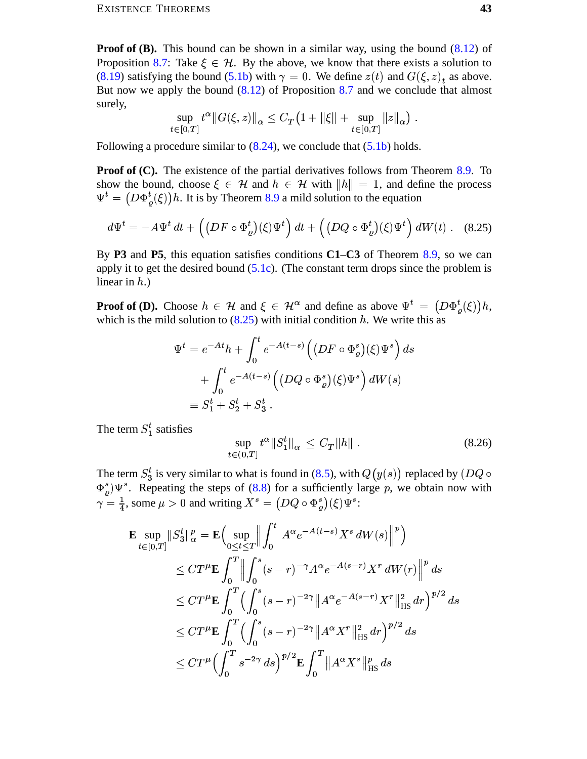**Proof of (B).** This bound can be shown in a similar way, using the bound  $(8.12)$  of Proposition 8.7: Take  $\xi \in \mathcal{H}$ . By the above, we know that there exists a solution to (8.19) satisfying the bound (5.1b) with  $\gamma = 0$ . We define  $z(t)$  and  $G(\xi, z)_t$  as above. But now we apply the bound  $(8.12)$  of Proposition 8.7 and we conclude that almost surely,

$$
\sup_{t \in [0,T]} t^{\alpha} \|G(\xi, z)\|_{\alpha} \le C_T \left(1 + \|\xi\| + \sup_{t \in [0,T]} \|z\|_{\alpha}\right)
$$

Following a procedure similar to  $(8.24)$ , we conclude that  $(5.1b)$  holds.

**Proof of (C).** The existence of the partial derivatives follows from Theorem 8.9. To show the bound, choose  $\xi \in \mathcal{H}$  and  $h \in \mathcal{H}$  with  $||h|| = 1$ , and define the process  $\Psi^t = \left(D\Phi^t_{\rho}(\xi)\right)h$ . It is by Theorem 8.9 a mild solution to the equation

$$
d\Psi^t = -A\Psi^t dt + \left( \left( DF \circ \Phi^t_{\varrho} \right) (\xi) \Psi^t \right) dt + \left( \left( DQ \circ \Phi^t_{\varrho} \right) (\xi) \Psi^t \right) dW(t) \ . \tag{8.25}
$$

By P3 and P5, this equation satisfies conditions C1–C3 of Theorem 8.9, so we can apply it to get the desired bound  $(5.1c)$ . (The constant term drops since the problem is linear in  $h$ .)

**Proof of (D).** Choose  $h \in \mathcal{H}$  and  $\xi \in \mathcal{H}^{\alpha}$  and define as above  $\Psi^t = (D\Phi^t_{\varrho}(\xi))h$ , which is the mild solution to  $(8.25)$  with initial condition h. We write this as

<span id="page-42-0"></span>
$$
\Psi^t = e^{-At}h + \int_0^t e^{-A(t-s)} \Big( \big( DF \circ \Phi_\varrho^s \big)(\xi) \Psi^s \Big) ds
$$
  
+ 
$$
\int_0^t e^{-A(t-s)} \Big( \big( DQ \circ \Phi_\varrho^s \big)(\xi) \Psi^s \Big) dW(s)
$$
  

$$
\equiv S_1^t + S_2^t + S_3^t.
$$

The term  $S_1^t$  satisfies

<span id="page-42-1"></span>
$$
\sup_{t \in (0,T]} t^{\alpha} \|S_1^t\|_{\alpha} \le C_T \|h\| \tag{8.26}
$$

The term  $S_3^t$  is very similar to what is found in (8.5), with  $Q(y(s))$  replaced by (DQ  $\circ$  $\Phi_{\rho}^{s}$ ) $\Psi^{s}$ . Repeating the steps of (8.8) for a sufficiently large p, we obtain now with  $\gamma = \frac{1}{4}$ , some  $\mu > 0$  and writing  $X^s = (DQ \circ \Phi_{\rho}^s)(\xi) \Psi^s$ .

$$
\mathbf{E} \sup_{t \in [0,T]} \|S_3^t\|_{\alpha}^p = \mathbf{E} \Big( \sup_{0 \le t \le T} \Big\| \int_0^t A^{\alpha} e^{-A(t-s)} X^s dW(s) \Big\|^p \Big) \n\le C T^{\mu} \mathbf{E} \int_0^T \Big\| \int_0^s (s-r)^{-\gamma} A^{\alpha} e^{-A(s-r)} X^r dW(r) \Big\|^p ds \n\le C T^{\mu} \mathbf{E} \int_0^T \Big( \int_0^s (s-r)^{-2\gamma} \|A^{\alpha} e^{-A(s-r)} X^r \|_{\text{HS}}^2 dr \Big)^{p/2} ds \n\le C T^{\mu} \mathbf{E} \int_0^T \Big( \int_0^s (s-r)^{-2\gamma} \|A^{\alpha} X^r \|_{\text{HS}}^2 dr \Big)^{p/2} ds \n\le C T^{\mu} \Big( \int_0^T s^{-2\gamma} ds \Big)^{p/2} \mathbf{E} \int_0^T \|A^{\alpha} X^s \|_{\text{HS}}^p ds
$$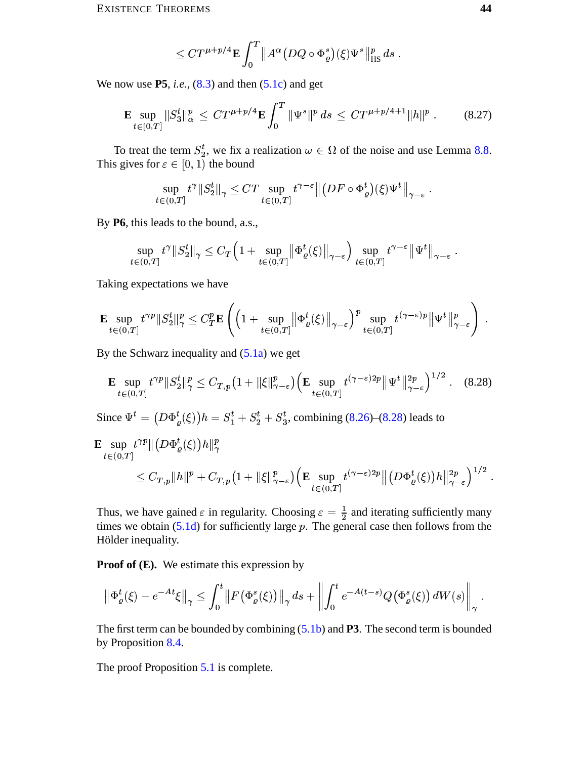<span id="page-43-1"></span>
$$
\leq C T^{\mu+p/4} \mathbf{E} \int_0^T \|A^{\alpha} (DQ \circ \Phi_{\varrho}^s)(\xi) \Psi^s\|_{\text{HS}}^p ds.
$$

We now use  $P5$ , *i.e.*,  $(8.3)$  and then  $(5.1c)$  and get

$$
\mathbf{E} \sup_{t \in [0,T]} \|S_3^t\|_{\alpha}^p \leq C T^{\mu+p/4} \mathbf{E} \int_0^T \|\Psi^s\|^p \, ds \leq C T^{\mu+p/4+1} \|h\|^p \,. \tag{8.27}
$$

To treat the term  $S_2^t$ , we fix a realization  $\omega \in \Omega$  of the noise and use Lemma 8.8. This gives for  $\varepsilon \in [0, 1)$  the bound

$$
\sup_{t \in (0,T]} t^{\gamma} \|S_2^t\|_{\gamma} \leq C T \sup_{t \in (0,T]} t^{\gamma - \varepsilon} \big\| \big(DF \circ \Phi_{\varrho}^t\big)(\xi) \Psi^t \big\|_{\gamma - \varepsilon}
$$

By P6, this leads to the bound, a.s.,

$$
\sup_{t\in(0,T]}t^{\gamma}\|S_2^t\|_{\gamma}\leq C_T\Big(1+\sup_{t\in(0,T]}\big\|\Phi_{\varrho}^t(\xi)\big\|_{\gamma-\varepsilon}\Big)\sup_{t\in(0,T]}t^{\gamma-\varepsilon}\big\|\Psi^t\big\|_{\gamma-\varepsilon}
$$

Taking expectations we have

$$
\mathbf{E} \sup_{t \in (0,T]} t^{\gamma p} \|S_2^t\|_{\gamma}^p \leq C_T^p \mathbf{E} \left( \left(1 + \sup_{t \in (0,T]} \left\| \Phi_{\varrho}^t(\xi) \right\|_{\gamma-\varepsilon} \right)^p \sup_{t \in (0,T]} t^{(\gamma-\varepsilon)p} \|\Psi^t\|_{\gamma-\varepsilon}^p \right) .
$$

By the Schwarz inequality and  $(5.1a)$  we get

<span id="page-43-0"></span>
$$
\mathbf{E} \sup_{t \in (0,T]} t^{\gamma p} \|S_2^t\|_{\gamma}^p \le C_{T,p} \left(1 + \|\xi\|_{\gamma-\varepsilon}^p\right) \left(\mathbf{E} \sup_{t \in (0,T]} t^{(\gamma-\varepsilon)2p} \|\Psi^t\|_{\gamma-\varepsilon}^{2p}\right)^{1/2} . \tag{8.28}
$$

Since  $\Psi^t = (D\Phi^t_{\rho}(\xi))h = S_1^t + S_2^t + S_3^t$ , combining (8.26)–(8.28) leads to

$$
\mathbf{E} \sup_{t \in (0,T]} t^{\gamma p} \|(D\Phi_{\varrho}^{t}(\xi))h\|_{\gamma}^{p}
$$
\n
$$
\leq C_{T,p} \|h\|^{p} + C_{T,p} \left(1 + \|\xi\|_{\gamma-\varepsilon}^{p}\right) \left(\mathbf{E} \sup_{t \in (0,T]} t^{(\gamma-\varepsilon)2p} \|(D\Phi_{\varrho}^{t}(\xi))h\|_{\gamma-\varepsilon}^{2p}\right)^{1/2}.
$$

Thus, we have gained  $\varepsilon$  in regularity. Choosing  $\varepsilon = \frac{1}{2}$  and iterating sufficiently many times we obtain  $(5.1d)$  for sufficiently large p. The general case then follows from the Hölder inequality.

**Proof of**  $(E)$ **.** We estimate this expression by

$$
\left\|\Phi_{\varrho}^{t}(\xi)-e^{-At}\xi\right\|_{\gamma}\leq\int_{0}^{t}\left\|F\left(\Phi_{\varrho}^{s}(\xi)\right)\right\|_{\gamma}ds+\left\|\int_{0}^{t}e^{-A(t-s)}Q\big(\Phi_{\varrho}^{s}(\xi)\big)\,dW(s)\right\|_{\gamma}
$$

The first term can be bounded by combining  $(5.1b)$  and **P3**. The second term is bounded by Proposition 8.4.

The proof Proposition 5.1 is complete.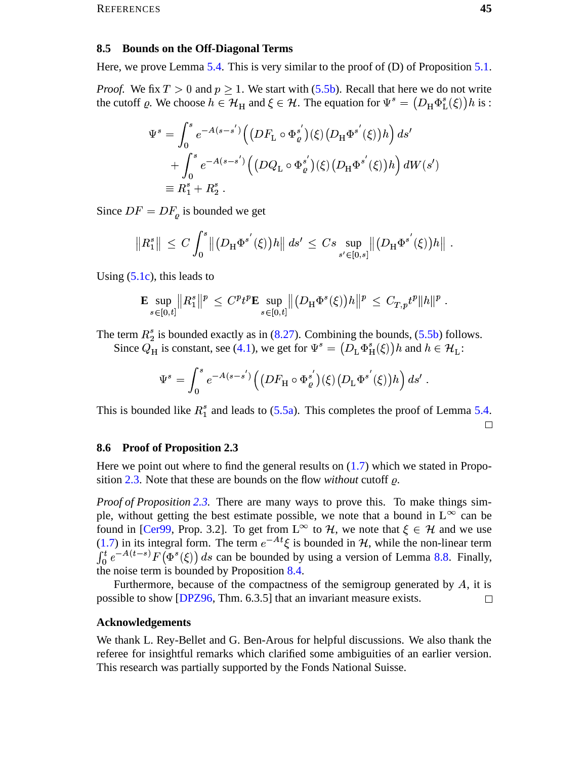#### <span id="page-44-0"></span>8.5 Bounds on the Off-Diagonal Terms

Here, we prove Lemma 5.4. This is very similar to the proof of  $(D)$  of Proposition 5.1.

*Proof.* We fix  $T > 0$  and  $p \ge 1$ . We start with (5.5b). Recall that here we do not write the cutoff  $\varrho$ . We choose  $h \in \mathcal{H}_H$  and  $\xi \in \mathcal{H}$ . The equation for  $\Psi^s = (D_H \Phi_L^s(\xi)) h$  is :

$$
\Psi^{s} = \int_{0}^{s} e^{-A(s-s')} \Big( \left( DF_{\mathcal{L}} \circ \Phi_{\varrho}^{s'} \right) (\xi) \left( D_{\mathcal{H}} \Phi^{s'}(\xi) \right) h \Big) ds' \n+ \int_{0}^{s} e^{-A(s-s')} \Big( \left( DQ_{\mathcal{L}} \circ \Phi_{\varrho}^{s'} \right) (\xi) \left( D_{\mathcal{H}} \Phi^{s'}(\xi) \right) h \Big) dW(s') \n\equiv R_{1}^{s} + R_{2}^{s} .
$$

Since  $DF = DF_o$  is bounded we get

$$
||R_1^s|| \ \le \ C \int_0^s \left\| \left(D_H \Phi^{s'}(\xi)\right) h \right\| \, ds' \ \le \ C s \sup_{s' \in [0,s]} \left\| \left(D_H \Phi^{s'}(\xi)\right) h \right\|
$$

Using  $(5.1c)$ , this leads to

$$
\mathbf{E} \sup_{s \in [0,t]} \|R_1^s\|^p \ \leq \ C^p t^p \mathbf{E} \sup_{s \in [0,t]} \| \big(D_H \Phi^s(\xi)\big)h\|^p \ \leq \ C_{T,p} t^p \|h\|^p \ .
$$

The term  $R_2^s$  is bounded exactly as in (8.27). Combining the bounds, (5.5b) follows. Since  $Q_H$  is constant, see (4.1), we get for  $\Psi^s = (D_L \Phi^s_H(\xi))h$  and  $h \in \mathcal{H}_L$ :

$$
\Psi^s = \int_0^s e^{-A(s-s')} \Big( \big( D F_{\mathcal{H}} \circ \Phi_{\varrho}^{s'} \big) (\xi) \big( D_{\mathcal{L}} \Phi^{s'}(\xi) \big) h \Big) \, ds'
$$

This is bounded like  $R_1^s$  and leads to (5.5a). This completes the proof of Lemma 5.4.  $\Box$ 

### <span id="page-44-1"></span>8.6 Proof of Proposition 2.3

Here we point out where to find the general results on  $(1.7)$  which we stated in Proposition 2.3. Note that these are bounds on the flow *without* cutoff  $\rho$ .

Proof of Proposition 2.3. There are many ways to prove this. To make things simple, without getting the best estimate possible, we note that a bound in  $L^{\infty}$  can be found in [Cer99, Prop. 3.2]. To get from  $L^{\infty}$  to H, we note that  $\xi \in \mathcal{H}$  and we use (1.7) in its integral form. The term  $e^{-At} \xi$  is bounded in  $\mathcal{H}$ , while the non-linear term  $\int_0^t e^{-A(t-s)} F(\Phi^s(\xi)) ds$  can be bounded by using a version of Lemma 8.8. Finally, the noise term is bounded by Proposition 8.4.

Furthermore, because of the compactness of the semigroup generated by  $A$ , it is possible to show [DPZ96, Thm. 6.3.5] that an invariant measure exists.  $\Box$ 

#### **Acknowledgements**

We thank L. Rey-Bellet and G. Ben-Arous for helpful discussions. We also thank the referee for insightful remarks which clarified some ambiguities of an earlier version. This research was partially supported by the Fonds National Suisse.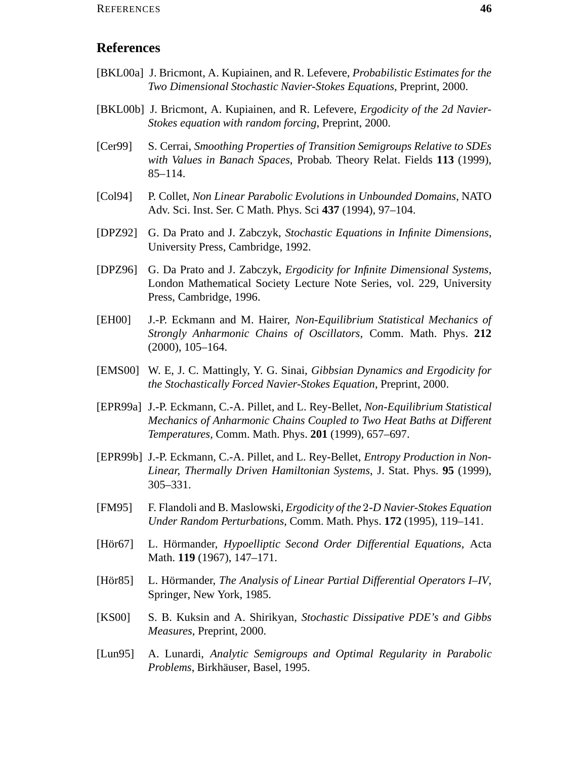## **References**

- <span id="page-45-5"></span>[BKL00a] J. Bricmont, A. Kupiainen, and R. Lefevere, *Probabilistic Estimates for the Two Dimensional Stochastic Navier-Stokes Equations*, Preprint, 2000.
- <span id="page-45-6"></span>[BKL00b] J. Bricmont, A. Kupiainen, and R. Lefevere, *Ergodicity of the 2d Navier-Stokes equation with random forcing*, Preprint, 2000.
- <span id="page-45-12"></span>[Cer99] S. Cerrai, *Smoothing Properties of Transition Semigroups Relative to SDEs with Values in Banach Spaces*, Probab. Theory Relat. Fields **113** (1999), 85–114.
- <span id="page-45-9"></span>[Col94] P. Collet, *Non Linear Parabolic Evolutions in Unbounded Domains*, NATO Adv. Sci. Inst. Ser. C Math. Phys. Sci **437** (1994), 97–104.
- <span id="page-45-13"></span>[DPZ92] G. Da Prato and J. Zabczyk, *Stochastic Equations in Infinite Dimensions*, University Press, Cambridge, 1992.
- <span id="page-45-0"></span>[DPZ96] G. Da Prato and J. Zabczyk, *Ergodicity for Infinite Dimensional Systems*, London Mathematical Society Lecture Note Series, vol. 229, University Press, Cambridge, 1996.
- <span id="page-45-3"></span>[EH00] J.-P. Eckmann and M. Hairer, *Non-Equilibrium Statistical Mechanics of Strongly Anharmonic Chains of Oscillators*, Comm. Math. Phys. **212** (2000), 105–164.
- <span id="page-45-8"></span>[EMS00] W. E, J. C. Mattingly, Y. G. Sinai, *Gibbsian Dynamics and Ergodicity for the Stochastically Forced Navier-Stokes Equation*, Preprint, 2000.
- <span id="page-45-1"></span>[EPR99a] J.-P. Eckmann, C.-A. Pillet, and L. Rey-Bellet, *Non-Equilibrium Statistical Mechanics of Anharmonic Chains Coupled to Two Heat Baths at Different Temperatures*, Comm. Math. Phys. **201** (1999), 657–697.
- <span id="page-45-2"></span>[EPR99b] J.-P. Eckmann, C.-A. Pillet, and L. Rey-Bellet, *Entropy Production in Non-Linear, Thermally Driven Hamiltonian Systems*, J. Stat. Phys. **95** (1999), 305–331.
- <span id="page-45-4"></span>[FM95] F. Flandoli and B. Maslowski, *Ergodicity of the -D Navier-Stokes Equation Under Random Perturbations*, Comm. Math. Phys. **172** (1995), 119–141.
- <span id="page-45-10"></span>[Hor67] ¨ L. Hormander ¨ , *Hypoelliptic Second Order Differential Equations*, Acta Math. **119** (1967), 147–171.
- <span id="page-45-11"></span>[Hör85] L. Hörmander, *The Analysis of Linear Partial Differential Operators I–IV*, Springer, New York, 1985.
- <span id="page-45-7"></span>[KS00] S. B. Kuksin and A. Shirikyan, *Stochastic Dissipative PDE's and Gibbs Measures*, Preprint, 2000.
- <span id="page-45-14"></span>[Lun95] A. Lunardi, *Analytic Semigroups and Optimal Regularity in Parabolic Problems*, Birkhäuser, Basel, 1995.